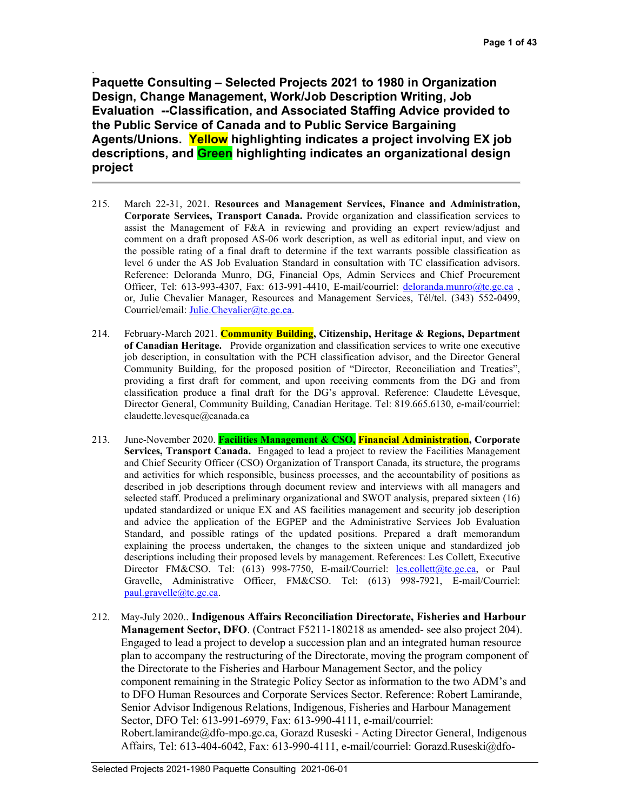. **Paquette Consulting – Selected Projects 2021 to 1980 in Organization Design, Change Management, Work/Job Description Writing, Job Evaluation --Classification, and Associated Staffing Advice provided to the Public Service of Canada and to Public Service Bargaining Agents/Unions. Yellow highlighting indicates a project involving EX job descriptions, and Green highlighting indicates an organizational design project**

- 215. March 22-31, 2021. **Resources and Management Services, Finance and Administration, Corporate Services, Transport Canada.** Provide organization and classification services to assist the Management of F&A in reviewing and providing an expert review/adjust and comment on a draft proposed AS-06 work description, as well as editorial input, and view on the possible rating of a final draft to determine if the text warrants possible classification as level 6 under the AS Job Evaluation Standard in consultation with TC classification advisors. Reference: Deloranda Munro, DG, Financial Ops, Admin Services and Chief Procurement Officer, Tel: 613-993-4307, Fax: 613-991-4410, E-mail/courriel: [deloranda.munro@tc.gc.ca](mailto:deloranda.munro@tc.gc.ca) , or, Julie Chevalier Manager, Resources and Management Services, Tél/tel. (343) 552-0499, Courriel/email: [Julie.Chevalier@tc.gc.ca.](mailto:Julie.Chevalier@tc.gc.ca)
- 214. February-March 2021. **Community Building, Citizenship, Heritage & Regions, Department of Canadian Heritage.** Provide organization and classification services to write one executive job description, in consultation with the PCH classification advisor, and the Director General Community Building, for the proposed position of "Director, Reconciliation and Treaties", providing a first draft for comment, and upon receiving comments from the DG and from classification produce a final draft for the DG's approval. Reference: Claudette Lévesque, Director General, Community Building, Canadian Heritage. Tel: 819.665.6130, e-mail/courriel: claudette.levesque@canada.ca
- 213. June-November 2020. **Facilities Management & CSO, Financial Administration, Corporate Services, Transport Canada.** Engaged to lead a project to review the Facilities Management and Chief Security Officer (CSO) Organization of Transport Canada, its structure, the programs and activities for which responsible, business processes, and the accountability of positions as described in job descriptions through document review and interviews with all managers and selected staff. Produced a preliminary organizational and SWOT analysis, prepared sixteen (16) updated standardized or unique EX and AS facilities management and security job description and advice the application of the EGPEP and the Administrative Services Job Evaluation Standard, and possible ratings of the updated positions. Prepared a draft memorandum explaining the process undertaken, the changes to the sixteen unique and standardized job descriptions including their proposed levels by management. References: Les Collett, Executive Director FM&CSO. Tel: (613) 998-7750, E-mail/Courriel: [les.collett@tc.gc.ca,](mailto:les.collett@tc.gc.ca) or Paul Gravelle, Administrative Officer, FM&CSO. Tel: (613) 998-7921, E-mail/Courriel: [paul.gravelle@tc.gc.ca.](mailto:paul.gravelle@tc.gc.ca)
- 212. May-July 2020.. **Indigenous Affairs Reconciliation Directorate, Fisheries and Harbour Management Sector, DFO**. (Contract F5211-180218 as amended- see also project 204). Engaged to lead a project to develop a succession plan and an integrated human resource plan to accompany the restructuring of the Directorate, moving the program component of the Directorate to the Fisheries and Harbour Management Sector, and the policy component remaining in the Strategic Policy Sector as information to the two ADM's and to DFO Human Resources and Corporate Services Sector. Reference: Robert Lamirande, Senior Advisor Indigenous Relations, Indigenous, Fisheries and Harbour Management Sector, DFO Tel: 613-991-6979, Fax: 613-990-4111, e-mail/courriel: Robert.lamirande@dfo-mpo.gc.ca, Gorazd Ruseski - Acting Director General, Indigenous Affairs, Tel: 613-404-6042, Fax: 613-990-4111, e-mail/courriel: Gorazd.Ruseski@dfo-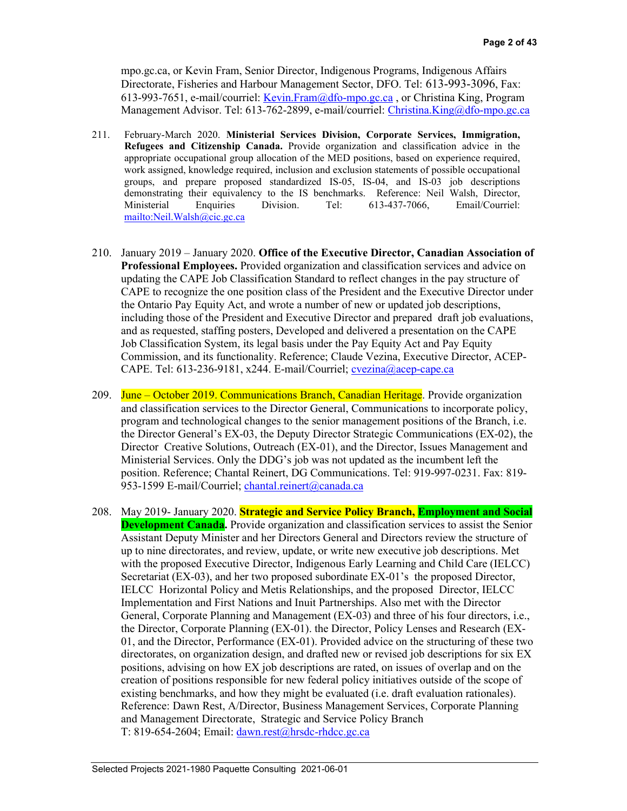mpo.gc.ca, or Kevin Fram, Senior Director, Indigenous Programs, Indigenous Affairs Directorate, Fisheries and Harbour Management Sector, DFO. Tel: 613-993-3096, Fax: 613-993-7651, e-mail/courriel: [Kevin.Fram@dfo-mpo.gc.ca](mailto:Kevin.Fram@dfo-mpo.gc.ca) , or Christina King, Program Management Advisor. Tel: 613-762-2899, e-mail/courriel: [Christina.King@dfo-mpo.gc.ca](mailto:Christina.King@dfo-mpo.gc.ca)

- 211. February-March 2020. **Ministerial Services Division, Corporate Services, Immigration, Refugees and Citizenship Canada.** Provide organization and classification advice in the appropriate occupational group allocation of the MED positions, based on experience required, work assigned, knowledge required, inclusion and exclusion statements of possible occupational groups, and prepare proposed standardized IS-05, IS-04, and IS-03 job descriptions demonstrating their equivalency to the IS benchmarks. Reference: Neil Walsh, Director, Ministerial Enquiries Division. Tel: 613-437-7066, Email/Courriel: <mailto:Neil.Walsh@cic.gc.ca>
- 210. January 2019 January 2020. **Office of the Executive Director, Canadian Association of Professional Employees.** Provided organization and classification services and advice on updating the CAPE Job Classification Standard to reflect changes in the pay structure of CAPE to recognize the one position class of the President and the Executive Director under the Ontario Pay Equity Act, and wrote a number of new or updated job descriptions, including those of the President and Executive Director and prepared draft job evaluations, and as requested, staffing posters, Developed and delivered a presentation on the CAPE Job Classification System, its legal basis under the Pay Equity Act and Pay Equity Commission, and its functionality. Reference; Claude Vezina, Executive Director, ACEP-CAPE. Tel: 613-236-9181, x244. E-mail/Courriel; [cvezina@acep-cape.ca](mailto:cvezina@acep-cape.ca)
- 209. June October 2019. Communications Branch, Canadian Heritage. Provide organization and classification services to the Director General, Communications to incorporate policy, program and technological changes to the senior management positions of the Branch, i.e. the Director General's EX-03, the Deputy Director Strategic Communications (EX-02), the Director Creative Solutions, Outreach (EX-01), and the Director, Issues Management and Ministerial Services. Only the DDG's job was not updated as the incumbent left the position. Reference; Chantal Reinert, DG Communications. Tel: 919-997-0231. Fax: 819 953-1599 E-mail/Courriel; [chantal.reinert@canada.ca](mailto:chantal.reinert@canada.ca)
- 208. May 2019- January 2020. **Strategic and Service Policy Branch, Employment and Social Development Canada.** Provide organization and classification services to assist the Senior Assistant Deputy Minister and her Directors General and Directors review the structure of up to nine directorates, and review, update, or write new executive job descriptions. Met with the proposed Executive Director, Indigenous Early Learning and Child Care (IELCC) Secretariat (EX-03), and her two proposed subordinate EX-01's the proposed Director, IELCC Horizontal Policy and Metis Relationships, and the proposed Director, IELCC Implementation and First Nations and Inuit Partnerships. Also met with the Director General, Corporate Planning and Management (EX-03) and three of his four directors, i.e., the Director, Corporate Planning (EX-01). the Director, Policy Lenses and Research (EX-01, and the Director, Performance (EX-01). Provided advice on the structuring of these two directorates, on organization design, and drafted new or revised job descriptions for six EX positions, advising on how EX job descriptions are rated, on issues of overlap and on the creation of positions responsible for new federal policy initiatives outside of the scope of existing benchmarks, and how they might be evaluated (i.e. draft evaluation rationales). Reference: Dawn Rest, A/Director, Business Management Services, Corporate Planning and Management Directorate, Strategic and Service Policy Branch T: 819-654-2604; Email:  $dawn.rest@hrsdc-rhdcc.gc.ca$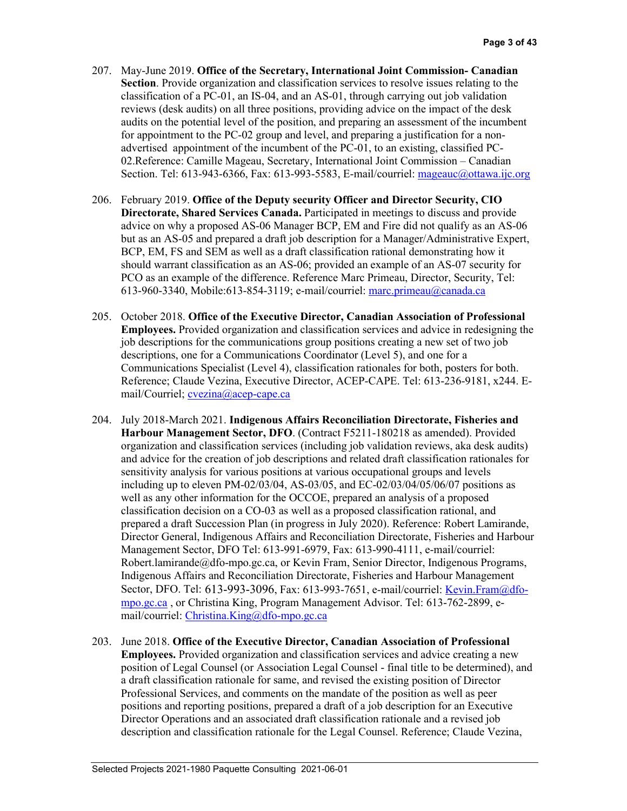- 207. May-June 2019. **Office of the Secretary, International Joint Commission- Canadian Section**. Provide organization and classification services to resolve issues relating to the classification of a PC-01, an IS-04, and an AS-01, through carrying out job validation reviews (desk audits) on all three positions, providing advice on the impact of the desk audits on the potential level of the position, and preparing an assessment of the incumbent for appointment to the PC-02 group and level, and preparing a justification for a nonadvertised appointment of the incumbent of the PC-01, to an existing, classified PC-02.Reference: Camille Mageau, Secretary, International Joint Commission – Canadian Section. Tel: 613-943-6366, Fax: 613-993-5583, E-mail/courriel: [mageauc@ottawa.ijc.org](mailto:mageauc@ottawa.ijc.org)
- 206. February 2019. **Office of the Deputy security Officer and Director Security, CIO Directorate, Shared Services Canada.** Participated in meetings to discuss and provide advice on why a proposed AS-06 Manager BCP, EM and Fire did not qualify as an AS-06 but as an AS-05 and prepared a draft job description for a Manager/Administrative Expert, BCP, EM, FS and SEM as well as a draft classification rational demonstrating how it should warrant classification as an AS-06; provided an example of an AS-07 security for PCO as an example of the difference. Reference Marc Primeau, Director, Security, Tel: 613-960-3340, Mobile:613-854-3119; e-mail/courriel: [marc.primeau@canada.ca](mailto:marc.primeau@canada.ca)
- 205. October 2018. **Office of the Executive Director, Canadian Association of Professional Employees.** Provided organization and classification services and advice in redesigning the job descriptions for the communications group positions creating a new set of two job descriptions, one for a Communications Coordinator (Level 5), and one for a Communications Specialist (Level 4), classification rationales for both, posters for both. Reference; Claude Vezina, Executive Director, ACEP-CAPE. Tel: 613-236-9181, x244. Email/Courriel; [cvezina@acep-cape.ca](mailto:cvezina@acep-cape.ca)
- 204. July 2018-March 2021. **Indigenous Affairs Reconciliation Directorate, Fisheries and Harbour Management Sector, DFO**. (Contract F5211-180218 as amended). Provided organization and classification services (including job validation reviews, aka desk audits) and advice for the creation of job descriptions and related draft classification rationales for sensitivity analysis for various positions at various occupational groups and levels including up to eleven PM-02/03/04, AS-03/05, and EC-02/03/04/05/06/07 positions as well as any other information for the OCCOE, prepared an analysis of a proposed classification decision on a CO-03 as well as a proposed classification rational, and prepared a draft Succession Plan (in progress in July 2020). Reference: Robert Lamirande, Director General, Indigenous Affairs and Reconciliation Directorate, Fisheries and Harbour Management Sector, DFO Tel: 613-991-6979, Fax: 613-990-4111, e-mail/courriel: Robert.lamirande@dfo-mpo.gc.ca, or Kevin Fram, Senior Director, Indigenous Programs, Indigenous Affairs and Reconciliation Directorate, Fisheries and Harbour Management Sector, DFO. Tel: 613-993-3096, Fax: 613-993-7651, e-mail/courriel: [Kevin.Fram@dfo](mailto:Kevin.Fram@dfo-mpo.gc.ca)[mpo.gc.ca](mailto:Kevin.Fram@dfo-mpo.gc.ca) , or Christina King, Program Management Advisor. Tel: 613-762-2899, email/courriel: [Christina.King@dfo-mpo.gc.ca](mailto:Christina.King@dfo-mpo.gc.ca)
- 203. June 2018. **Office of the Executive Director, Canadian Association of Professional Employees.** Provided organization and classification services and advice creating a new position of Legal Counsel (or Association Legal Counsel - final title to be determined), and a draft classification rationale for same, and revised the existing position of Director Professional Services, and comments on the mandate of the position as well as peer positions and reporting positions, prepared a draft of a job description for an Executive Director Operations and an associated draft classification rationale and a revised job description and classification rationale for the Legal Counsel. Reference; Claude Vezina,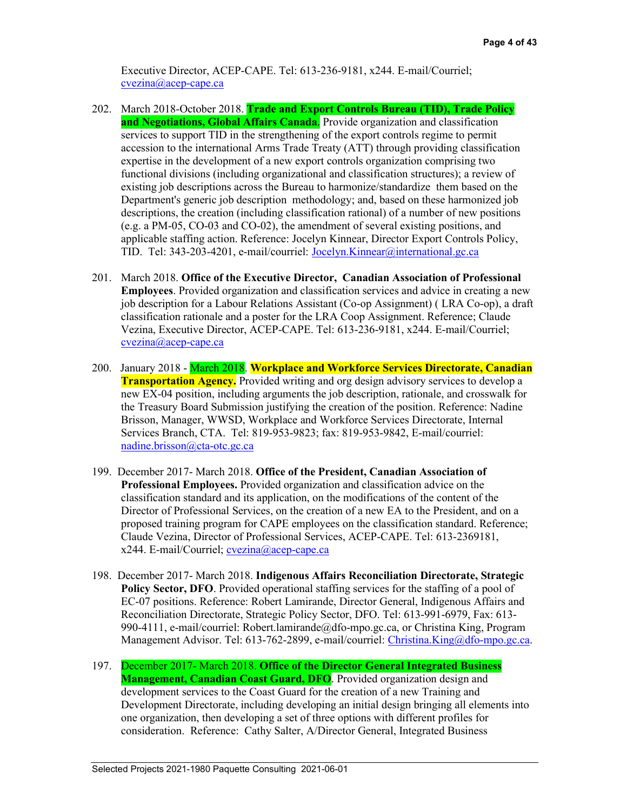Executive Director, ACEP-CAPE. Tel: 613-236-9181, x244. E-mail/Courriel; [cvezina@acep-cape.ca](mailto:cvezina@acep-cape.ca)

- 202. March 2018-October 2018. **Trade and Export Controls Bureau (TID), Trade Policy and Negotiations, Global Affairs Canada.** Provide organization and classification services to support TID in the strengthening of the export controls regime to permit accession to the international Arms Trade Treaty (ATT) through providing classification expertise in the development of a new export controls organization comprising two functional divisions (including organizational and classification structures); a review of existing job descriptions across the Bureau to harmonize/standardize them based on the Department's generic job description methodology; and, based on these harmonized job descriptions, the creation (including classification rational) of a number of new positions (e.g. a PM-05, CO-03 and CO-02), the amendment of several existing positions, and applicable staffing action. Reference: Jocelyn Kinnear, Director Export Controls Policy, TID. Tel: 343-203-4201, e-mail/courriel: [Jocelyn.Kinnear@international.gc.ca](mailto:Jocelyn.Kinnear@international.gc.ca)
- 201. March 2018. **Office of the Executive Director, Canadian Association of Professional Employees**. Provided organization and classification services and advice in creating a new job description for a Labour Relations Assistant (Co-op Assignment) ( LRA Co-op), a draft classification rationale and a poster for the LRA Coop Assignment. Reference; Claude Vezina, Executive Director, ACEP-CAPE. Tel: 613-236-9181, x244. E-mail/Courriel; [cvezina@acep-cape.ca](mailto:cvezina@acep-cape.ca)
- 200. January 2018 March 2018. **Workplace and Workforce Services Directorate, Canadian Transportation Agency.** Provided writing and org design advisory services to develop a new EX-04 position, including arguments the job description, rationale, and crosswalk for the Treasury Board Submission justifying the creation of the position. Reference: Nadine Brisson, Manager, WWSD, Workplace and Workforce Services Directorate, Internal Services Branch, CTA. Tel: 819-953-9823; fax: 819-953-9842, E-mail/courriel: [nadine.brisson@cta-otc.gc.ca](mailto:nadine.brisson@cta-otc.gc.ca)
- 199. December 2017- March 2018. **Office of the President, Canadian Association of Professional Employees.** Provided organization and classification advice on the classification standard and its application, on the modifications of the content of the Director of Professional Services, on the creation of a new EA to the President, and on a proposed training program for CAPE employees on the classification standard. Reference; Claude Vezina, Director of Professional Services, ACEP-CAPE. Tel: 613-2369181, x244. E-mail/Courriel; [cvezina@acep-cape.ca](mailto:cvezina@acep-cape.ca)
- 198. December 2017- March 2018. **Indigenous Affairs Reconciliation Directorate, Strategic Policy Sector, DFO**. Provided operational staffing services for the staffing of a pool of EC-07 positions. Reference: Robert Lamirande, Director General, Indigenous Affairs and Reconciliation Directorate, Strategic Policy Sector, DFO. Tel: 613-991-6979, Fax: 613- 990-4111, e-mail/courriel: Robert.lamirande@dfo-mpo.gc.ca, or Christina King, Program Management Advisor. Tel: 613-762-2899, e-mail/courriel: [Christina.King@dfo-mpo.gc.ca.](mailto:Christina.King@dfo-mpo.gc.ca)
- 197. December 2017- March 2018. **Office of the Director General Integrated Business Management, Canadian Coast Guard, DFO**. Provided organization design and development services to the Coast Guard for the creation of a new Training and Development Directorate, including developing an initial design bringing all elements into one organization, then developing a set of three options with different profiles for consideration. Reference: Cathy Salter, A/Director General, Integrated Business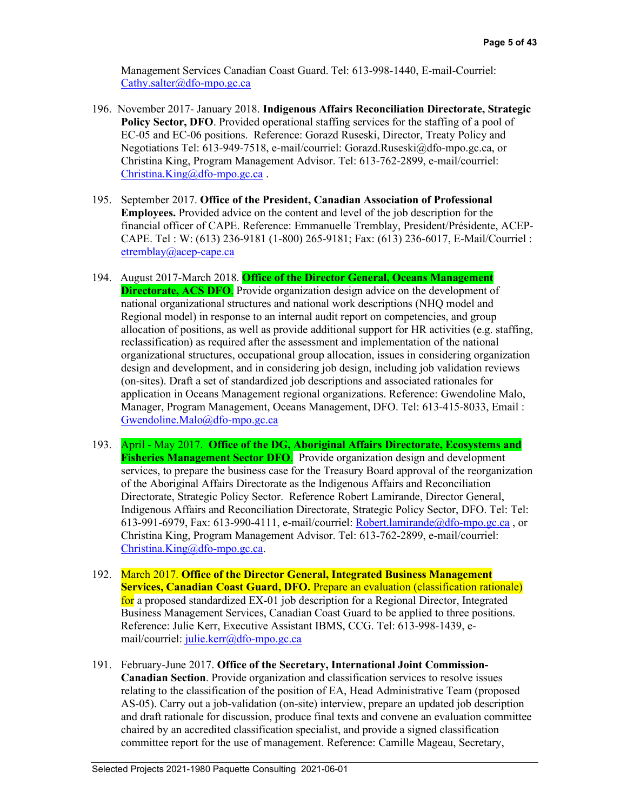Management Services Canadian Coast Guard. Tel: 613-998-1440, E-mail-Courriel: [Cathy.salter@dfo-mpo.gc.ca](mailto:Cathy.salter@dfo-mpo.gc.ca)

- 196. November 2017- January 2018. **Indigenous Affairs Reconciliation Directorate, Strategic Policy Sector, DFO**. Provided operational staffing services for the staffing of a pool of EC-05 and EC-06 positions. Reference: Gorazd Ruseski, Director, Treaty Policy and Negotiations Tel: 613-949-7518, e-mail/courriel: Gorazd.Ruseski@dfo-mpo.gc.ca, or Christina King, Program Management Advisor. Tel: 613-762-2899, e-mail/courriel: [Christina.King@dfo-mpo.gc.ca](mailto:Christina.King@dfo-mpo.gc.ca) .
- 195. September 2017. **Office of the President, Canadian Association of Professional Employees.** Provided advice on the content and level of the job description for the financial officer of CAPE. Reference: Emmanuelle Tremblay, President/Présidente, ACEP-CAPE. Tel : W: (613) 236-9181 (1-800) 265-9181; Fax: (613) 236-6017, E-Mail/Courriel : [etremblay@acep-cape.ca](mailto:etremblay@acep-cape.ca)
- 194. August 2017-March 2018. **Office of the Director General, Oceans Management Directorate, ACS DFO.** Provide organization design advice on the development of national organizational structures and national work descriptions (NHQ model and Regional model) in response to an internal audit report on competencies, and group allocation of positions, as well as provide additional support for HR activities (e.g. staffing, reclassification) as required after the assessment and implementation of the national organizational structures, occupational group allocation, issues in considering organization design and development, and in considering job design, including job validation reviews (on-sites). Draft a set of standardized job descriptions and associated rationales for application in Oceans Management regional organizations. Reference: Gwendoline Malo, Manager, Program Management, Oceans Management, DFO. Tel: 613-415-8033, Email : [Gwendoline.Malo@dfo-mpo.gc.ca](mailto:Gwendoline.Malo@dfo-mpo.gc.ca)
- 193. April May 2017. **Office of the DG, Aboriginal Affairs Directorate, Ecosystems and Fisheries Management Sector DFO**. Provide organization design and development services, to prepare the business case for the Treasury Board approval of the reorganization of the Aboriginal Affairs Directorate as the Indigenous Affairs and Reconciliation Directorate, Strategic Policy Sector. Reference Robert Lamirande, Director General, Indigenous Affairs and Reconciliation Directorate, Strategic Policy Sector, DFO. Tel: Tel: 613-991-6979, Fax: 613-990-4111, e-mail/courriel: [Robert.lamirande@dfo-mpo.gc.ca](mailto:Robert.lamirande@dfo-mpo.gc.ca), or Christina King, Program Management Advisor. Tel: 613-762-2899, e-mail/courriel: [Christina.King@dfo-mpo.gc.ca.](mailto:Christina.King@dfo-mpo.gc.ca)
- 192. March 2017. **Office of the Director General, Integrated Business Management Services, Canadian Coast Guard, DFO.** Prepare an evaluation (classification rationale) for a proposed standardized EX-01 job description for a Regional Director, Integrated Business Management Services, Canadian Coast Guard to be applied to three positions. Reference: Julie Kerr, Executive Assistant IBMS, CCG. Tel: 613-998-1439, email/courriel: [julie.kerr@dfo-mpo.gc.ca](mailto:julie.kerr@dfo-mpo.gc.ca)
- 191. February-June 2017. **Office of the Secretary, International Joint Commission-Canadian Section**. Provide organization and classification services to resolve issues relating to the classification of the position of EA, Head Administrative Team (proposed AS-05). Carry out a job-validation (on-site) interview, prepare an updated job description and draft rationale for discussion, produce final texts and convene an evaluation committee chaired by an accredited classification specialist, and provide a signed classification committee report for the use of management. Reference: Camille Mageau, Secretary,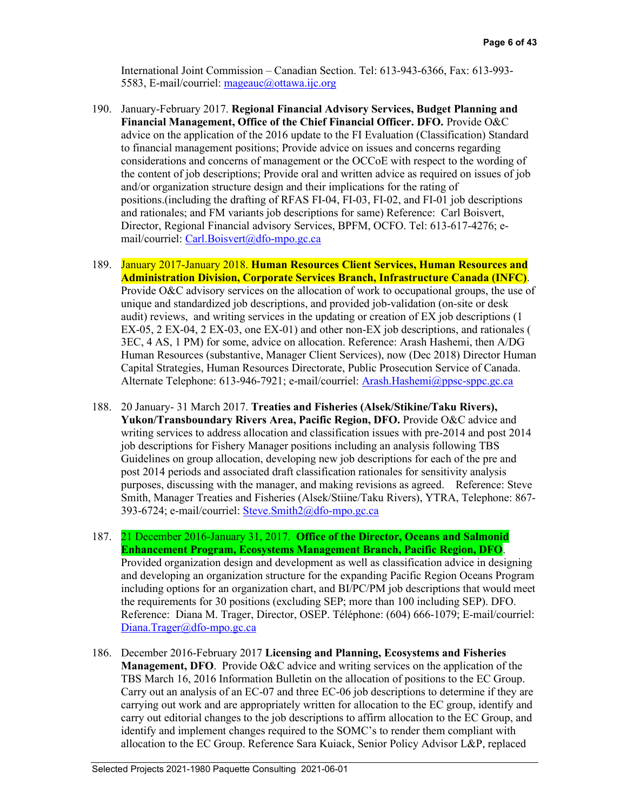International Joint Commission – Canadian Section. Tel: 613-943-6366, Fax: 613-993- 5583, E-mail/courriel[: mageauc@ottawa.ijc.org](mailto:mageauc@ottawa.ijc.org)

- 190. January-February 2017. **Regional Financial Advisory Services, Budget Planning and Financial Management, Office of the Chief Financial Officer. DFO.** Provide O&C advice on the application of the 2016 update to the FI Evaluation (Classification) Standard to financial management positions; Provide advice on issues and concerns regarding considerations and concerns of management or the OCCoE with respect to the wording of the content of job descriptions; Provide oral and written advice as required on issues of job and/or organization structure design and their implications for the rating of positions.(including the drafting of RFAS FI-04, FI-03, FI-02, and FI-01 job descriptions and rationales; and FM variants job descriptions for same) Reference: Carl Boisvert, Director, Regional Financial advisory Services, BPFM, OCFO. Tel: 613-617-4276; email/courriel: [Carl.Boisvert@dfo-mpo.gc.ca](mailto:Carl.Boisvert@dfo-mpo.gc.ca)
- 189. January 2017-January 2018. **Human Resources Client Services, Human Resources and Administration Division, Corporate Services Branch, Infrastructure Canada (INFC)**. Provide O&C advisory services on the allocation of work to occupational groups, the use of unique and standardized job descriptions, and provided job-validation (on-site or desk audit) reviews, and writing services in the updating or creation of EX job descriptions (1 EX-05, 2 EX-04, 2 EX-03, one EX-01) and other non-EX job descriptions, and rationales ( 3EC, 4 AS, 1 PM) for some, advice on allocation. Reference: Arash Hashemi, then A/DG Human Resources (substantive, Manager Client Services), now (Dec 2018) Director Human Capital Strategies, Human Resources Directorate, Public Prosecution Service of Canada. Alternate Telephone: 613-946-7921; e-mail/courriel: [Arash.Hashemi@ppsc-sppc.gc.ca](mailto:Arash.Hashemi@ppsc-sppc.gc.ca)
- 188. 20 January- 31 March 2017. **Treaties and Fisheries (Alsek/Stikine/Taku Rivers), Yukon/Transboundary Rivers Area, Pacific Region, DFO.** Provide O&C advice and writing services to address allocation and classification issues with pre-2014 and post 2014 job descriptions for Fishery Manager positions including an analysis following TBS Guidelines on group allocation, developing new job descriptions for each of the pre and post 2014 periods and associated draft classification rationales for sensitivity analysis purposes, discussing with the manager, and making revisions as agreed. Reference: Steve Smith, Manager Treaties and Fisheries (Alsek/Stiine/Taku Rivers), YTRA, Telephone: 867- 393-6724; e-mail/courriel: [Steve.Smith2@dfo-mpo.gc.ca](mailto:Steve.Smith2@dfo-mpo.gc.ca)
- 187. 21 December 2016-January 31, 2017. **Office of the Director, Oceans and Salmonid Enhancement Program, Ecosystems Management Branch, Pacific Region, DFO**. Provided organization design and development as well as classification advice in designing and developing an organization structure for the expanding Pacific Region Oceans Program including options for an organization chart, and BI/PC/PM job descriptions that would meet the requirements for 30 positions (excluding SEP; more than 100 including SEP). DFO. Reference: Diana M. Trager, Director, OSEP. Téléphone: (604) 666-1079; E-mail/courriel: [Diana.Trager@dfo-mpo.gc.ca](mailto:Diana.Trager@dfo-mpo.gc.ca)
- 186. December 2016-February 2017 **Licensing and Planning, Ecosystems and Fisheries Management, DFO**. Provide O&C advice and writing services on the application of the TBS March 16, 2016 Information Bulletin on the allocation of positions to the EC Group. Carry out an analysis of an EC-07 and three EC-06 job descriptions to determine if they are carrying out work and are appropriately written for allocation to the EC group, identify and carry out editorial changes to the job descriptions to affirm allocation to the EC Group, and identify and implement changes required to the SOMC's to render them compliant with allocation to the EC Group. Reference Sara Kuiack, Senior Policy Advisor L&P, replaced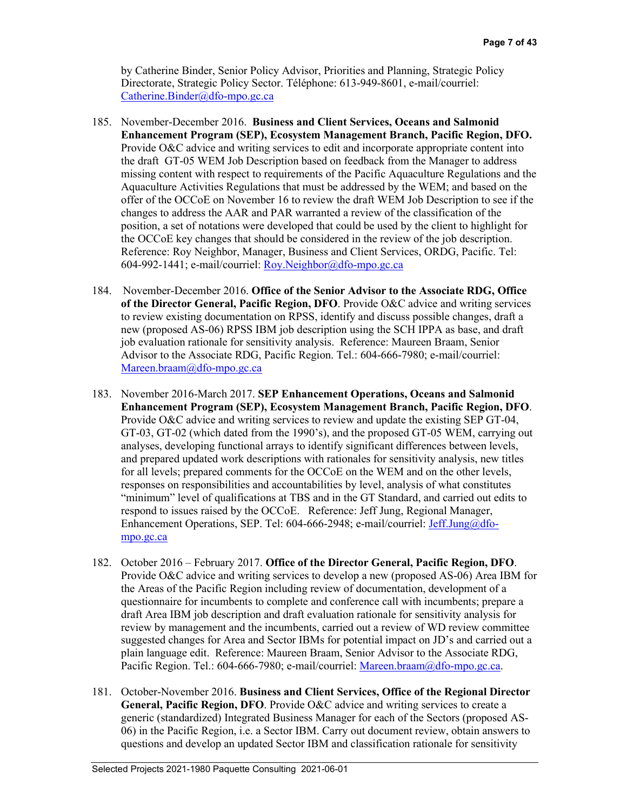by Catherine Binder, Senior Policy Advisor, Priorities and Planning, Strategic Policy Directorate, Strategic Policy Sector. Téléphone: 613-949-8601, e-mail/courriel: [Catherine.Binder@dfo-mpo.gc.ca](mailto:Catherine.Binder@dfo-mpo.gc.ca) 

- 185. November-December 2016. **Business and Client Services, Oceans and Salmonid Enhancement Program (SEP), Ecosystem Management Branch, Pacific Region, DFO.** Provide O&C advice and writing services to edit and incorporate appropriate content into the draft GT-05 WEM Job Description based on feedback from the Manager to address missing content with respect to requirements of the Pacific Aquaculture Regulations and the Aquaculture Activities Regulations that must be addressed by the WEM; and based on the offer of the OCCoE on November 16 to review the draft WEM Job Description to see if the changes to address the AAR and PAR warranted a review of the classification of the position, a set of notations were developed that could be used by the client to highlight for the OCCoE key changes that should be considered in the review of the job description. Reference: Roy Neighbor, Manager, Business and Client Services, ORDG, Pacific. Tel: 604-992-1441; e-mail/courriel: [Roy.Neighbor@dfo-mpo.gc.ca](mailto:Roy.Neighbor@dfo-mpo.gc.ca)
- 184. November-December 2016. **Office of the Senior Advisor to the Associate RDG, Office of the Director General, Pacific Region, DFO**. Provide O&C advice and writing services to review existing documentation on RPSS, identify and discuss possible changes, draft a new (proposed AS-06) RPSS IBM job description using the SCH IPPA as base, and draft job evaluation rationale for sensitivity analysis. Reference: Maureen Braam, Senior Advisor to the Associate RDG, Pacific Region. Tel.: 604-666-7980; e-mail/courriel: [Mareen.braam@dfo-mpo.gc.ca](mailto:Mareen.braam@dfo-mpo.gc.ca)
- 183. November 2016-March 2017. **SEP Enhancement Operations, Oceans and Salmonid Enhancement Program (SEP), Ecosystem Management Branch, Pacific Region, DFO**. Provide O&C advice and writing services to review and update the existing SEP GT-04, GT-03, GT-02 (which dated from the 1990's), and the proposed GT-05 WEM, carrying out analyses, developing functional arrays to identify significant differences between levels, and prepared updated work descriptions with rationales for sensitivity analysis, new titles for all levels; prepared comments for the OCCoE on the WEM and on the other levels, responses on responsibilities and accountabilities by level, analysis of what constitutes "minimum" level of qualifications at TBS and in the GT Standard, and carried out edits to respond to issues raised by the OCCoE. Reference: Jeff Jung, Regional Manager, Enhancement Operations, SEP. Tel: 604-666-2948; e-mail/courriel: [Jeff.Jung@dfo](mailto:Jeff.Jung@dfo-mpo.gc.ca)[mpo.gc.ca](mailto:Jeff.Jung@dfo-mpo.gc.ca)
- 182. October 2016 February 2017. **Office of the Director General, Pacific Region, DFO**. Provide O&C advice and writing services to develop a new (proposed AS-06) Area IBM for the Areas of the Pacific Region including review of documentation, development of a questionnaire for incumbents to complete and conference call with incumbents; prepare a draft Area IBM job description and draft evaluation rationale for sensitivity analysis for review by management and the incumbents, carried out a review of WD review committee suggested changes for Area and Sector IBMs for potential impact on JD's and carried out a plain language edit. Reference: Maureen Braam, Senior Advisor to the Associate RDG, Pacific Region. Tel.: 604-666-7980; e-mail/courriel: [Mareen.braam@dfo-mpo.gc.ca.](mailto:Mareen.braam@dfo-mpo.gc.ca)
- 181. October-November 2016. **Business and Client Services, Office of the Regional Director General, Pacific Region, DFO**. Provide O&C advice and writing services to create a generic (standardized) Integrated Business Manager for each of the Sectors (proposed AS-06) in the Pacific Region, i.e. a Sector IBM. Carry out document review, obtain answers to questions and develop an updated Sector IBM and classification rationale for sensitivity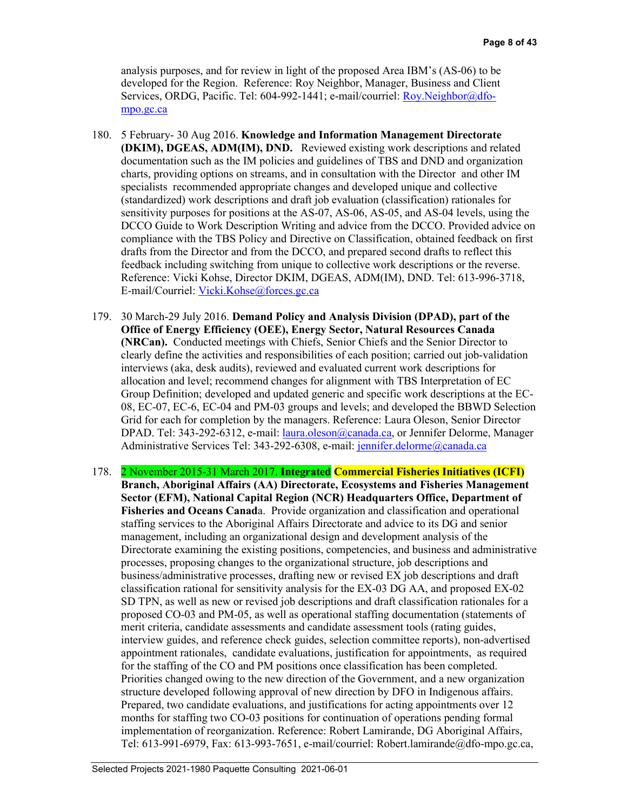analysis purposes, and for review in light of the proposed Area IBM's (AS-06) to be developed for the Region. Reference: Roy Neighbor, Manager, Business and Client Services, ORDG, Pacific. Tel: 604-992-1441; e-mail/courriel: [Roy.Neighbor@dfo](mailto:Roy.Neighbor@dfo-mpo.gc.ca)[mpo.gc.ca](mailto:Roy.Neighbor@dfo-mpo.gc.ca)

- 180. 5 February- 30 Aug 2016. **Knowledge and Information Management Directorate (DKIM), DGEAS, ADM(IM), DND.** Reviewed existing work descriptions and related documentation such as the IM policies and guidelines of TBS and DND and organization charts, providing options on streams, and in consultation with the Director and other IM specialists recommended appropriate changes and developed unique and collective (standardized) work descriptions and draft job evaluation (classification) rationales for sensitivity purposes for positions at the AS-07, AS-06, AS-05, and AS-04 levels, using the DCCO Guide to Work Description Writing and advice from the DCCO. Provided advice on compliance with the TBS Policy and Directive on Classification, obtained feedback on first drafts from the Director and from the DCCO, and prepared second drafts to reflect this feedback including switching from unique to collective work descriptions or the reverse. Reference: Vicki Kohse, Director DKIM, DGEAS, ADM(IM), DND. Tel: 613-996-3718, E-mail/Courriel[: Vicki.Kohse@forces.gc.ca](mailto:Vicki.Kohse@forces.gc.ca)
- 179. 30 March-29 July 2016. **Demand Policy and Analysis Division (DPAD), part of the Office of Energy Efficiency (OEE), Energy Sector, Natural Resources Canada (NRCan).** Conducted meetings with Chiefs, Senior Chiefs and the Senior Director to clearly define the activities and responsibilities of each position; carried out job-validation interviews (aka, desk audits), reviewed and evaluated current work descriptions for allocation and level; recommend changes for alignment with TBS Interpretation of EC Group Definition; developed and updated generic and specific work descriptions at the EC-08, EC-07, EC-6, EC-04 and PM-03 groups and levels; and developed the BBWD Selection Grid for each for completion by the managers. Reference: Laura Oleson, Senior Director DPAD. Tel: 343-292-6312, e-mail: *laura.oleson@canada.ca*, or Jennifer Delorme, Manager Administrative Services Tel: 343-292-6308, e-mail: [jennifer.delorme@canada.ca](mailto:jennifer.delorme@canada.ca)
- 178. 2 November 2015-31 March 2017. **Integrated Commercial Fisheries Initiatives (ICFI) Branch, Aboriginal Affairs (AA) Directorate, Ecosystems and Fisheries Management Sector (EFM), National Capital Region (NCR) Headquarters Office, Department of Fisheries and Oceans Canad**a. Provide organization and classification and operational staffing services to the Aboriginal Affairs Directorate and advice to its DG and senior management, including an organizational design and development analysis of the Directorate examining the existing positions, competencies, and business and administrative processes, proposing changes to the organizational structure, job descriptions and business/administrative processes, drafting new or revised EX job descriptions and draft classification rational for sensitivity analysis for the EX-03 DG AA, and proposed EX-02 SD TPN, as well as new or revised job descriptions and draft classification rationales for a proposed CO-03 and PM-05, as well as operational staffing documentation (statements of merit criteria, candidate assessments and candidate assessment tools (rating guides, interview guides, and reference check guides, selection committee reports), non-advertised appointment rationales, candidate evaluations, justification for appointments, as required for the staffing of the CO and PM positions once classification has been completed. Priorities changed owing to the new direction of the Government, and a new organization structure developed following approval of new direction by DFO in Indigenous affairs. Prepared, two candidate evaluations, and justifications for acting appointments over 12 months for staffing two CO-03 positions for continuation of operations pending formal implementation of reorganization. Reference: Robert Lamirande, DG Aboriginal Affairs, Tel: 613-991-6979, Fax: 613-993-7651, e-mail/courriel: Robert.lamirande@dfo-mpo.gc.ca,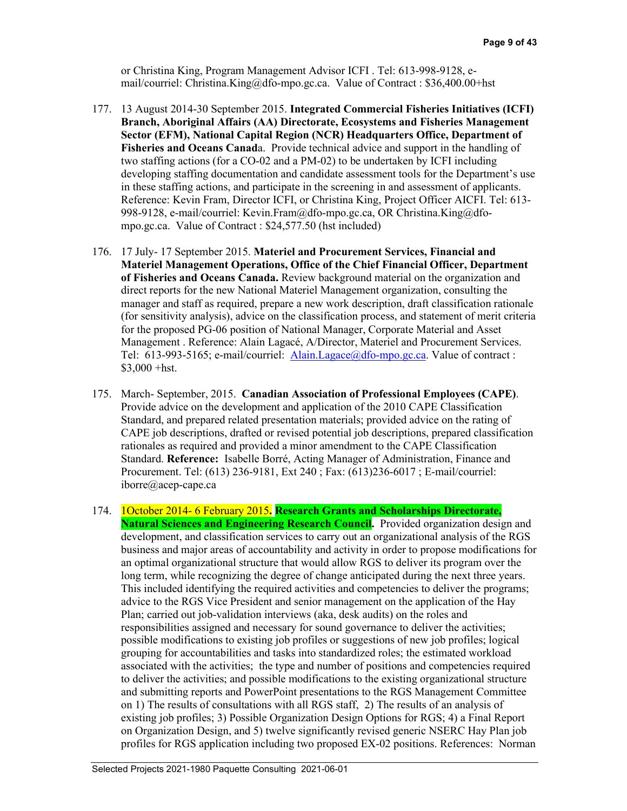or Christina King, Program Management Advisor ICFI . Tel: 613-998-9128, email/courriel: Christina.King@dfo-mpo.gc.ca. Value of Contract : \$36,400.00+hst

- 177. 13 August 2014-30 September 2015. **Integrated Commercial Fisheries Initiatives (ICFI) Branch, Aboriginal Affairs (AA) Directorate, Ecosystems and Fisheries Management Sector (EFM), National Capital Region (NCR) Headquarters Office, Department of Fisheries and Oceans Canad**a. Provide technical advice and support in the handling of two staffing actions (for a CO-02 and a PM-02) to be undertaken by ICFI including developing staffing documentation and candidate assessment tools for the Department's use in these staffing actions, and participate in the screening in and assessment of applicants. Reference: Kevin Fram, Director ICFI, or Christina King, Project Officer AICFI. Tel: 613- 998-9128, e-mail/courriel: Kevin.Fram@dfo-mpo.gc.ca, OR Christina.King@dfompo.gc.ca. Value of Contract : \$24,577.50 (hst included)
- 176. 17 July- 17 September 2015. **Materiel and Procurement Services, Financial and Materiel Management Operations, Office of the Chief Financial Officer, Department of Fisheries and Oceans Canada.** Review background material on the organization and direct reports for the new National Materiel Management organization, consulting the manager and staff as required, prepare a new work description, draft classification rationale (for sensitivity analysis), advice on the classification process, and statement of merit criteria for the proposed PG-06 position of National Manager, Corporate Material and Asset Management . Reference: Alain Lagacé, A/Director, Materiel and Procurement Services. Tel: 613-993-5165; e-mail/courriel: [Alain.Lagace@dfo-mpo.gc.ca.](mailto:Alain.Lagace@dfo-mpo.gc.ca) Value of contract :  $$3,000$  +hst.
- 175. March- September, 2015. **Canadian Association of Professional Employees (CAPE)**. Provide advice on the development and application of the 2010 CAPE Classification Standard, and prepared related presentation materials; provided advice on the rating of CAPE job descriptions, drafted or revised potential job descriptions, prepared classification rationales as required and provided a minor amendment to the CAPE Classification Standard. **Reference:** Isabelle Borré, Acting Manager of Administration, Finance and Procurement. Tel: (613) 236-9181, Ext 240 ; Fax: (613)236-6017 ; E-mail/courriel: iborre@acep-cape.ca
- 174. 1October 2014- 6 February 2015**. Research Grants and Scholarships Directorate, Natural Sciences and Engineering Research Council.** Provided organization design and development, and classification services to carry out an organizational analysis of the RGS business and major areas of accountability and activity in order to propose modifications for an optimal organizational structure that would allow RGS to deliver its program over the long term, while recognizing the degree of change anticipated during the next three years. This included identifying the required activities and competencies to deliver the programs; advice to the RGS Vice President and senior management on the application of the Hay Plan; carried out job-validation interviews (aka, desk audits) on the roles and responsibilities assigned and necessary for sound governance to deliver the activities; possible modifications to existing job profiles or suggestions of new job profiles; logical grouping for accountabilities and tasks into standardized roles; the estimated workload associated with the activities; the type and number of positions and competencies required to deliver the activities; and possible modifications to the existing organizational structure and submitting reports and PowerPoint presentations to the RGS Management Committee on 1) The results of consultations with all RGS staff, 2) The results of an analysis of existing job profiles; 3) Possible Organization Design Options for RGS; 4) a Final Report on Organization Design, and 5) twelve significantly revised generic NSERC Hay Plan job profiles for RGS application including two proposed EX-02 positions. References: Norman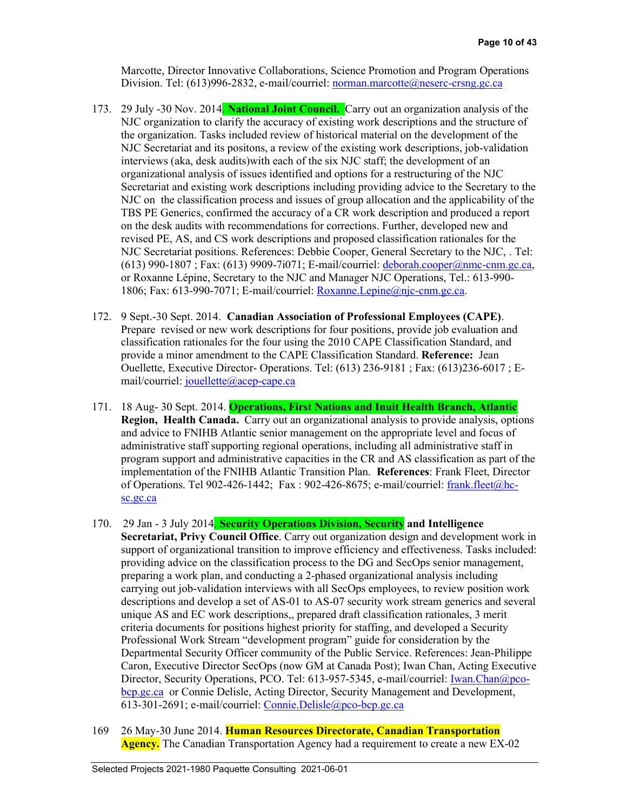Marcotte, Director Innovative Collaborations, Science Promotion and Program Operations Division. Tel: (613)996-2832, e-mail/courriel[: norman.marcotte@neserc-crsng.gc.ca](mailto:norman.marcotte@neserc-crsng.gc.ca)

- 173. 29 July -30 Nov. 2014. **National Joint Council.** Carry out an organization analysis of the NJC organization to clarify the accuracy of existing work descriptions and the structure of the organization. Tasks included review of historical material on the development of the NJC Secretariat and its positons, a review of the existing work descriptions, job-validation interviews (aka, desk audits)with each of the six NJC staff; the development of an organizational analysis of issues identified and options for a restructuring of the NJC Secretariat and existing work descriptions including providing advice to the Secretary to the NJC on the classification process and issues of group allocation and the applicability of the TBS PE Generics, confirmed the accuracy of a CR work description and produced a report on the desk audits with recommendations for corrections. Further, developed new and revised PE, AS, and CS work descriptions and proposed classification rationales for the NJC Secretariat positions. References: Debbie Cooper, General Secretary to the NJC, . Tel: (613) 990-1807 ; Fax: (613) 9909-7i071; E-mail/courriel: [deborah.cooper@nmc-cnm.gc.ca,](mailto:deborah.cooper@nmc-cnm.gc.ca) or Roxanne Lépine, Secretary to the NJC and Manager NJC Operations, Tel.: 613-990- 1806; Fax: 613-990-7071; E-mail/courriel: [Roxanne.Lepine@njc-cnm.gc.ca.](mailto:Roxanne.Lepine@njc-cnm.gc.ca)
- 172. 9 Sept.-30 Sept. 2014. **Canadian Association of Professional Employees (CAPE)**. Prepare revised or new work descriptions for four positions, provide job evaluation and classification rationales for the four using the 2010 CAPE Classification Standard, and provide a minor amendment to the CAPE Classification Standard. **Reference:** Jean Ouellette, Executive Director- Operations. Tel: (613) 236-9181 ; Fax: (613)236-6017 ; Email/courriel: [jouellette@acep-cape.ca](mailto:jouellette@acep-cape.ca)
- 171. 18 Aug- 30 Sept. 2014. **Operations, First Nations and Inuit Health Branch, Atlantic Region, Health Canada.** Carry out an organizational analysis to provide analysis, options and advice to FNIHB Atlantic senior management on the appropriate level and focus of administrative staff supporting regional operations, including all administrative staff in program support and administrative capacities in the CR and AS classification as part of the implementation of the FNIHB Atlantic Transition Plan. **References**: Frank Fleet, Director of Operations. Tel 902-426-1442; Fax : 902-426-8675; e-mail/courriel: [frank.fleet@hc](mailto:frank.fleet@hc-sc.gc.ca)[sc.gc.ca](mailto:frank.fleet@hc-sc.gc.ca)
- 170. 29 Jan 3 July 2014. **Security Operations Division, Security and Intelligence Secretariat, Privy Council Office**. Carry out organization design and development work in support of organizational transition to improve efficiency and effectiveness. Tasks included: providing advice on the classification process to the DG and SecOps senior management, preparing a work plan, and conducting a 2-phased organizational analysis including carrying out job-validation interviews with all SecOps employees, to review position work descriptions and develop a set of AS-01 to AS-07 security work stream generics and several unique AS and EC work descriptions,, prepared draft classification rationales, 3 merit criteria documents for positions highest priority for staffing, and developed a Security Professional Work Stream "development program" guide for consideration by the Departmental Security Officer community of the Public Service. References: Jean-Philippe Caron, Executive Director SecOps (now GM at Canada Post); Iwan Chan, Acting Executive Director, Security Operations, PCO. Tel: 613-957-5345, e-mail/courriel: [Iwan.Chan@pco](mailto:Iwan.Chan@pco-bcp.gc.ca)[bcp.gc.ca](mailto:Iwan.Chan@pco-bcp.gc.ca) or Connie Delisle, Acting Director, Security Management and Development, 613-301-2691; e-mail/courriel: [Connie.Delisle@pco-bcp.gc.ca](mailto:Connie.Delisle@pco-bcp.gc.ca)
- 169 26 May-30 June 2014. **Human Resources Directorate, Canadian Transportation Agency.** The Canadian Transportation Agency had a requirement to create a new EX-02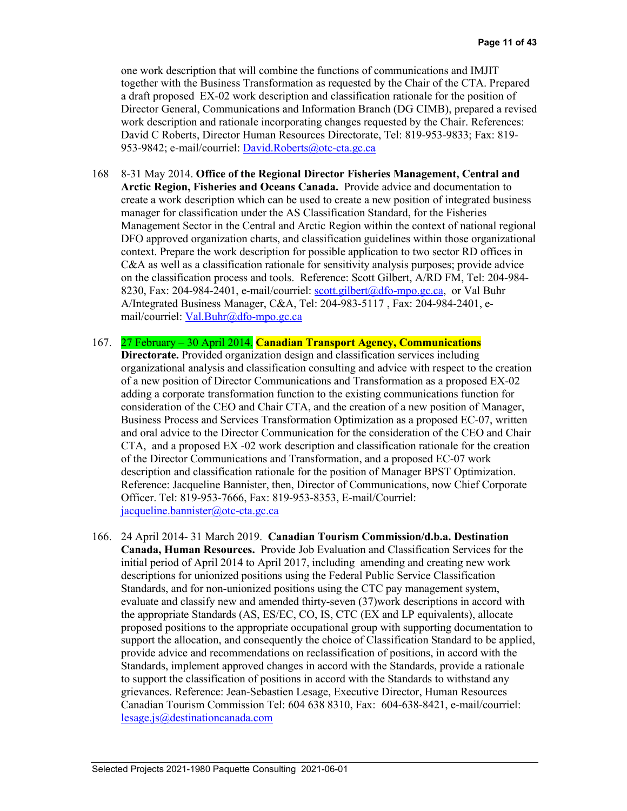one work description that will combine the functions of communications and IMJIT together with the Business Transformation as requested by the Chair of the CTA. Prepared a draft proposed EX-02 work description and classification rationale for the position of Director General, Communications and Information Branch (DG CIMB), prepared a revised work description and rationale incorporating changes requested by the Chair. References: David C Roberts, Director Human Resources Directorate, Tel: 819-953-9833; Fax: 819- 953-9842; e-mail/courriel: [David.Roberts@otc-cta.gc.ca](mailto:David.Roberts@otc-cta.gc.ca)

- 168 8-31 May 2014. **Office of the Regional Director Fisheries Management, Central and Arctic Region, Fisheries and Oceans Canada.** Provide advice and documentation to create a work description which can be used to create a new position of integrated business manager for classification under the AS Classification Standard, for the Fisheries Management Sector in the Central and Arctic Region within the context of national regional DFO approved organization charts, and classification guidelines within those organizational context. Prepare the work description for possible application to two sector RD offices in C&A as well as a classification rationale for sensitivity analysis purposes; provide advice on the classification process and tools. Reference: Scott Gilbert, A/RD FM, Tel: 204-984- 8230, Fax: 204-984-2401, e-mail/courriel: [scott.gilbert@dfo-mpo.gc.ca,](mailto:scott.gilbert@dfo-mpo.gc.ca) or Val Buhr A/Integrated Business Manager, C&A, Tel: 204-983-5117 , Fax: 204-984-2401, email/courriel: [Val.Buhr@dfo-mpo.gc.ca](mailto:Val.Buhr@dfo-mpo.gc.ca)
- 167. 27 February 30 April 2014. **Canadian Transport Agency, Communications**
	- **Directorate.** Provided organization design and classification services including organizational analysis and classification consulting and advice with respect to the creation of a new position of Director Communications and Transformation as a proposed EX-02 adding a corporate transformation function to the existing communications function for consideration of the CEO and Chair CTA, and the creation of a new position of Manager, Business Process and Services Transformation Optimization as a proposed EC-07, written and oral advice to the Director Communication for the consideration of the CEO and Chair CTA, and a proposed EX -02 work description and classification rationale for the creation of the Director Communications and Transformation, and a proposed EC-07 work description and classification rationale for the position of Manager BPST Optimization. Reference: Jacqueline Bannister, then, Director of Communications, now Chief Corporate Officer. Tel: 819-953-7666, Fax: 819-953-8353, E-mail/Courriel: [jacqueline.bannister@otc-cta.gc.ca](mailto:jacqueline.bannister@otc-cta.gc.ca)
- 166. 24 April 2014- 31 March 2019. **Canadian Tourism Commission/d.b.a. Destination Canada, Human Resources.** Provide Job Evaluation and Classification Services for the initial period of April 2014 to April 2017, including amending and creating new work descriptions for unionized positions using the Federal Public Service Classification Standards, and for non-unionized positions using the CTC pay management system, evaluate and classify new and amended thirty-seven (37)work descriptions in accord with the appropriate Standards (AS, ES/EC, CO, IS, CTC (EX and LP equivalents), allocate proposed positions to the appropriate occupational group with supporting documentation to support the allocation, and consequently the choice of Classification Standard to be applied, provide advice and recommendations on reclassification of positions, in accord with the Standards, implement approved changes in accord with the Standards, provide a rationale to support the classification of positions in accord with the Standards to withstand any grievances. Reference: Jean-Sebastien Lesage, Executive Director, Human Resources Canadian Tourism Commission Tel: 604 638 8310, Fax: 604-638-8421, e-mail/courriel: [lesage.js@destinationcanada.com](mailto:lesage.js@destinationcanada.com)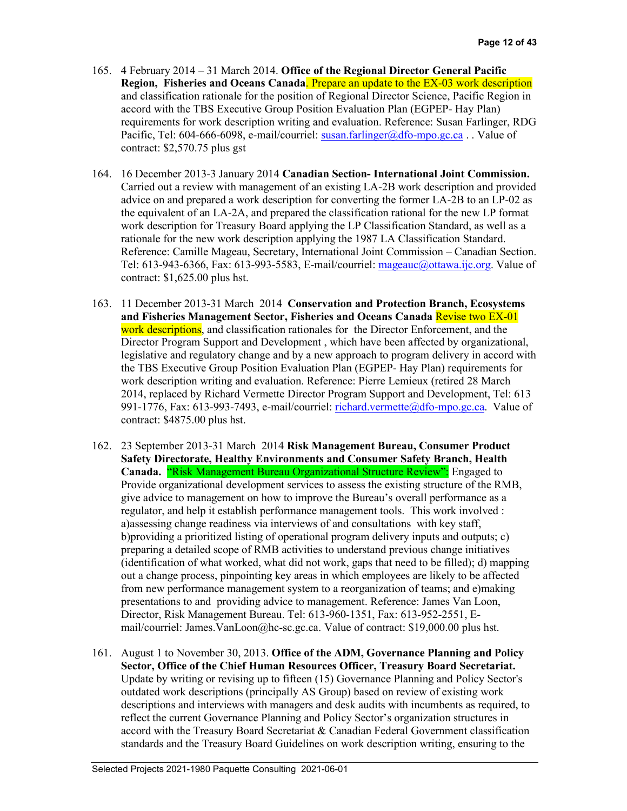- 165. 4 February 2014 31 March 2014. **Office of the Regional Director General Pacific Region, Fisheries and Oceans Canada**. Prepare an update to the EX-03 work description and classification rationale for the position of Regional Director Science, Pacific Region in accord with the TBS Executive Group Position Evaluation Plan (EGPEP- Hay Plan) requirements for work description writing and evaluation. Reference: Susan Farlinger, RDG Pacific, Tel: 604-666-6098, e-mail/courriel: [susan.farlinger@dfo-mpo.gc.ca](mailto:susan.farlinger@dfo-mpo.gc.ca). Value of contract: \$2,570.75 plus gst
- 164. 16 December 2013-3 January 2014 **Canadian Section- International Joint Commission.**  Carried out a review with management of an existing LA-2B work description and provided advice on and prepared a work description for converting the former LA-2B to an LP-02 as the equivalent of an LA-2A, and prepared the classification rational for the new LP format work description for Treasury Board applying the LP Classification Standard, as well as a rationale for the new work description applying the 1987 LA Classification Standard. Reference: Camille Mageau, Secretary, International Joint Commission – Canadian Section. Tel: 613-943-6366, Fax: 613-993-5583, E-mail/courriel: [mageauc@ottawa.ijc.org.](mailto:mageauc@ottawa.ijc.org) Value of contract: \$1,625.00 plus hst.
- 163. 11 December 2013-31 March 2014 **Conservation and Protection Branch, Ecosystems and Fisheries Management Sector, Fisheries and Oceans Canada** Revise two EX-01 work descriptions, and classification rationales for the Director Enforcement, and the Director Program Support and Development , which have been affected by organizational, legislative and regulatory change and by a new approach to program delivery in accord with the TBS Executive Group Position Evaluation Plan (EGPEP- Hay Plan) requirements for work description writing and evaluation. Reference: Pierre Lemieux (retired 28 March 2014, replaced by Richard Vermette Director Program Support and Development, Tel: 613 991-1776, Fax: 613-993-7493, e-mail/courriel: [richard.vermette@dfo-mpo.gc.ca.](mailto:richard.vermette@dfo-mpo.gc.ca) Value of contract: \$4875.00 plus hst.
- 162. 23 September 2013-31 March 2014 **Risk Management Bureau, Consumer Product Safety Directorate, Healthy Environments and Consumer Safety Branch, Health Canada.** "Risk Management Bureau Organizational Structure Review": Engaged to Provide organizational development services to assess the existing structure of the RMB, give advice to management on how to improve the Bureau's overall performance as a regulator, and help it establish performance management tools. This work involved : a)assessing change readiness via interviews of and consultations with key staff, b)providing a prioritized listing of operational program delivery inputs and outputs; c) preparing a detailed scope of RMB activities to understand previous change initiatives (identification of what worked, what did not work, gaps that need to be filled); d) mapping out a change process, pinpointing key areas in which employees are likely to be affected from new performance management system to a reorganization of teams; and e)making presentations to and providing advice to management. Reference: James Van Loon, Director, Risk Management Bureau. Tel: 613-960-1351, Fax: 613-952-2551, Email/courriel: James.VanLoon@hc-sc.gc.ca. Value of contract: \$19,000.00 plus hst.
- 161. August 1 to November 30, 2013. **Office of the ADM, Governance Planning and Policy Sector, Office of the Chief Human Resources Officer, Treasury Board Secretariat.** Update by writing or revising up to fifteen (15) Governance Planning and Policy Sector's outdated work descriptions (principally AS Group) based on review of existing work descriptions and interviews with managers and desk audits with incumbents as required, to reflect the current Governance Planning and Policy Sector's organization structures in accord with the Treasury Board Secretariat & Canadian Federal Government classification standards and the Treasury Board Guidelines on work description writing, ensuring to the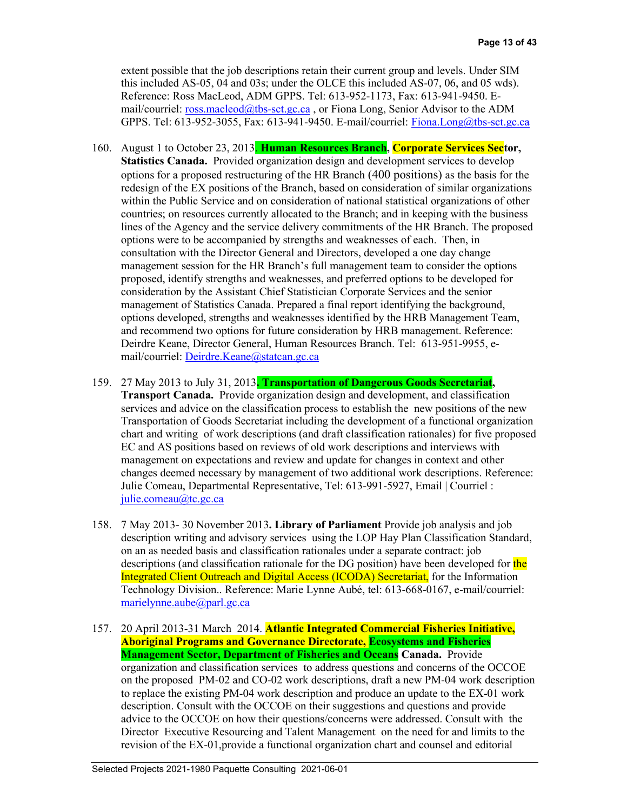extent possible that the job descriptions retain their current group and levels. Under SIM this included AS-05, 04 and 03s; under the OLCE this included AS-07, 06, and 05 wds). Reference: Ross MacLeod, ADM GPPS. Tel: 613-952-1173, Fax: 613-941-9450. Email/courriel: [ross.macleod@tbs-sct.gc.ca](mailto:ross.macleod@tbs-sct.gc.ca), or Fiona Long, Senior Advisor to the ADM GPPS. Tel: 613-952-3055, Fax: 613-941-9450. E-mail/courriel: [Fiona.Long@tbs-sct.gc.ca](mailto:Fiona.Long@tbs-sct.gc.ca)

- 160. August 1 to October 23, 2013. **Human Resources Branch, Corporate Services Sector, Statistics Canada.** Provided organization design and development services to develop options for a proposed restructuring of the HR Branch (400 positions) as the basis for the redesign of the EX positions of the Branch, based on consideration of similar organizations within the Public Service and on consideration of national statistical organizations of other countries; on resources currently allocated to the Branch; and in keeping with the business lines of the Agency and the service delivery commitments of the HR Branch. The proposed options were to be accompanied by strengths and weaknesses of each. Then, in consultation with the Director General and Directors, developed a one day change management session for the HR Branch's full management team to consider the options proposed, identify strengths and weaknesses, and preferred options to be developed for consideration by the Assistant Chief Statistician Corporate Services and the senior management of Statistics Canada. Prepared a final report identifying the background, options developed, strengths and weaknesses identified by the HRB Management Team, and recommend two options for future consideration by HRB management. Reference: Deirdre Keane, Director General, Human Resources Branch. Tel: 613-951-9955, e-mail/courriel: [Deirdre.Keane@statcan.gc.ca](mailto:Deirdre.Keane@statcan.gc.ca)
- 159. 27 May 2013 to July 31, 2013**. Transportation of Dangerous Goods Secretariat, Transport Canada.** Provide organization design and development, and classification services and advice on the classification process to establish the new positions of the new Transportation of Goods Secretariat including the development of a functional organization chart and writing of work descriptions (and draft classification rationales) for five proposed EC and AS positions based on reviews of old work descriptions and interviews with management on expectations and review and update for changes in context and other changes deemed necessary by management of two additional work descriptions. Reference: Julie Comeau, Departmental Representative, Tel: 613-991-5927, Email | Courriel : [julie.comeau@tc.gc.ca](mailto:julie.comeau@tc.gc.ca)
- 158. 7 May 2013- 30 November 2013**. Library of Parliament** Provide job analysis and job description writing and advisory services using the LOP Hay Plan Classification Standard, on an as needed basis and classification rationales under a separate contract: job descriptions (and classification rationale for the DG position) have been developed for the Integrated Client Outreach and Digital Access (ICODA) Secretariat, for the Information Technology Division.. Reference: Marie Lynne Aubé, tel: 613-668-0167, e-mail/courriel: [marielynne.aube@parl.gc.ca](mailto:marielynne.aube@parl.gc.ca)
- 157. 20 April 2013-31 March 2014. **Atlantic Integrated Commercial Fisheries Initiative, Aboriginal Programs and Governance Directorate, Ecosystems and Fisheries Management Sector, Department of Fisheries and Oceans Canada.** Provide organization and classification services to address questions and concerns of the OCCOE on the proposed PM-02 and CO-02 work descriptions, draft a new PM-04 work description to replace the existing PM-04 work description and produce an update to the EX-01 work description. Consult with the OCCOE on their suggestions and questions and provide advice to the OCCOE on how their questions/concerns were addressed. Consult with the Director Executive Resourcing and Talent Management on the need for and limits to the revision of the EX-01,provide a functional organization chart and counsel and editorial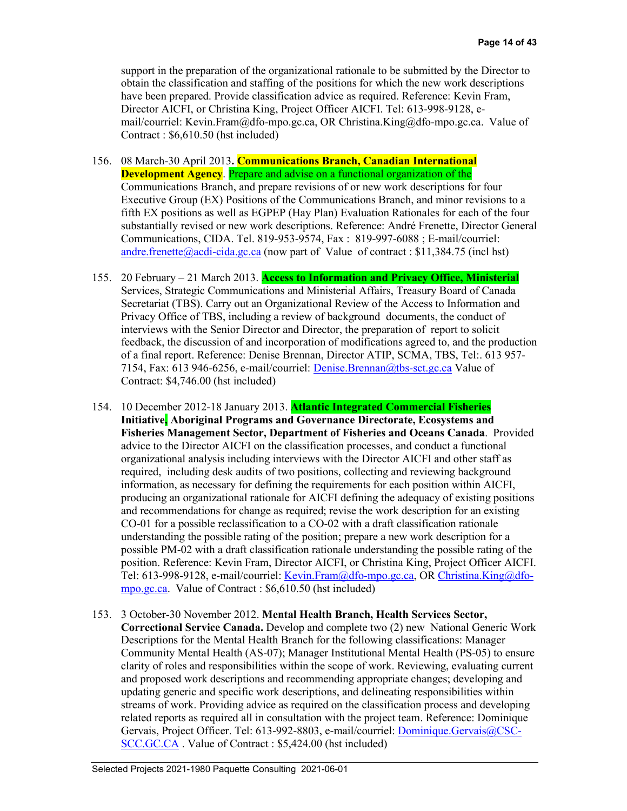support in the preparation of the organizational rationale to be submitted by the Director to obtain the classification and staffing of the positions for which the new work descriptions have been prepared. Provide classification advice as required. Reference: Kevin Fram, Director AICFI, or Christina King, Project Officer AICFI. Tel: 613-998-9128, email/courriel: Kevin.Fram@dfo-mpo.gc.ca, OR Christina.King@dfo-mpo.gc.ca. Value of Contract : \$6,610.50 (hst included)

- 156. 08 March-30 April 2013**. Communications Branch, Canadian International Development Agency.** Prepare and advise on a functional organization of the Communications Branch, and prepare revisions of or new work descriptions for four Executive Group (EX) Positions of the Communications Branch, and minor revisions to a fifth EX positions as well as EGPEP (Hay Plan) Evaluation Rationales for each of the four substantially revised or new work descriptions. Reference: André Frenette, Director General Communications, CIDA. Tel. 819-953-9574, Fax : 819-997-6088 ; E-mail/courriel: [andre.frenette@acdi-cida.gc.ca](mailto:andre.frenette@acdi-cida.gc.ca) (now part of Value of contract : \$11,384.75 (incl hst)
- 155. 20 February 21 March 2013. **Access to Information and Privacy Office, Ministerial** Services, Strategic Communications and Ministerial Affairs, Treasury Board of Canada Secretariat (TBS). Carry out an Organizational Review of the Access to Information and Privacy Office of TBS, including a review of background documents, the conduct of interviews with the Senior Director and Director, the preparation of report to solicit feedback, the discussion of and incorporation of modifications agreed to, and the production of a final report. Reference: Denise Brennan, Director ATIP, SCMA, TBS, Tel:. 613 957- 7154, Fax: 613 946-6256, e-mail/courriel: [Denise.Brennan@tbs-sct.gc.ca](mailto:Denise.Brennan@tbs-sct.gc.ca) Value of Contract: \$4,746.00 (hst included)
- 154. 10 December 2012-18 January 2013. **Atlantic Integrated Commercial Fisheries Initiative, Aboriginal Programs and Governance Directorate, Ecosystems and Fisheries Management Sector, Department of Fisheries and Oceans Canada**. Provided advice to the Director AICFI on the classification processes, and conduct a functional organizational analysis including interviews with the Director AICFI and other staff as required, including desk audits of two positions, collecting and reviewing background information, as necessary for defining the requirements for each position within AICFI, producing an organizational rationale for AICFI defining the adequacy of existing positions and recommendations for change as required; revise the work description for an existing CO-01 for a possible reclassification to a CO-02 with a draft classification rationale understanding the possible rating of the position; prepare a new work description for a possible PM-02 with a draft classification rationale understanding the possible rating of the position. Reference: Kevin Fram, Director AICFI, or Christina King, Project Officer AICFI. Tel: 613-998-9128, e-mail/courriel[: Kevin.Fram@dfo-mpo.gc.ca,](mailto:Kevin.Fram@dfo-mpo.gc.ca) O[R Christina.King@dfo](mailto:Christina.King@dfo-mpo.gc.ca)[mpo.gc.ca.](mailto:Christina.King@dfo-mpo.gc.ca) Value of Contract : \$6,610.50 (hst included)
- 153. 3 October-30 November 2012. **Mental Health Branch, Health Services Sector, Correctional Service Canada.** Develop and complete two (2) new National Generic Work Descriptions for the Mental Health Branch for the following classifications: Manager Community Mental Health (AS-07); Manager Institutional Mental Health (PS-05) to ensure clarity of roles and responsibilities within the scope of work. Reviewing, evaluating current and proposed work descriptions and recommending appropriate changes; developing and updating generic and specific work descriptions, and delineating responsibilities within streams of work. Providing advice as required on the classification process and developing related reports as required all in consultation with the project team. Reference: Dominique Gervais, Project Officer. Tel: 613-992-8803, e-mail/courriel: [Dominique.Gervais@CSC-](mailto:Dominique.Gervais@CSC-SCC.GC.CA)[SCC.GC.CA](mailto:Dominique.Gervais@CSC-SCC.GC.CA) . Value of Contract : \$5,424.00 (hst included)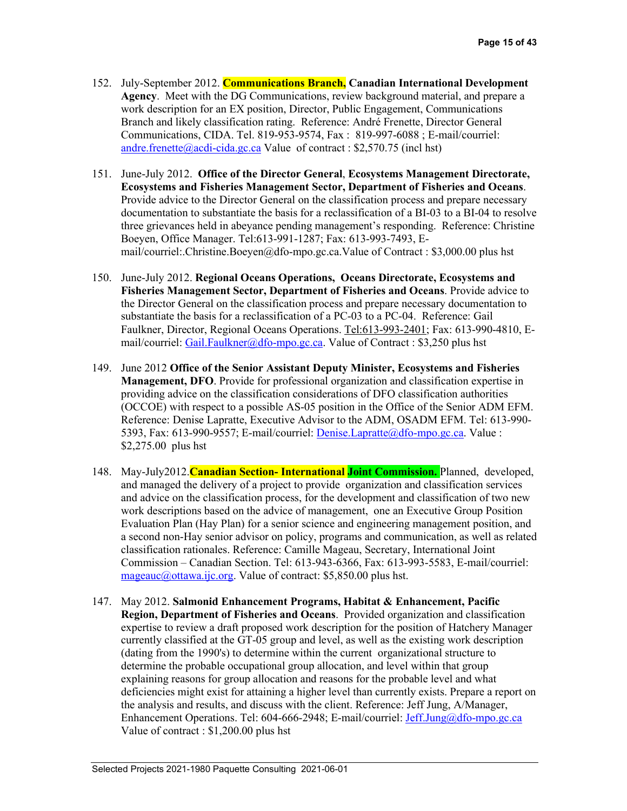- 152. July-September 2012. **Communications Branch, Canadian International Development Agency**. Meet with the DG Communications, review background material, and prepare a work description for an EX position, Director, Public Engagement, Communications Branch and likely classification rating. Reference: André Frenette, Director General Communications, CIDA. Tel. 819-953-9574, Fax : 819-997-6088 ; E-mail/courriel: [andre.frenette@acdi-cida.gc.ca](mailto:andre.frenette@acdi-cida.gc.ca) Value of contract : \$2,570.75 (incl hst)
- 151. June-July 2012. **Office of the Director General**, **Ecosystems Management Directorate, Ecosystems and Fisheries Management Sector, Department of Fisheries and Oceans**. Provide advice to the Director General on the classification process and prepare necessary documentation to substantiate the basis for a reclassification of a BI-03 to a BI-04 to resolve three grievances held in abeyance pending management's responding. Reference: Christine Boeyen, Office Manager[. Tel:613-991-128](tel:613-991-12)7; Fax: 613-993-7493, Email/courriel:.Christine.Boeyen@dfo-mpo.gc.ca.Value of Contract : \$3,000.00 plus hst
- 150. June-July 2012. **Regional Oceans Operations, Oceans Directorate, Ecosystems and Fisheries Management Sector, Department of Fisheries and Oceans**. Provide advice to the Director General on the classification process and prepare necessary documentation to substantiate the basis for a reclassification of a PC-03 to a PC-04. Reference: Gail Faulkner, Director, Regional Oceans Operations. [Tel:613-993-2401;](tel:613-993-2401) Fax: 613-990-4810, E-mail/courriel: [Gail.Faulkner@dfo-mpo.gc.ca.](mailto:Gail.Faulkner@dfo-mpo.gc.ca) Value of Contract : \$3,250 plus hst
- 149. June 2012 **Office of the Senior Assistant Deputy Minister, Ecosystems and Fisheries Management, DFO**. Provide for professional organization and classification expertise in providing advice on the classification considerations of DFO classification authorities (OCCOE) with respect to a possible AS-05 position in the Office of the Senior ADM EFM. Reference: Denise Lapratte, Executive Advisor to the ADM, OSADM EFM. Tel: 613-990- 5393, Fax: 613-990-9557; E-mail/courriel: [Denise.Lapratte@dfo-mpo.gc.ca.](mailto:Denise.Lapratte@dfo-mpo.gc.ca) Value : \$2,275.00 plus hst
- 148. May-July2012.**Canadian Section- International Joint Commission.** Planned, developed, and managed the delivery of a project to provide organization and classification services and advice on the classification process, for the development and classification of two new work descriptions based on the advice of management, one an Executive Group Position Evaluation Plan (Hay Plan) for a senior science and engineering management position, and a second non-Hay senior advisor on policy, programs and communication, as well as related classification rationales. Reference: Camille Mageau, Secretary, International Joint Commission – Canadian Section. Tel: 613-943-6366, Fax: 613-993-5583, E-mail/courriel: [mageauc@ottawa.ijc.org.](mailto:mageauc@ottawa.ijc.org) Value of contract: \$5,850.00 plus hst.
- 147. May 2012. **Salmonid Enhancement Programs, Habitat & Enhancement, Pacific Region, Department of Fisheries and Oceans**. Provided organization and classification expertise to review a draft proposed work description for the position of Hatchery Manager currently classified at the GT-05 group and level, as well as the existing work description (dating from the 1990's) to determine within the current organizational structure to determine the probable occupational group allocation, and level within that group explaining reasons for group allocation and reasons for the probable level and what deficiencies might exist for attaining a higher level than currently exists. Prepare a report on the analysis and results, and discuss with the client. Reference: Jeff Jung, A/Manager, Enhancement Operations. Tel: 604-666-2948; E-mail/courriel: [Jeff.Jung@dfo-mpo.gc.ca](mailto:Jeff.Jung@dfo-mpo.gc.ca)  Value of contract : \$1,200.00 plus hst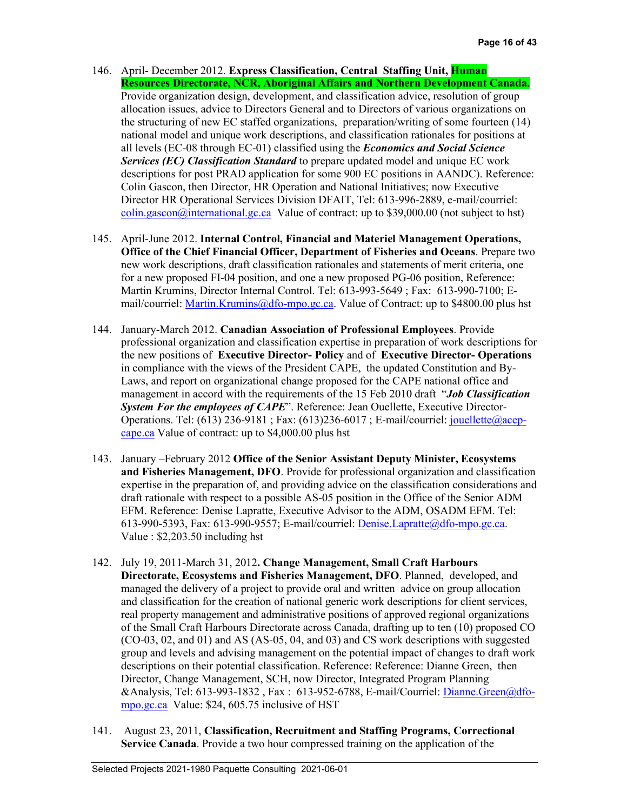- 146. April- December 2012. **Express Classification, Central Staffing Unit, Human Resources Directorate, NCR, Aboriginal Affairs and Northern Development Canada.** Provide organization design, development, and classification advice, resolution of group allocation issues, advice to Directors General and to Directors of various organizations on the structuring of new EC staffed organizations, preparation/writing of some fourteen (14) national model and unique work descriptions, and classification rationales for positions at all levels (EC-08 through EC-01) classified using the *Economics and Social Science Services (EC) Classification Standard* to prepare updated model and unique EC work descriptions for post PRAD application for some 900 EC positions in AANDC). Reference: Colin Gascon, then Director, HR Operation and National Initiatives; now Executive Director HR Operational Services Division DFAIT, Tel: 613-996-2889, e-mail/courriel: [colin.gascon@international.gc.ca](mailto:colin.gascon@international.gc.ca) Value of contract: up to \$39,000.00 (not subject to hst)
- 145. April-June 2012. **Internal Control, Financial and Materiel Management Operations, Office of the Chief Financial Officer, Department of Fisheries and Oceans**. Prepare two new work descriptions, draft classification rationales and statements of merit criteria, one for a new proposed FI-04 position, and one a new proposed PG-06 position, Reference: Martin Krumins, Director Internal Control. Tel: 613-993-5649 ; Fax: 613-990-7100; Email/courriel: [Martin.Krumins@dfo-mpo.gc.ca.](mailto:Martin.Krumins@dfo-mpo.gc.ca) Value of Contract: up to \$4800.00 plus hst
- 144. January-March 2012. **Canadian Association of Professional Employees**. Provide professional organization and classification expertise in preparation of work descriptions for the new positions of **Executive Director- Policy** and of **Executive Director- Operations** in compliance with the views of the President CAPE, the updated Constitution and By-Laws, and report on organizational change proposed for the CAPE national office and management in accord with the requirements of the 15 Feb 2010 draft "*Job Classification System For the employees of CAPE*". Reference: Jean Ouellette, Executive Director-Operations. Tel: (613) 236-9181 ; Fax: (613)236-6017 ; E-mail/courriel: [jouellette@acep](mailto:jouellette@acep-cape.ca)[cape.ca](mailto:jouellette@acep-cape.ca) Value of contract: up to \$4,000.00 plus hst
- 143. January –February 2012 **Office of the Senior Assistant Deputy Minister, Ecosystems and Fisheries Management, DFO**. Provide for professional organization and classification expertise in the preparation of, and providing advice on the classification considerations and draft rationale with respect to a possible AS-05 position in the Office of the Senior ADM EFM. Reference: Denise Lapratte, Executive Advisor to the ADM, OSADM EFM. Tel: 613-990-5393, Fax: 613-990-9557; E-mail/courriel: [Denise.Lapratte@dfo-mpo.gc.ca.](mailto:Denise.Lapratte@dfo-mpo.gc.ca) Value : \$2,203.50 including hst
- 142. July 19, 2011-March 31, 2012**. Change Management, Small Craft Harbours Directorate, Ecosystems and Fisheries Management, DFO**. Planned, developed, and managed the delivery of a project to provide oral and written advice on group allocation and classification for the creation of national generic work descriptions for client services, real property management and administrative positions of approved regional organizations of the Small Craft Harbours Directorate across Canada, drafting up to ten (10) proposed CO (CO-03, 02, and 01) and AS (AS-05, 04, and 03) and CS work descriptions with suggested group and levels and advising management on the potential impact of changes to draft work descriptions on their potential classification. Reference: Reference: Dianne Green, then Director, Change Management, SCH, now Director, Integrated Program Planning &Analysis, Tel: 613-993-1832 , Fax : 613-952-6788, E-mail/Courriel: [Dianne.Green@dfo](mailto:Dianne.Green@dfo-mpo.gc.ca)[mpo.gc.ca](mailto:Dianne.Green@dfo-mpo.gc.ca) Value: \$24, 605.75 inclusive of HST
- 141. August 23, 2011, **Classification, Recruitment and Staffing Programs, Correctional Service Canada**. Provide a two hour compressed training on the application of the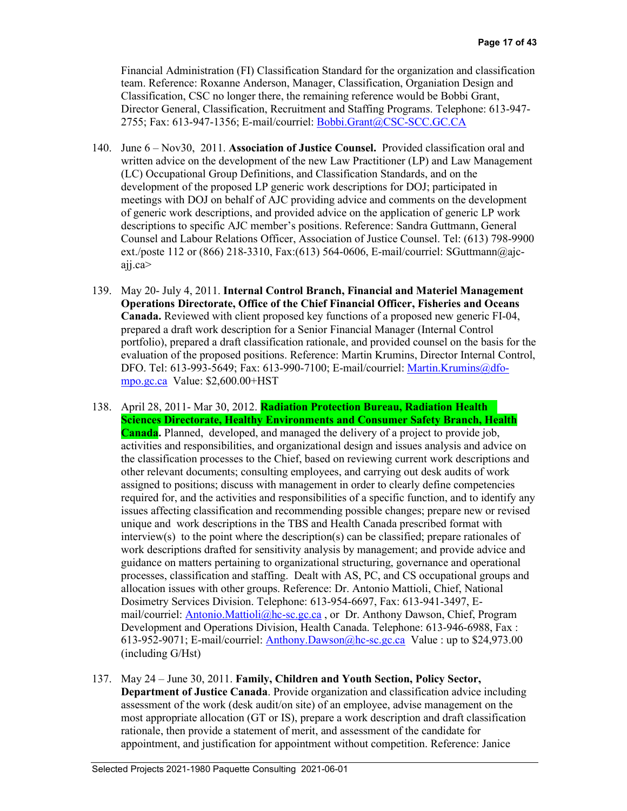Financial Administration (FI) Classification Standard for the organization and classification team. Reference: Roxanne Anderson, Manager, Classification, Organiation Design and Classification, CSC no longer there, the remaining reference would be Bobbi Grant, Director General, Classification, Recruitment and Staffing Programs. Telephone: 613-947- 2755; Fax: 613-947-1356; E-mail/courriel: [Bobbi.Grant@CSC-SCC.GC.CA](mailto:Bobbi.Grant@CSC-SCC.GC.CA)

- 140. June 6 Nov30, 2011. **Association of Justice Counsel.** Provided classification oral and written advice on the development of the new Law Practitioner (LP) and Law Management (LC) Occupational Group Definitions, and Classification Standards, and on the development of the proposed LP generic work descriptions for DOJ; participated in meetings with DOJ on behalf of AJC providing advice and comments on the development of generic work descriptions, and provided advice on the application of generic LP work descriptions to specific AJC member's positions. Reference: Sandra Guttmann, General Counsel and Labour Relations Officer, Association of Justice Counsel. Tel: (613) 798-9900 ext./poste 112 or (866) 218-3310, Fax:(613) 564-0606, E-mail/courriel: SGuttmann@ajcajj.ca>
- 139. May 20- July 4, 2011. **Internal Control Branch, Financial and Materiel Management Operations Directorate, Office of the Chief Financial Officer, Fisheries and Oceans Canada.** Reviewed with client proposed key functions of a proposed new generic FI-04, prepared a draft work description for a Senior Financial Manager (Internal Control portfolio), prepared a draft classification rationale, and provided counsel on the basis for the evaluation of the proposed positions. Reference: Martin Krumins, Director Internal Control, DFO. Tel: 613-993-5649; Fax: 613-990-7100; E-mail/courriel: [Martin.Krumins@dfo](mailto:Martin.Krumins@dfo-mpo.gc.ca)[mpo.gc.ca](mailto:Martin.Krumins@dfo-mpo.gc.ca) Value: \$2,600.00+HST
- 138. April 28, 2011- Mar 30, 2012. **Radiation Protection Bureau, Radiation Health Sciences Directorate, Healthy Environments and Consumer Safety Branch, Health Canada.** Planned, developed, and managed the delivery of a project to provide job, activities and responsibilities, and organizational design and issues analysis and advice on the classification processes to the Chief, based on reviewing current work descriptions and other relevant documents; consulting employees, and carrying out desk audits of work assigned to positions; discuss with management in order to clearly define competencies required for, and the activities and responsibilities of a specific function, and to identify any issues affecting classification and recommending possible changes; prepare new or revised unique and work descriptions in the TBS and Health Canada prescribed format with interview(s) to the point where the description(s) can be classified; prepare rationales of work descriptions drafted for sensitivity analysis by management; and provide advice and guidance on matters pertaining to organizational structuring, governance and operational processes, classification and staffing. Dealt with AS, PC, and CS occupational groups and allocation issues with other groups. Reference: Dr. Antonio Mattioli, Chief, National Dosimetry Services Division. Telephone: 613-954-6697, Fax: 613-941-3497, Email/courriel: [Antonio.Mattioli@hc-sc.gc.ca](mailto:Antonio.Mattioli@hc-sc.gc.ca) , or Dr. Anthony Dawson, Chief, Program Development and Operations Division, Health Canada. Telephone: 613-946-6988, Fax : 613-952-9071; E-mail/courriel: [Anthony.Dawson@hc-sc.gc.ca](mailto:Anthony.Dawson@hc-sc.gc.ca) Value : up to \$24,973.00 (including G/Hst)
- 137. May 24 June 30, 2011. **Family, Children and Youth Section, Policy Sector, Department of Justice Canada**. Provide organization and classification advice including assessment of the work (desk audit/on site) of an employee, advise management on the most appropriate allocation (GT or IS), prepare a work description and draft classification rationale, then provide a statement of merit, and assessment of the candidate for appointment, and justification for appointment without competition. Reference: Janice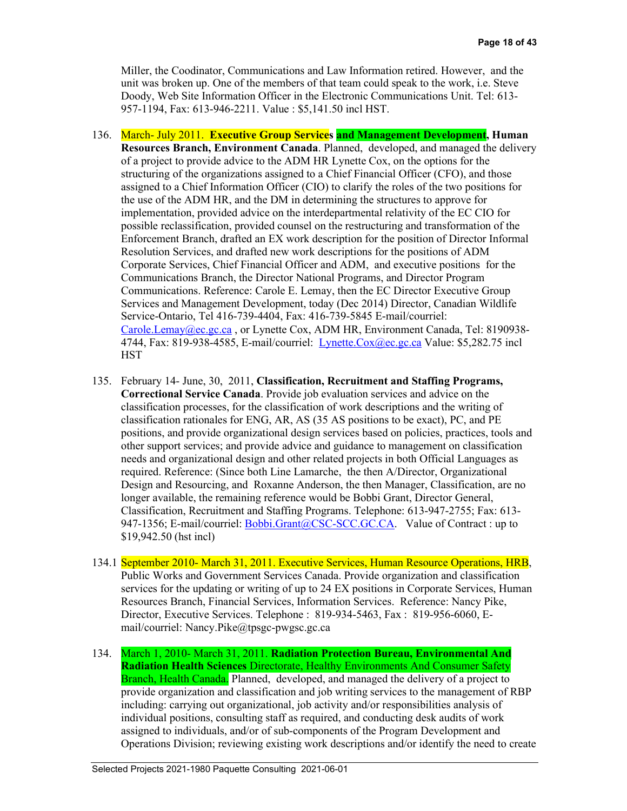Miller, the Coodinator, Communications and Law Information retired. However, and the unit was broken up. One of the members of that team could speak to the work, i.e. Steve Doody, Web Site Information Officer in the Electronic Communications Unit. Tel: 613- 957-1194, Fax: 613-946-2211. Value : \$5,141.50 incl HST.

- 136. March- July 2011. **Executive Group Services and Management Development, Human Resources Branch, Environment Canada**. Planned, developed, and managed the delivery of a project to provide advice to the ADM HR Lynette Cox, on the options for the structuring of the organizations assigned to a Chief Financial Officer (CFO), and those assigned to a Chief Information Officer (CIO) to clarify the roles of the two positions for the use of the ADM HR, and the DM in determining the structures to approve for implementation, provided advice on the interdepartmental relativity of the EC CIO for possible reclassification, provided counsel on the restructuring and transformation of the Enforcement Branch, drafted an EX work description for the position of Director Informal Resolution Services, and drafted new work descriptions for the positions of ADM Corporate Services, Chief Financial Officer and ADM, and executive positions for the Communications Branch, the Director National Programs, and Director Program Communications. Reference: Carole E. Lemay, then the EC Director Executive Group Services and Management Development, today (Dec 2014) Director, Canadian Wildlife Service-Ontario, Tel 416-739-4404, Fax: 416-739-5845 E-mail/courriel: [Carole.Lemay@ec.gc.ca](mailto:Carole.Lemay@ec.gc.ca) , or Lynette Cox, ADM HR, Environment Canada, Tel: 8190938- 4744, Fax: 819-938-4585, E-mail/courriel: [Lynette.Cox@ec.gc.ca](mailto:Lynette.Cox@ec.gc.ca) Value: \$5,282.75 incl **HST**
- 135. February 14- June, 30, 2011, **Classification, Recruitment and Staffing Programs, Correctional Service Canada**. Provide job evaluation services and advice on the classification processes, for the classification of work descriptions and the writing of classification rationales for ENG, AR, AS (35 AS positions to be exact), PC, and PE positions, and provide organizational design services based on policies, practices, tools and other support services; and provide advice and guidance to management on classification needs and organizational design and other related projects in both Official Languages as required. Reference: (Since both Line Lamarche, the then A/Director, Organizational Design and Resourcing, and Roxanne Anderson, the then Manager, Classification, are no longer available, the remaining reference would be Bobbi Grant, Director General, Classification, Recruitment and Staffing Programs. Telephone: 613-947-2755; Fax: 613- 947-1356; E-mail/courriel: [Bobbi.Grant@CSC-SCC.GC.CA.](mailto:Bobbi.Grant@CSC-SCC.GC.CA) Value of Contract : up to \$19,942.50 (hst incl)
- 134.1 September 2010- March 31, 2011. Executive Services, Human Resource Operations, HRB, Public Works and Government Services Canada. Provide organization and classification services for the updating or writing of up to 24 EX positions in Corporate Services, Human Resources Branch, Financial Services, Information Services. Reference: Nancy Pike, Director, Executive Services. Telephone : 819-934-5463, Fax : 819-956-6060, Email/courriel: Nancy.Pike@tpsgc-pwgsc.gc.ca
- 134. March 1, 2010- March 31, 2011. **Radiation Protection Bureau, Environmental And Radiation Health Sciences** Directorate, Healthy Environments And Consumer Safety Branch, Health Canada. Planned, developed, and managed the delivery of a project to provide organization and classification and job writing services to the management of RBP including: carrying out organizational, job activity and/or responsibilities analysis of individual positions, consulting staff as required, and conducting desk audits of work assigned to individuals, and/or of sub-components of the Program Development and Operations Division; reviewing existing work descriptions and/or identify the need to create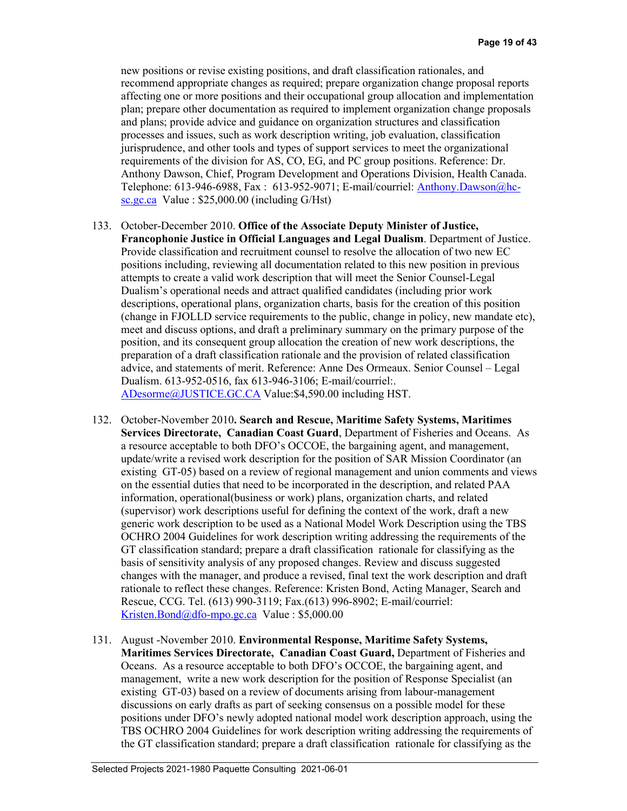new positions or revise existing positions, and draft classification rationales, and recommend appropriate changes as required; prepare organization change proposal reports affecting one or more positions and their occupational group allocation and implementation plan; prepare other documentation as required to implement organization change proposals and plans; provide advice and guidance on organization structures and classification processes and issues, such as work description writing, job evaluation, classification jurisprudence, and other tools and types of support services to meet the organizational requirements of the division for AS, CO, EG, and PC group positions. Reference: Dr. Anthony Dawson, Chief, Program Development and Operations Division, Health Canada. Telephone: 613-946-6988, Fax : 613-952-9071; E-mail/courriel: [Anthony.Dawson@hc](mailto:Anthony.Dawson@hc-sc.gc.ca)[sc.gc.ca](mailto:Anthony.Dawson@hc-sc.gc.ca) Value : \$25,000.00 (including G/Hst)

- 133. October-December 2010. **Office of the Associate Deputy Minister of Justice, Francophonie Justice in Official Languages and Legal Dualism**. Department of Justice. Provide classification and recruitment counsel to resolve the allocation of two new EC positions including, reviewing all documentation related to this new position in previous attempts to create a valid work description that will meet the Senior Counsel-Legal Dualism's operational needs and attract qualified candidates (including prior work descriptions, operational plans, organization charts, basis for the creation of this position (change in FJOLLD service requirements to the public, change in policy, new mandate etc), meet and discuss options, and draft a preliminary summary on the primary purpose of the position, and its consequent group allocation the creation of new work descriptions, the preparation of a draft classification rationale and the provision of related classification advice, and statements of merit. Reference: Anne Des Ormeaux. Senior Counsel – Legal Dualism. 613-952-0516, fax 613-946-3106; E-mail/courriel:. [ADesorme@JUSTICE.GC.CA](mailto:ADesorme@JUSTICE.GC.CA) Value:\$4,590.00 including HST.
- 132. October-November 2010**. Search and Rescue, Maritime Safety Systems, Maritimes Services Directorate, Canadian Coast Guard**, Department of Fisheries and Oceans. As a resource acceptable to both DFO's OCCOE, the bargaining agent, and management, update/write a revised work description for the position of SAR Mission Coordinator (an existing GT-05) based on a review of regional management and union comments and views on the essential duties that need to be incorporated in the description, and related PAA information, operational(business or work) plans, organization charts, and related (supervisor) work descriptions useful for defining the context of the work, draft a new generic work description to be used as a National Model Work Description using the TBS OCHRO 2004 Guidelines for work description writing addressing the requirements of the GT classification standard; prepare a draft classification rationale for classifying as the basis of sensitivity analysis of any proposed changes. Review and discuss suggested changes with the manager, and produce a revised, final text the work description and draft rationale to reflect these changes. Reference: Kristen Bond, Acting Manager, Search and Rescue, CCG. Tel. (613) 990-3119; Fax.(613) 996-8902; E-mail/courriel: [Kristen.Bond@dfo-mpo.gc.ca](mailto:Kristen.Bond@dfo-mpo.gc.ca) Value : \$5,000.00
- 131. August -November 2010. **Environmental Response, Maritime Safety Systems, Maritimes Services Directorate, Canadian Coast Guard,** Department of Fisheries and Oceans. As a resource acceptable to both DFO's OCCOE, the bargaining agent, and management, write a new work description for the position of Response Specialist (an existing GT-03) based on a review of documents arising from labour-management discussions on early drafts as part of seeking consensus on a possible model for these positions under DFO's newly adopted national model work description approach, using the TBS OCHRO 2004 Guidelines for work description writing addressing the requirements of the GT classification standard; prepare a draft classification rationale for classifying as the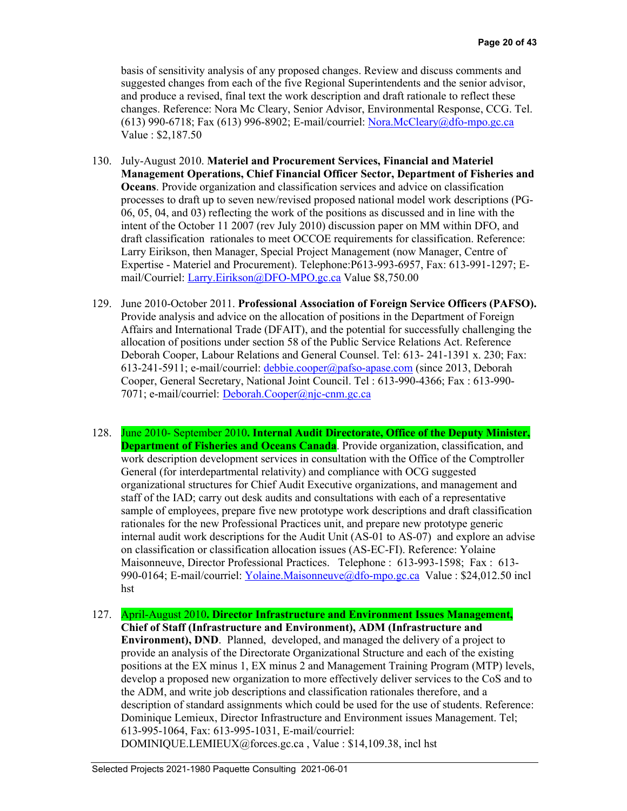basis of sensitivity analysis of any proposed changes. Review and discuss comments and suggested changes from each of the five Regional Superintendents and the senior advisor, and produce a revised, final text the work description and draft rationale to reflect these changes. Reference: Nora Mc Cleary, Senior Advisor, Environmental Response, CCG. Tel.  $(613)$  990-6718; Fax  $(613)$  996-8902; E-mail/courriel: Nora.McCleary@dfo-mpo.gc.ca Value : \$2,187.50

- 130. July-August 2010. **Materiel and Procurement Services, Financial and Materiel Management Operations, Chief Financial Officer Sector, Department of Fisheries and Oceans**. Provide organization and classification services and advice on classification processes to draft up to seven new/revised proposed national model work descriptions (PG-06, 05, 04, and 03) reflecting the work of the positions as discussed and in line with the intent of the October 11 2007 (rev July 2010) discussion paper on MM within DFO, and draft classification rationales to meet OCCOE requirements for classification. Reference: Larry Eirikson, then Manager, Special Project Management (now Manager, Centre of Expertise - Materiel and Procurement). Telephone:P613-993-6957, Fax: 613-991-1297; Email/Courriel: [Larry.Eirikson@DFO-MPO.gc.ca](mailto:Larry.Eirikson@DFO-MPO.gc.ca) Value \$8,750.00
- 129. June 2010-October 2011. **Professional Association of Foreign Service Officers (PAFSO).** Provide analysis and advice on the allocation of positions in the Department of Foreign Affairs and International Trade (DFAIT), and the potential for successfully challenging the allocation of positions under section 58 of the Public Service Relations Act. Reference Deborah Cooper, Labour Relations and General Counsel. Tel: 613- 241-1391 x. 230; Fax: 613-241-5911; e-mail/courriel: [debbie.cooper@pafso-apase.com](mailto:debbie.cooper@pafso-apase.com) (since 2013, Deborah Cooper, General Secretary, National Joint Council. Tel : 613-990-4366; Fax : 613-990- 7071; e-mail/courriel: [Deborah.Cooper@njc-cnm.gc.ca](mailto:Deborah.Cooper@njc-cnm.gc.ca)
- 128. June 2010- September 2010**. Internal Audit Directorate, Office of the Deputy Minister, Department of Fisheries and Oceans Canada**. Provide organization, classification, and work description development services in consultation with the Office of the Comptroller General (for interdepartmental relativity) and compliance with OCG suggested organizational structures for Chief Audit Executive organizations, and management and staff of the IAD; carry out desk audits and consultations with each of a representative sample of employees, prepare five new prototype work descriptions and draft classification rationales for the new Professional Practices unit, and prepare new prototype generic internal audit work descriptions for the Audit Unit (AS-01 to AS-07) and explore an advise on classification or classification allocation issues (AS-EC-FI). Reference: Yolaine Maisonneuve, Director Professional Practices. Telephone : 613-993-1598; Fax : 613- 990-0164; E-mail/courriel: [Yolaine.Maisonneuve@dfo-mpo.gc.ca](mailto:Yolaine.Maisonneuve@dfo-mpo.gc.ca) Value : \$24,012.50 incl hst
- 127. April-August 2010**. Director Infrastructure and Environment Issues Management, Chief of Staff (Infrastructure and Environment), ADM (Infrastructure and Environment), DND**. Planned, developed, and managed the delivery of a project to provide an analysis of the Directorate Organizational Structure and each of the existing positions at the EX minus 1, EX minus 2 and Management Training Program (MTP) levels, develop a proposed new organization to more effectively deliver services to the CoS and to the ADM, and write job descriptions and classification rationales therefore, and a description of standard assignments which could be used for the use of students. Reference: Dominique Lemieux, Director Infrastructure and Environment issues Management. Tel; 613-995-1064, Fax: 613-995-1031, E-mail/courriel: DOMINIQUE.LEMIEUX@forces.gc.ca , Value : \$14,109.38, incl hst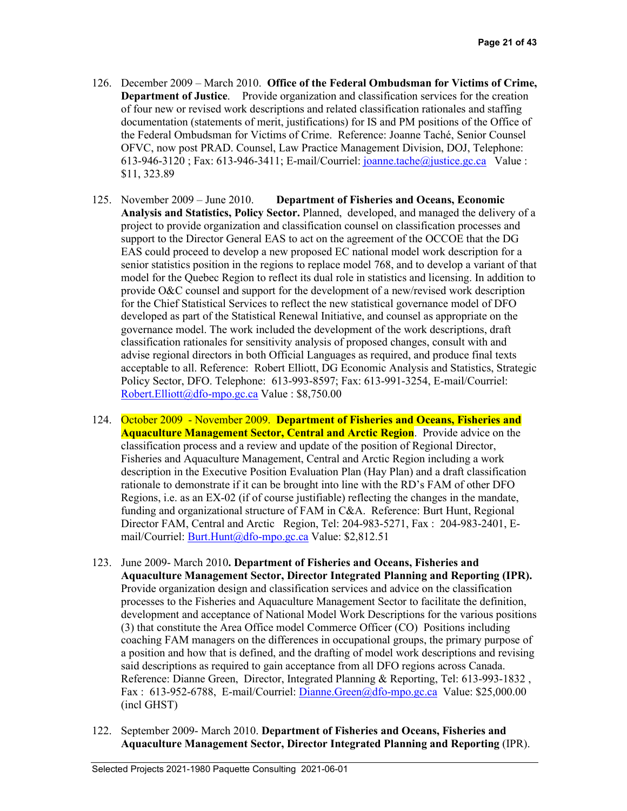- 126. December 2009 March 2010. **Office of the Federal Ombudsman for Victims of Crime, Department of Justice**. Provide organization and classification services for the creation of four new or revised work descriptions and related classification rationales and staffing documentation (statements of merit, justifications) for IS and PM positions of the Office of the Federal Ombudsman for Victims of Crime. Reference: Joanne Taché, Senior Counsel OFVC, now post PRAD. Counsel, Law Practice Management Division, DOJ, Telephone: 613-946-3120; Fax: 613-946-3411; E-mail/Courriel:  $\frac{1}{2}$  [oanne.tache $\frac{\partial}{\partial x}$  ustice.gc.ca Value : \$11, 323.89
- 125. November 2009 June 2010. **Department of Fisheries and Oceans, Economic Analysis and Statistics, Policy Sector.** Planned, developed, and managed the delivery of a project to provide organization and classification counsel on classification processes and support to the Director General EAS to act on the agreement of the OCCOE that the DG EAS could proceed to develop a new proposed EC national model work description for a senior statistics position in the regions to replace model 768, and to develop a variant of that model for the Quebec Region to reflect its dual role in statistics and licensing. In addition to provide O&C counsel and support for the development of a new/revised work description for the Chief Statistical Services to reflect the new statistical governance model of DFO developed as part of the Statistical Renewal Initiative, and counsel as appropriate on the governance model. The work included the development of the work descriptions, draft classification rationales for sensitivity analysis of proposed changes, consult with and advise regional directors in both Official Languages as required, and produce final texts acceptable to all. Reference: Robert Elliott, DG Economic Analysis and Statistics, Strategic Policy Sector, DFO. Telephone: 613-993-8597; Fax: 613-991-3254, E-mail/Courriel: [Robert.Elliott@dfo-mpo.gc.ca](mailto:Robert.Elliott@dfo-mpo.gc.ca) Value : \$8,750.00
- 124. October 2009 November 2009. **Department of Fisheries and Oceans, Fisheries and Aquaculture Management Sector, Central and Arctic Region**. Provide advice on the classification process and a review and update of the position of Regional Director, Fisheries and Aquaculture Management, Central and Arctic Region including a work description in the Executive Position Evaluation Plan (Hay Plan) and a draft classification rationale to demonstrate if it can be brought into line with the RD's FAM of other DFO Regions, i.e. as an EX-02 (if of course justifiable) reflecting the changes in the mandate, funding and organizational structure of FAM in C&A. Reference: Burt Hunt, Regional Director FAM, Central and Arctic Region, Tel: 204-983-5271, Fax : 204-983-2401, E-mail/Courriel: [Burt.Hunt@dfo-mpo.gc.ca](mailto:Burt.Hunt@dfo-mpo.gc.ca) Value: \$2,812.51
- 123. June 2009- March 2010**. Department of Fisheries and Oceans, Fisheries and Aquaculture Management Sector, Director Integrated Planning and Reporting (IPR).** Provide organization design and classification services and advice on the classification processes to the Fisheries and Aquaculture Management Sector to facilitate the definition, development and acceptance of National Model Work Descriptions for the various positions (3) that constitute the Area Office model Commerce Officer (CO) Positions including coaching FAM managers on the differences in occupational groups, the primary purpose of a position and how that is defined, and the drafting of model work descriptions and revising said descriptions as required to gain acceptance from all DFO regions across Canada. Reference: Dianne Green, Director, Integrated Planning & Reporting, Tel: 613-993-1832 , Fax : 613-952-6788, E-mail/Courriel: [Dianne.Green@dfo-mpo.gc.ca](mailto:Dianne.Green@dfo-mpo.gc.ca) Value: \$25,000.00 (incl GHST)
- 122. September 2009- March 2010. **Department of Fisheries and Oceans, Fisheries and Aquaculture Management Sector, Director Integrated Planning and Reporting** (IPR).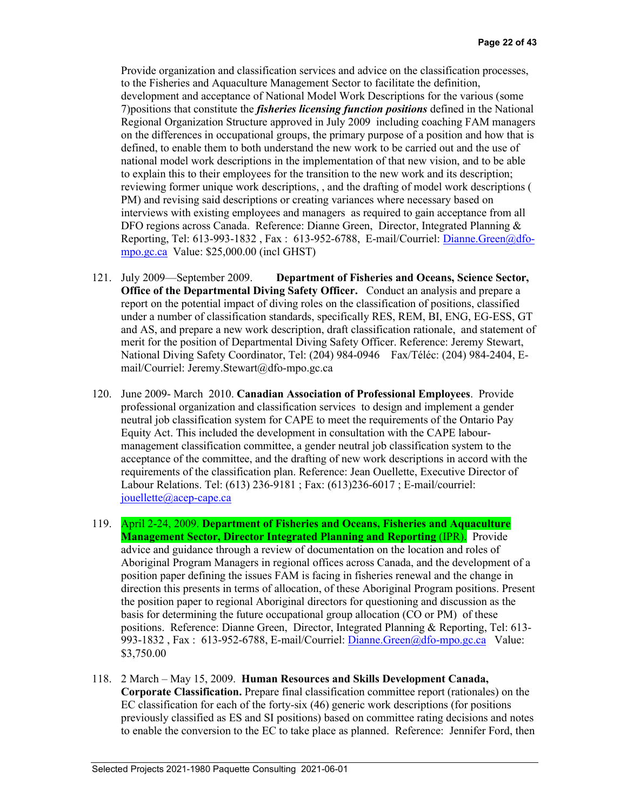Provide organization and classification services and advice on the classification processes, to the Fisheries and Aquaculture Management Sector to facilitate the definition, development and acceptance of National Model Work Descriptions for the various (some 7)positions that constitute the *fisheries licensing function positions* defined in the National Regional Organization Structure approved in July 2009 including coaching FAM managers on the differences in occupational groups, the primary purpose of a position and how that is defined, to enable them to both understand the new work to be carried out and the use of national model work descriptions in the implementation of that new vision, and to be able to explain this to their employees for the transition to the new work and its description; reviewing former unique work descriptions, , and the drafting of model work descriptions ( PM) and revising said descriptions or creating variances where necessary based on interviews with existing employees and managers as required to gain acceptance from all DFO regions across Canada. Reference: Dianne Green, Director, Integrated Planning & Reporting, Tel: 613-993-1832 , Fax : 613-952-6788, E-mail/Courriel: [Dianne.Green@dfo](mailto:Dianne.Green@dfo-mpo.gc.ca)[mpo.gc.ca](mailto:Dianne.Green@dfo-mpo.gc.ca) Value: \$25,000.00 (incl GHST)

- 121. July 2009—September 2009. **Department of Fisheries and Oceans, Science Sector, Office of the Departmental Diving Safety Officer.** Conduct an analysis and prepare a report on the potential impact of diving roles on the classification of positions, classified under a number of classification standards, specifically RES, REM, BI, ENG, EG-ESS, GT and AS, and prepare a new work description, draft classification rationale, and statement of merit for the position of Departmental Diving Safety Officer. Reference: Jeremy Stewart, National Diving Safety Coordinator, Tel: (204) 984-0946 Fax/Téléc: (204) 984-2404, Email/Courriel: Jeremy.Stewart@dfo-mpo.gc.ca
- 120. June 2009- March 2010. **Canadian Association of Professional Employees**. Provide professional organization and classification services to design and implement a gender neutral job classification system for CAPE to meet the requirements of the Ontario Pay Equity Act. This included the development in consultation with the CAPE labourmanagement classification committee, a gender neutral job classification system to the acceptance of the committee, and the drafting of new work descriptions in accord with the requirements of the classification plan. Reference: Jean Ouellette, Executive Director of Labour Relations. Tel: (613) 236-9181 ; Fax: (613)236-6017 ; E-mail/courriel: [jouellette@acep-cape.ca](mailto:jouellette@acep-cape.ca)
- 119. April 2-24, 2009. **Department of Fisheries and Oceans, Fisheries and Aquaculture Management Sector, Director Integrated Planning and Reporting** (IPR). Provide advice and guidance through a review of documentation on the location and roles of Aboriginal Program Managers in regional offices across Canada, and the development of a position paper defining the issues FAM is facing in fisheries renewal and the change in direction this presents in terms of allocation, of these Aboriginal Program positions. Present the position paper to regional Aboriginal directors for questioning and discussion as the basis for determining the future occupational group allocation (CO or PM) of these positions. Reference: Dianne Green, Director, Integrated Planning & Reporting, Tel: 613- 993-1832, Fax: 613-952-6788, E-mail/Courriel[: Dianne.Green@dfo-mpo.gc.ca](mailto:Dianne.Green@dfo-mpo.gc.ca) Value: \$3,750.00
- 118. 2 March May 15, 2009. **Human Resources and Skills Development Canada, Corporate Classification.** Prepare final classification committee report (rationales) on the EC classification for each of the forty-six (46) generic work descriptions (for positions previously classified as ES and SI positions) based on committee rating decisions and notes to enable the conversion to the EC to take place as planned. Reference: Jennifer Ford, then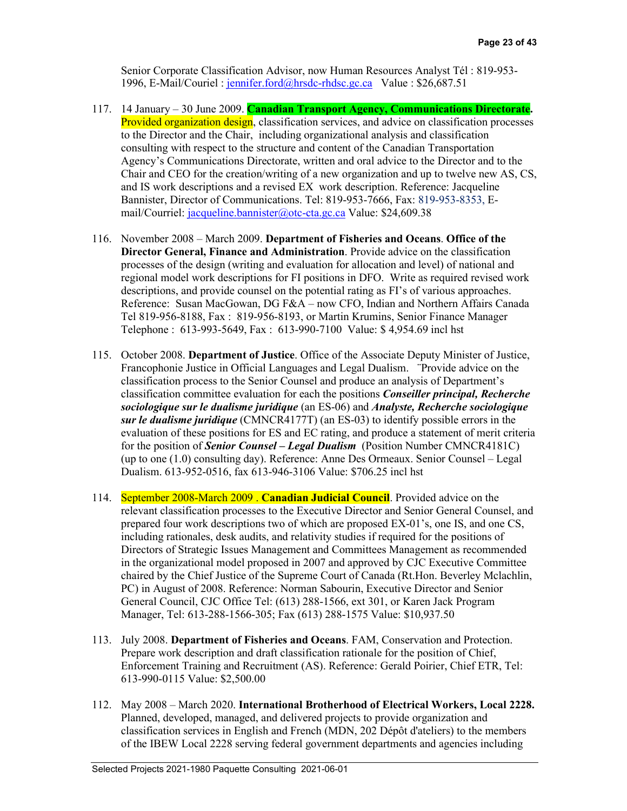Senior Corporate Classification Advisor, now Human Resources Analyst Tél : 819-953- 1996, E-Mail/Couriel : [jennifer.ford@hrsdc-rhdsc.gc.ca](mailto:jennifer.ford@hrsdc-rhdsc.gc.ca) Value : \$26,687.51

- 117. 14 January 30 June 2009. **Canadian Transport Agency, Communications Directorate.**  Provided organization design, classification services, and advice on classification processes to the Director and the Chair, including organizational analysis and classification consulting with respect to the structure and content of the Canadian Transportation Agency's Communications Directorate, written and oral advice to the Director and to the Chair and CEO for the creation/writing of a new organization and up to twelve new AS, CS, and IS work descriptions and a revised EX work description. Reference: Jacqueline Bannister, Director of Communications. Tel: 819-953-7666, Fax: 819-953-8353, Email/Courriel: *jacqueline.bannister@otc-cta.gc.ca* Value: \$24,609.38
- 116. November 2008 March 2009. **Department of Fisheries and Oceans**. **Office of the Director General, Finance and Administration**. Provide advice on the classification processes of the design (writing and evaluation for allocation and level) of national and regional model work descriptions for FI positions in DFO. Write as required revised work descriptions, and provide counsel on the potential rating as FI's of various approaches. Reference: Susan MacGowan, DG F&A – now CFO, Indian and Northern Affairs Canada Tel 819-956-8188, Fax : 819-956-8193, or Martin Krumins, Senior Finance Manager Telephone : 613-993-5649, Fax : 613-990-7100 Value: \$ 4,954.69 incl hst
- 115. October 2008. **Department of Justice**. Office of the Associate Deputy Minister of Justice, Francophonie Justice in Official Languages and Legal Dualism. ¨Provide advice on the classification process to the Senior Counsel and produce an analysis of Department's classification committee evaluation for each the positions *Conseiller principal, Recherche sociologique sur le dualisme juridique* (an ES-06) and *Analyste, Recherche sociologique sur le dualisme juridique* (CMNCR4177T) (an ES-03) to identify possible errors in the evaluation of these positions for ES and EC rating, and produce a statement of merit criteria for the position of *Senior Counsel – Legal Dualism* (Position Number CMNCR4181C) (up to one (1.0) consulting day). Reference: Anne Des Ormeaux. Senior Counsel – Legal Dualism. 613-952-0516, fax 613-946-3106 Value: \$706.25 incl hst
- 114. September 2008-March 2009 . **Canadian Judicial Council**. Provided advice on the relevant classification processes to the Executive Director and Senior General Counsel, and prepared four work descriptions two of which are proposed EX-01's, one IS, and one CS, including rationales, desk audits, and relativity studies if required for the positions of Directors of Strategic Issues Management and Committees Management as recommended in the organizational model proposed in 2007 and approved by CJC Executive Committee chaired by the Chief Justice of the Supreme Court of Canada (Rt.Hon. Beverley Mclachlin, PC) in August of 2008. Reference: Norman Sabourin, Executive Director and Senior General Council, CJC Office Tel: (613) 288-1566, ext 301, or Karen Jack Program Manager, Tel: 613-288-1566-305; Fax (613) 288-1575 Value: \$10,937.50
- 113. July 2008. **Department of Fisheries and Oceans**. FAM, Conservation and Protection. Prepare work description and draft classification rationale for the position of Chief, Enforcement Training and Recruitment (AS). Reference: Gerald Poirier, Chief ETR, Tel: 613-990-0115 Value: \$2,500.00
- 112. May 2008 March 2020. **International Brotherhood of Electrical Workers, Local 2228.**  Planned, developed, managed, and delivered projects to provide organization and classification services in English and French (MDN, 202 Dépôt d'ateliers) to the members of the IBEW Local 2228 serving federal government departments and agencies including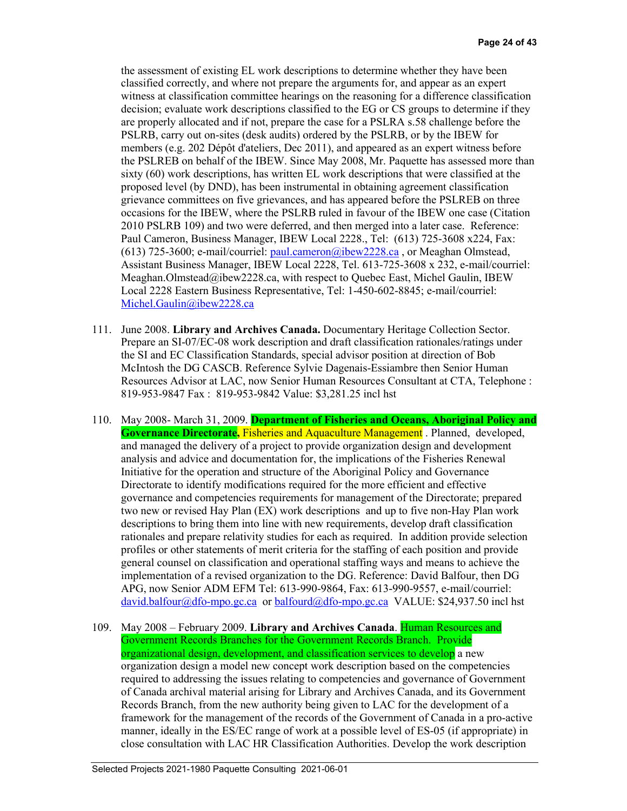the assessment of existing EL work descriptions to determine whether they have been classified correctly, and where not prepare the arguments for, and appear as an expert witness at classification committee hearings on the reasoning for a difference classification decision; evaluate work descriptions classified to the EG or CS groups to determine if they are properly allocated and if not, prepare the case for a PSLRA s.58 challenge before the PSLRB, carry out on-sites (desk audits) ordered by the PSLRB, or by the IBEW for members (e.g. 202 Dépôt d'ateliers, Dec 2011), and appeared as an expert witness before the PSLREB on behalf of the IBEW. Since May 2008, Mr. Paquette has assessed more than sixty (60) work descriptions, has written EL work descriptions that were classified at the proposed level (by DND), has been instrumental in obtaining agreement classification grievance committees on five grievances, and has appeared before the PSLREB on three occasions for the IBEW, where the PSLRB ruled in favour of the IBEW one case (Citation 2010 PSLRB 109) and two were deferred, and then merged into a later case. Reference: Paul Cameron, Business Manager, IBEW Local 2228., Tel: (613) 725-3608 x224, Fax:  $(613)$  725-3600; e-mail/courriel: [paul.cameron@ibew2228.ca](mailto:paul.cameron@ibew2228.ca), or Meaghan Olmstead, Assistant Business Manager, IBEW Local 2228, Tel. 613-725-3608 x 232, e-mail/courriel: Meaghan.Olmstead@ibew2228.ca, with respect to Quebec East, Michel Gaulin, IBEW Local 2228 Eastern Business Representative, Tel: 1-450-602-8845; e-mail/courriel: [Michel.Gaulin@ibew2228.ca](mailto:Michel.Gaulin@ibew2228.ca)

- 111. June 2008. **Library and Archives Canada.** Documentary Heritage Collection Sector. Prepare an SI-07/EC-08 work description and draft classification rationales/ratings under the SI and EC Classification Standards, special advisor position at direction of Bob McIntosh the DG CASCB. Reference Sylvie Dagenais-Essiambre then Senior Human Resources Advisor at LAC, now Senior Human Resources Consultant at CTA, Telephone : 819-953-9847 Fax : 819-953-9842 Value: \$3,281.25 incl hst
- 110. May 2008- March 31, 2009. **Department of Fisheries and Oceans, Aboriginal Policy and Governance Directorate,** Fisheries and Aquaculture Management . Planned, developed, and managed the delivery of a project to provide organization design and development analysis and advice and documentation for, the implications of the Fisheries Renewal Initiative for the operation and structure of the Aboriginal Policy and Governance Directorate to identify modifications required for the more efficient and effective governance and competencies requirements for management of the Directorate; prepared two new or revised Hay Plan (EX) work descriptions and up to five non-Hay Plan work descriptions to bring them into line with new requirements, develop draft classification rationales and prepare relativity studies for each as required. In addition provide selection profiles or other statements of merit criteria for the staffing of each position and provide general counsel on classification and operational staffing ways and means to achieve the implementation of a revised organization to the DG. Reference: David Balfour, then DG APG, now Senior ADM EFM Tel: 613-990-9864, Fax: 613-990-9557, e-mail/courriel: [david.balfour@dfo-mpo.gc.ca](mailto:david.balfour@dfo-mpo.gc.ca) or [balfourd@dfo-mpo.gc.ca](mailto:balfourd@dfo-mpo.gc.ca) VALUE: \$24,937.50 incl hst
- 109. May 2008 February 2009. **Library and Archives Canada**. Human Resources and Government Records Branches for the Government Records Branch. Provide organizational design, development, and classification services to develop a new organization design a model new concept work description based on the competencies required to addressing the issues relating to competencies and governance of Government of Canada archival material arising for Library and Archives Canada, and its Government Records Branch, from the new authority being given to LAC for the development of a framework for the management of the records of the Government of Canada in a pro-active manner, ideally in the ES/EC range of work at a possible level of ES-05 (if appropriate) in close consultation with LAC HR Classification Authorities. Develop the work description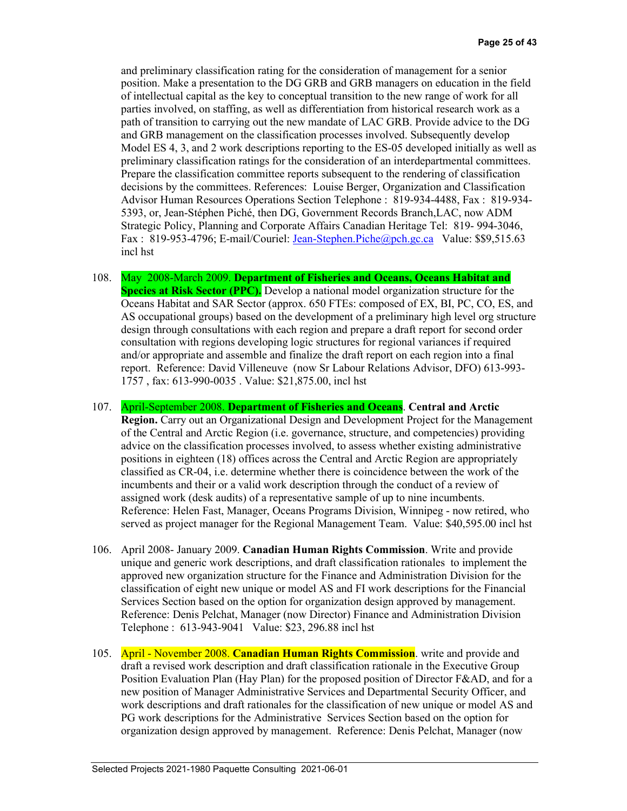and preliminary classification rating for the consideration of management for a senior position. Make a presentation to the DG GRB and GRB managers on education in the field of intellectual capital as the key to conceptual transition to the new range of work for all parties involved, on staffing, as well as differentiation from historical research work as a path of transition to carrying out the new mandate of LAC GRB. Provide advice to the DG and GRB management on the classification processes involved. Subsequently develop Model ES 4, 3, and 2 work descriptions reporting to the ES-05 developed initially as well as preliminary classification ratings for the consideration of an interdepartmental committees. Prepare the classification committee reports subsequent to the rendering of classification decisions by the committees. References: Louise Berger, Organization and Classification Advisor Human Resources Operations Section Telephone : 819-934-4488, Fax : 819-934- 5393, or, Jean-Stéphen Piché, then DG, Government Records Branch,LAC, now ADM Strategic Policy, Planning and Corporate Affairs Canadian Heritage Tel: 819- 994-3046, Fax : 819-953-4796; E-mail/Couriel: [Jean-Stephen.Piche@pch.gc.ca](mailto:Jean-Stephen.Piche@pch.gc.ca) Value: \$\$9,515.63 incl hst

- 108. May 2008-March 2009. **Department of Fisheries and Oceans, Oceans Habitat and Species at Risk Sector (PPC).** Develop a national model organization structure for the Oceans Habitat and SAR Sector (approx. 650 FTEs: composed of EX, BI, PC, CO, ES, and AS occupational groups) based on the development of a preliminary high level org structure design through consultations with each region and prepare a draft report for second order consultation with regions developing logic structures for regional variances if required and/or appropriate and assemble and finalize the draft report on each region into a final report. Reference: David Villeneuve (now Sr Labour Relations Advisor, DFO) 613-993- 1757 , fax: 613-990-0035 . Value: \$21,875.00, incl hst
- 107. April-September 2008. **Department of Fisheries and Oceans**. **Central and Arctic Region.** Carry out an Organizational Design and Development Project for the Management of the Central and Arctic Region (i.e. governance, structure, and competencies) providing advice on the classification processes involved, to assess whether existing administrative positions in eighteen (18) offices across the Central and Arctic Region are appropriately classified as CR-04, i.e. determine whether there is coincidence between the work of the incumbents and their or a valid work description through the conduct of a review of assigned work (desk audits) of a representative sample of up to nine incumbents. Reference: Helen Fast, Manager, Oceans Programs Division, Winnipeg - now retired, who served as project manager for the Regional Management Team. Value: \$40,595.00 incl hst
- 106. April 2008- January 2009. **Canadian Human Rights Commission**. Write and provide unique and generic work descriptions, and draft classification rationales to implement the approved new organization structure for the Finance and Administration Division for the classification of eight new unique or model AS and FI work descriptions for the Financial Services Section based on the option for organization design approved by management. Reference: Denis Pelchat, Manager (now Director) Finance and Administration Division Telephone : 613-943-9041 Value: \$23, 296.88 incl hst
- 105. April November 2008. **Canadian Human Rights Commission**. write and provide and draft a revised work description and draft classification rationale in the Executive Group Position Evaluation Plan (Hay Plan) for the proposed position of Director F&AD, and for a new position of Manager Administrative Services and Departmental Security Officer, and work descriptions and draft rationales for the classification of new unique or model AS and PG work descriptions for the Administrative Services Section based on the option for organization design approved by management. Reference: Denis Pelchat, Manager (now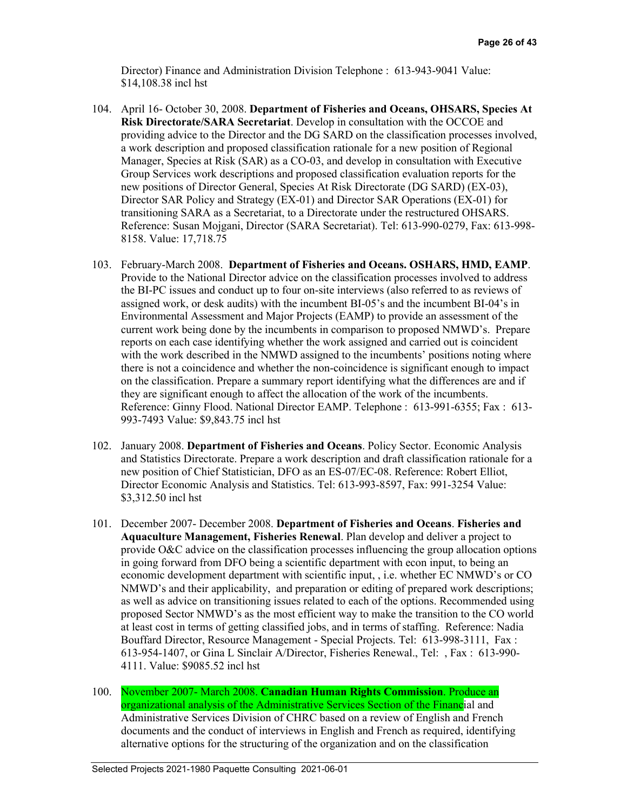Director) Finance and Administration Division Telephone : 613-943-9041 Value: \$14,108.38 incl hst

- 104. April 16- October 30, 2008. **Department of Fisheries and Oceans, OHSARS, Species At Risk Directorate/SARA Secretariat**. Develop in consultation with the OCCOE and providing advice to the Director and the DG SARD on the classification processes involved, a work description and proposed classification rationale for a new position of Regional Manager, Species at Risk (SAR) as a CO-03, and develop in consultation with Executive Group Services work descriptions and proposed classification evaluation reports for the new positions of Director General, Species At Risk Directorate (DG SARD) (EX-03), Director SAR Policy and Strategy (EX-01) and Director SAR Operations (EX-01) for transitioning SARA as a Secretariat, to a Directorate under the restructured OHSARS. Reference: Susan Mojgani, Director (SARA Secretariat). Tel: 613-990-0279, Fax: 613-998- 8158. Value: 17,718.75
- 103. February-March 2008. **Department of Fisheries and Oceans. OSHARS, HMD, EAMP**. Provide to the National Director advice on the classification processes involved to address the BI-PC issues and conduct up to four on-site interviews (also referred to as reviews of assigned work, or desk audits) with the incumbent BI-05's and the incumbent BI-04's in Environmental Assessment and Major Projects (EAMP) to provide an assessment of the current work being done by the incumbents in comparison to proposed NMWD's. Prepare reports on each case identifying whether the work assigned and carried out is coincident with the work described in the NMWD assigned to the incumbents' positions noting where there is not a coincidence and whether the non-coincidence is significant enough to impact on the classification. Prepare a summary report identifying what the differences are and if they are significant enough to affect the allocation of the work of the incumbents. Reference: Ginny Flood. National Director EAMP. Telephone : 613-991-6355; Fax : 613- 993-7493 Value: \$9,843.75 incl hst
- 102. January 2008. **Department of Fisheries and Oceans**. Policy Sector. Economic Analysis and Statistics Directorate. Prepare a work description and draft classification rationale for a new position of Chief Statistician, DFO as an ES-07/EC-08. Reference: Robert Elliot, Director Economic Analysis and Statistics. Tel: 613-993-8597, Fax: 991-3254 Value: \$3,312.50 incl hst
- 101. December 2007- December 2008. **Department of Fisheries and Oceans**. **Fisheries and Aquaculture Management, Fisheries Renewal**. Plan develop and deliver a project to provide O&C advice on the classification processes influencing the group allocation options in going forward from DFO being a scientific department with econ input, to being an economic development department with scientific input, , i.e. whether EC NMWD's or CO NMWD's and their applicability, and preparation or editing of prepared work descriptions; as well as advice on transitioning issues related to each of the options. Recommended using proposed Sector NMWD's as the most efficient way to make the transition to the CO world at least cost in terms of getting classified jobs, and in terms of staffing. Reference: Nadia Bouffard Director, Resource Management - Special Projects. Tel: 613-998-3111, Fax : 613-954-1407, or Gina L Sinclair A/Director, Fisheries Renewal., Tel: , Fax : 613-990- 4111. Value: \$9085.52 incl hst
- 100. November 2007- March 2008. **Canadian Human Rights Commission**. Produce an organizational analysis of the Administrative Services Section of the Financial and Administrative Services Division of CHRC based on a review of English and French documents and the conduct of interviews in English and French as required, identifying alternative options for the structuring of the organization and on the classification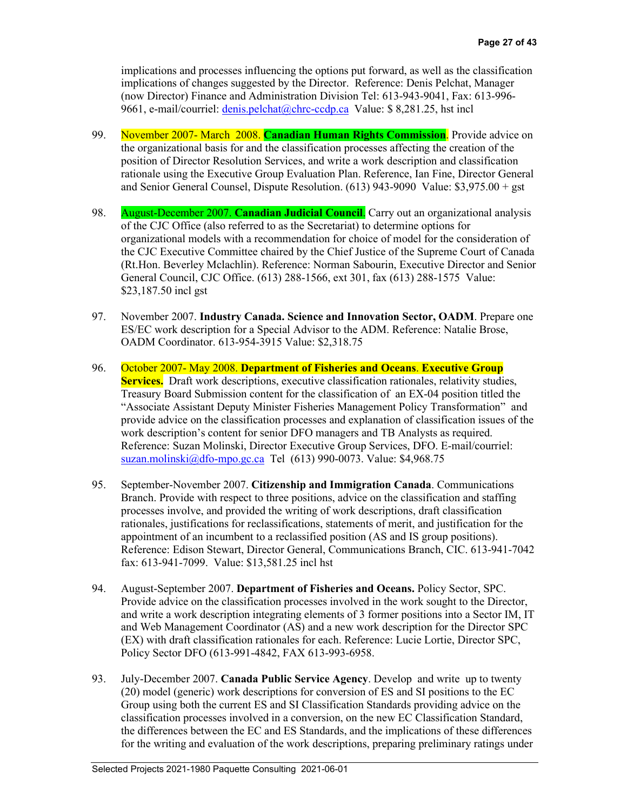implications and processes influencing the options put forward, as well as the classification implications of changes suggested by the Director. Reference: Denis Pelchat, Manager (now Director) Finance and Administration Division Tel: 613-943-9041, Fax: 613-996 9661, e-mail/courriel: [denis.pelchat@chrc-ccdp.ca](mailto:denis.pelchat@chrc-ccdp.ca) Value: \$ 8,281.25, hst incl

- 99. November 2007- March 2008. **Canadian Human Rights Commission**. Provide advice on the organizational basis for and the classification processes affecting the creation of the position of Director Resolution Services, and write a work description and classification rationale using the Executive Group Evaluation Plan. Reference, Ian Fine, Director General and Senior General Counsel, Dispute Resolution. (613) 943-9090 Value: \$3,975.00 + gst
- 98. August-December 2007. **Canadian Judicial Council**. Carry out an organizational analysis of the CJC Office (also referred to as the Secretariat) to determine options for organizational models with a recommendation for choice of model for the consideration of the CJC Executive Committee chaired by the Chief Justice of the Supreme Court of Canada (Rt.Hon. Beverley Mclachlin). Reference: Norman Sabourin, Executive Director and Senior General Council, CJC Office. (613) 288-1566, ext 301, fax (613) 288-1575 Value: \$23,187.50 incl gst
- 97. November 2007. **Industry Canada. Science and Innovation Sector, OADM**. Prepare one ES/EC work description for a Special Advisor to the ADM. Reference: Natalie Brose, OADM Coordinator. 613-954-3915 Value: \$2,318.75
- 96. October 2007- May 2008. **Department of Fisheries and Oceans**. **Executive Group Services.** Draft work descriptions, executive classification rationales, relativity studies, Treasury Board Submission content for the classification of an EX-04 position titled the "Associate Assistant Deputy Minister Fisheries Management Policy Transformation" and provide advice on the classification processes and explanation of classification issues of the work description's content for senior DFO managers and TB Analysts as required. Reference: Suzan Molinski, Director Executive Group Services, DFO. E-mail/courriel: [suzan.molinski@dfo-mpo.gc.ca](mailto:suzan.molinski@dfo-mpo.gc.ca) Tel (613) 990-0073. Value: \$4,968.75
- 95. September-November 2007. **Citizenship and Immigration Canada**. Communications Branch. Provide with respect to three positions, advice on the classification and staffing processes involve, and provided the writing of work descriptions, draft classification rationales, justifications for reclassifications, statements of merit, and justification for the appointment of an incumbent to a reclassified position (AS and IS group positions). Reference: Edison Stewart, Director General, Communications Branch, CIC. 613-941-7042 fax: 613-941-7099. Value: \$13,581.25 incl hst
- 94. August-September 2007. **Department of Fisheries and Oceans.** Policy Sector, SPC. Provide advice on the classification processes involved in the work sought to the Director, and write a work description integrating elements of 3 former positions into a Sector IM, IT and Web Management Coordinator (AS) and a new work description for the Director SPC (EX) with draft classification rationales for each. Reference: Lucie Lortie, Director SPC, Policy Sector DFO (613-991-4842, FAX 613-993-6958.
- 93. July-December 2007. **Canada Public Service Agency**. Develop and write up to twenty (20) model (generic) work descriptions for conversion of ES and SI positions to the EC Group using both the current ES and SI Classification Standards providing advice on the classification processes involved in a conversion, on the new EC Classification Standard, the differences between the EC and ES Standards, and the implications of these differences for the writing and evaluation of the work descriptions, preparing preliminary ratings under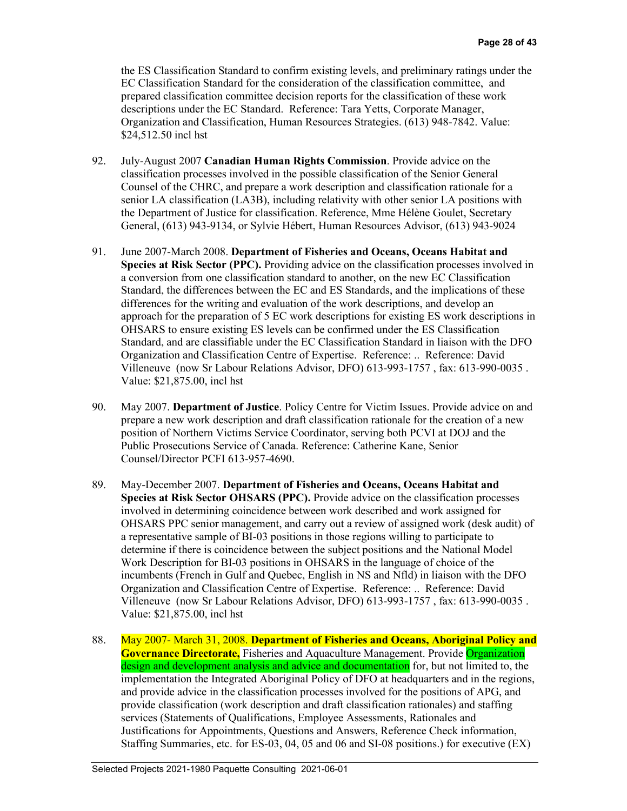the ES Classification Standard to confirm existing levels, and preliminary ratings under the EC Classification Standard for the consideration of the classification committee, and prepared classification committee decision reports for the classification of these work descriptions under the EC Standard. Reference: Tara Yetts, Corporate Manager, Organization and Classification, Human Resources Strategies. (613) 948-7842. Value: \$24,512.50 incl hst

- 92. July-August 2007 **Canadian Human Rights Commission**. Provide advice on the classification processes involved in the possible classification of the Senior General Counsel of the CHRC, and prepare a work description and classification rationale for a senior LA classification (LA3B), including relativity with other senior LA positions with the Department of Justice for classification. Reference, Mme Hélène Goulet, Secretary General, (613) 943-9134, or Sylvie Hébert, Human Resources Advisor, (613) 943-9024
- 91. June 2007-March 2008. **Department of Fisheries and Oceans, Oceans Habitat and Species at Risk Sector (PPC).** Providing advice on the classification processes involved in a conversion from one classification standard to another, on the new EC Classification Standard, the differences between the EC and ES Standards, and the implications of these differences for the writing and evaluation of the work descriptions, and develop an approach for the preparation of 5 EC work descriptions for existing ES work descriptions in OHSARS to ensure existing ES levels can be confirmed under the ES Classification Standard, and are classifiable under the EC Classification Standard in liaison with the DFO Organization and Classification Centre of Expertise. Reference: .. Reference: David Villeneuve (now Sr Labour Relations Advisor, DFO) 613-993-1757 , fax: 613-990-0035 . Value: \$21,875.00, incl hst
- 90. May 2007. **Department of Justice**. Policy Centre for Victim Issues. Provide advice on and prepare a new work description and draft classification rationale for the creation of a new position of Northern Victims Service Coordinator, serving both PCVI at DOJ and the Public Prosecutions Service of Canada. Reference: Catherine Kane, Senior Counsel/Director PCFI 613-957-4690.
- 89. May-December 2007. **Department of Fisheries and Oceans, Oceans Habitat and Species at Risk Sector OHSARS (PPC).** Provide advice on the classification processes involved in determining coincidence between work described and work assigned for OHSARS PPC senior management, and carry out a review of assigned work (desk audit) of a representative sample of BI-03 positions in those regions willing to participate to determine if there is coincidence between the subject positions and the National Model Work Description for BI-03 positions in OHSARS in the language of choice of the incumbents (French in Gulf and Quebec, English in NS and Nfld) in liaison with the DFO Organization and Classification Centre of Expertise. Reference: .. Reference: David Villeneuve (now Sr Labour Relations Advisor, DFO) 613-993-1757 , fax: 613-990-0035 . Value: \$21,875.00, incl hst
- 88. May 2007- March 31, 2008. **Department of Fisheries and Oceans, Aboriginal Policy and Governance Directorate,** Fisheries and Aquaculture Management. Provide Organization design and development analysis and advice and documentation for, but not limited to, the implementation the Integrated Aboriginal Policy of DFO at headquarters and in the regions, and provide advice in the classification processes involved for the positions of APG, and provide classification (work description and draft classification rationales) and staffing services (Statements of Qualifications, Employee Assessments, Rationales and Justifications for Appointments, Questions and Answers, Reference Check information, Staffing Summaries, etc. for ES-03, 04, 05 and 06 and SI-08 positions.) for executive (EX)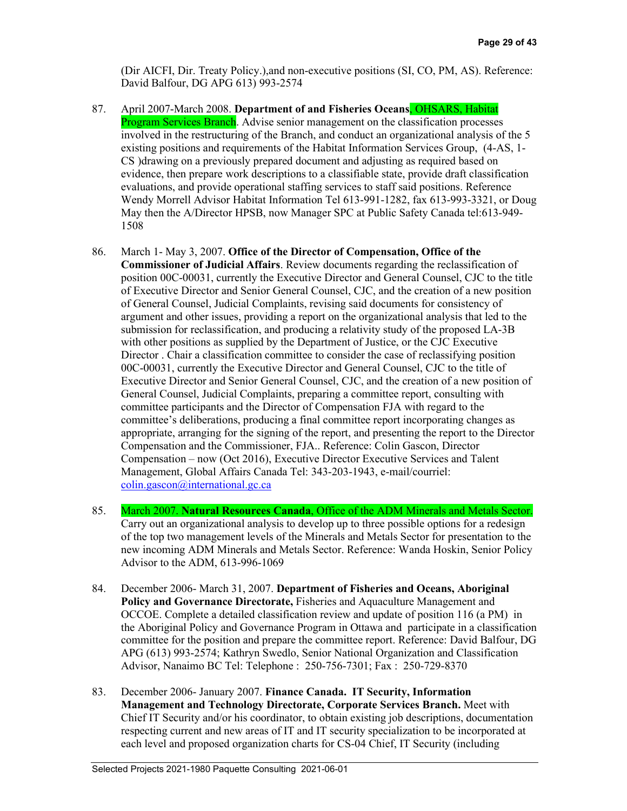(Dir AICFI, Dir. Treaty Policy.),and non-executive positions (SI, CO, PM, AS). Reference: David Balfour, DG APG 613) 993-2574

- 87. April 2007-March 2008. **Department of and Fisheries Oceans**, OHSARS, Habitat **Program Services Branch.** Advise senior management on the classification processes involved in the restructuring of the Branch, and conduct an organizational analysis of the 5 existing positions and requirements of the Habitat Information Services Group, (4-AS, 1- CS )drawing on a previously prepared document and adjusting as required based on evidence, then prepare work descriptions to a classifiable state, provide draft classification evaluations, and provide operational staffing services to staff said positions. Reference Wendy Morrell Advisor Habitat Information Tel 613-991-1282, fax 613-993-3321, or Doug May then the A/Director HPSB, now Manager SPC at Public Safety Canada tel:613-949- 1508
- 86. March 1- May 3, 2007. **Office of the Director of Compensation, Office of the Commissioner of Judicial Affairs**. Review documents regarding the reclassification of position 00C-00031, currently the Executive Director and General Counsel, CJC to the title of Executive Director and Senior General Counsel, CJC, and the creation of a new position of General Counsel, Judicial Complaints, revising said documents for consistency of argument and other issues, providing a report on the organizational analysis that led to the submission for reclassification, and producing a relativity study of the proposed LA-3B with other positions as supplied by the Department of Justice, or the CJC Executive Director . Chair a classification committee to consider the case of reclassifying position 00C-00031, currently the Executive Director and General Counsel, CJC to the title of Executive Director and Senior General Counsel, CJC, and the creation of a new position of General Counsel, Judicial Complaints, preparing a committee report, consulting with committee participants and the Director of Compensation FJA with regard to the committee's deliberations, producing a final committee report incorporating changes as appropriate, arranging for the signing of the report, and presenting the report to the Director Compensation and the Commissioner, FJA.. Reference: Colin Gascon, Director Compensation – now (Oct 2016), Executive Director Executive Services and Talent Management, Global Affairs Canada Tel: 343-203-1943, e-mail/courriel: [colin.gascon@international.gc.ca](mailto:colin.gascon@international.gc.ca)
- 85. March 2007. **Natural Resources Canada**, Office of the ADM Minerals and Metals Sector. Carry out an organizational analysis to develop up to three possible options for a redesign of the top two management levels of the Minerals and Metals Sector for presentation to the new incoming ADM Minerals and Metals Sector. Reference: Wanda Hoskin, Senior Policy Advisor to the ADM, 613-996-1069
- 84. December 2006- March 31, 2007. **Department of Fisheries and Oceans, Aboriginal Policy and Governance Directorate,** Fisheries and Aquaculture Management and OCCOE. Complete a detailed classification review and update of position 116 (a PM) in the Aboriginal Policy and Governance Program in Ottawa and participate in a classification committee for the position and prepare the committee report. Reference: David Balfour, DG APG (613) 993-2574; Kathryn Swedlo, Senior National Organization and Classification Advisor, Nanaimo BC Tel: Telephone : 250-756-7301; Fax : 250-729-8370
- 83. December 2006- January 2007. **Finance Canada. IT Security, Information Management and Technology Directorate, Corporate Services Branch.** Meet with Chief IT Security and/or his coordinator, to obtain existing job descriptions, documentation respecting current and new areas of IT and IT security specialization to be incorporated at each level and proposed organization charts for CS-04 Chief, IT Security (including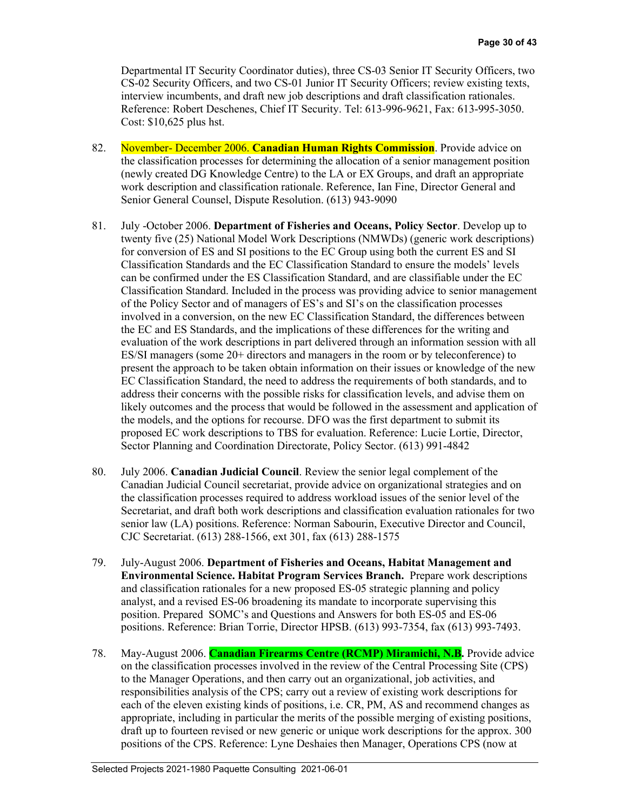Departmental IT Security Coordinator duties), three CS-03 Senior IT Security Officers, two CS-02 Security Officers, and two CS-01 Junior IT Security Officers; review existing texts, interview incumbents, and draft new job descriptions and draft classification rationales. Reference: Robert Deschenes, Chief IT Security. Tel: 613-996-9621, Fax: 613-995-3050. Cost: \$10,625 plus hst.

- 82. November- December 2006. **Canadian Human Rights Commission**. Provide advice on the classification processes for determining the allocation of a senior management position (newly created DG Knowledge Centre) to the LA or EX Groups, and draft an appropriate work description and classification rationale. Reference, Ian Fine, Director General and Senior General Counsel, Dispute Resolution. (613) 943-9090
- 81. July -October 2006. **Department of Fisheries and Oceans, Policy Sector**. Develop up to twenty five (25) National Model Work Descriptions (NMWDs) (generic work descriptions) for conversion of ES and SI positions to the EC Group using both the current ES and SI Classification Standards and the EC Classification Standard to ensure the models' levels can be confirmed under the ES Classification Standard, and are classifiable under the EC Classification Standard. Included in the process was providing advice to senior management of the Policy Sector and of managers of ES's and SI's on the classification processes involved in a conversion, on the new EC Classification Standard, the differences between the EC and ES Standards, and the implications of these differences for the writing and evaluation of the work descriptions in part delivered through an information session with all ES/SI managers (some 20+ directors and managers in the room or by teleconference) to present the approach to be taken obtain information on their issues or knowledge of the new EC Classification Standard, the need to address the requirements of both standards, and to address their concerns with the possible risks for classification levels, and advise them on likely outcomes and the process that would be followed in the assessment and application of the models, and the options for recourse. DFO was the first department to submit its proposed EC work descriptions to TBS for evaluation. Reference: Lucie Lortie, Director, Sector Planning and Coordination Directorate, Policy Sector. (613) 991-4842
- 80. July 2006. **Canadian Judicial Council**. Review the senior legal complement of the Canadian Judicial Council secretariat, provide advice on organizational strategies and on the classification processes required to address workload issues of the senior level of the Secretariat, and draft both work descriptions and classification evaluation rationales for two senior law (LA) positions. Reference: Norman Sabourin, Executive Director and Council, CJC Secretariat. (613) 288-1566, ext 301, fax (613) 288-1575
- 79. July-August 2006. **Department of Fisheries and Oceans, Habitat Management and Environmental Science. Habitat Program Services Branch.** Prepare work descriptions and classification rationales for a new proposed ES-05 strategic planning and policy analyst, and a revised ES-06 broadening its mandate to incorporate supervising this position. Prepared SOMC's and Questions and Answers for both ES-05 and ES-06 positions. Reference: Brian Torrie, Director HPSB. (613) 993-7354, fax (613) 993-7493.
- 78. May-August 2006. **Canadian Firearms Centre (RCMP) Miramichi, N.B.** Provide advice on the classification processes involved in the review of the Central Processing Site (CPS) to the Manager Operations, and then carry out an organizational, job activities, and responsibilities analysis of the CPS; carry out a review of existing work descriptions for each of the eleven existing kinds of positions, i.e. CR, PM, AS and recommend changes as appropriate, including in particular the merits of the possible merging of existing positions, draft up to fourteen revised or new generic or unique work descriptions for the approx. 300 positions of the CPS. Reference: Lyne Deshaies then Manager, Operations CPS (now at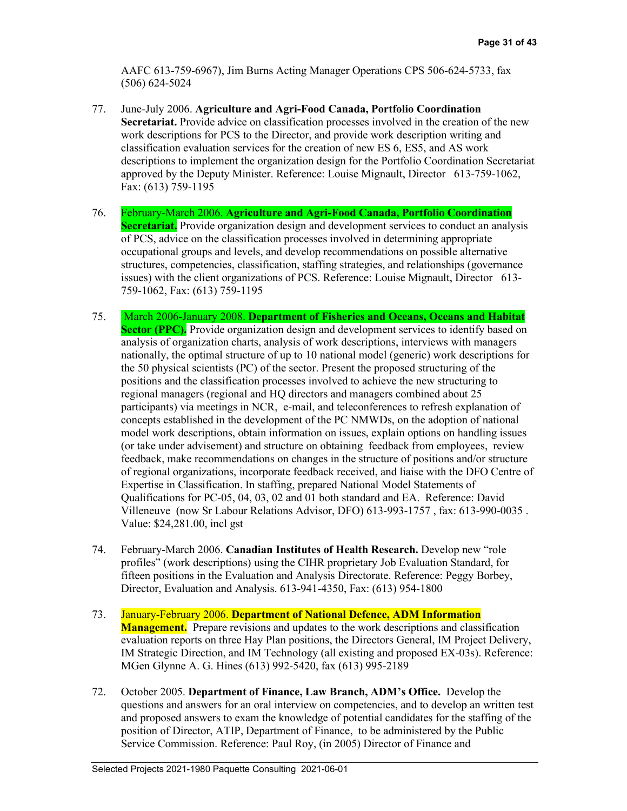AAFC 613-759-6967), Jim Burns Acting Manager Operations CPS 506-624-5733, fax (506) 624-5024

- 77. June-July 2006. **Agriculture and Agri-Food Canada, Portfolio Coordination Secretariat.** Provide advice on classification processes involved in the creation of the new work descriptions for PCS to the Director, and provide work description writing and classification evaluation services for the creation of new ES 6, ES5, and AS work descriptions to implement the organization design for the Portfolio Coordination Secretariat approved by the Deputy Minister. Reference: Louise Mignault, Director 613-759-1062, Fax: (613) 759-1195
- 76. February-March 2006. **Agriculture and Agri-Food Canada, Portfolio Coordination Secretariat.** Provide organization design and development services to conduct an analysis of PCS, advice on the classification processes involved in determining appropriate occupational groups and levels, and develop recommendations on possible alternative structures, competencies, classification, staffing strategies, and relationships (governance issues) with the client organizations of PCS. Reference: Louise Mignault, Director 613- 759-1062, Fax: (613) 759-1195
- 75. March 2006-January 2008. **Department of Fisheries and Oceans, Oceans and Habitat Sector (PPC).** Provide organization design and development services to identify based on analysis of organization charts, analysis of work descriptions, interviews with managers nationally, the optimal structure of up to 10 national model (generic) work descriptions for the 50 physical scientists (PC) of the sector. Present the proposed structuring of the positions and the classification processes involved to achieve the new structuring to regional managers (regional and HQ directors and managers combined about 25 participants) via meetings in NCR, e-mail, and teleconferences to refresh explanation of concepts established in the development of the PC NMWDs, on the adoption of national model work descriptions, obtain information on issues, explain options on handling issues (or take under advisement) and structure on obtaining feedback from employees, review feedback, make recommendations on changes in the structure of positions and/or structure of regional organizations, incorporate feedback received, and liaise with the DFO Centre of Expertise in Classification. In staffing, prepared National Model Statements of Qualifications for PC-05, 04, 03, 02 and 01 both standard and EA. Reference: David Villeneuve (now Sr Labour Relations Advisor, DFO) 613-993-1757 , fax: 613-990-0035 . Value: \$24,281.00, incl gst
- 74. February-March 2006. **Canadian Institutes of Health Research.** Develop new "role profiles" (work descriptions) using the CIHR proprietary Job Evaluation Standard, for fifteen positions in the Evaluation and Analysis Directorate. Reference: Peggy Borbey, Director, Evaluation and Analysis. 613-941-4350, Fax: (613) 954-1800
- 73. January-February 2006. **Department of National Defence, ADM Information Management.** Prepare revisions and updates to the work descriptions and classification evaluation reports on three Hay Plan positions, the Directors General, IM Project Delivery, IM Strategic Direction, and IM Technology (all existing and proposed EX-03s). Reference: MGen Glynne A. G. Hines (613) 992-5420, fax (613) 995-2189
- 72. October 2005. **Department of Finance, Law Branch, ADM's Office.** Develop the questions and answers for an oral interview on competencies, and to develop an written test and proposed answers to exam the knowledge of potential candidates for the staffing of the position of Director, ATIP, Department of Finance, to be administered by the Public Service Commission. Reference: Paul Roy, (in 2005) Director of Finance and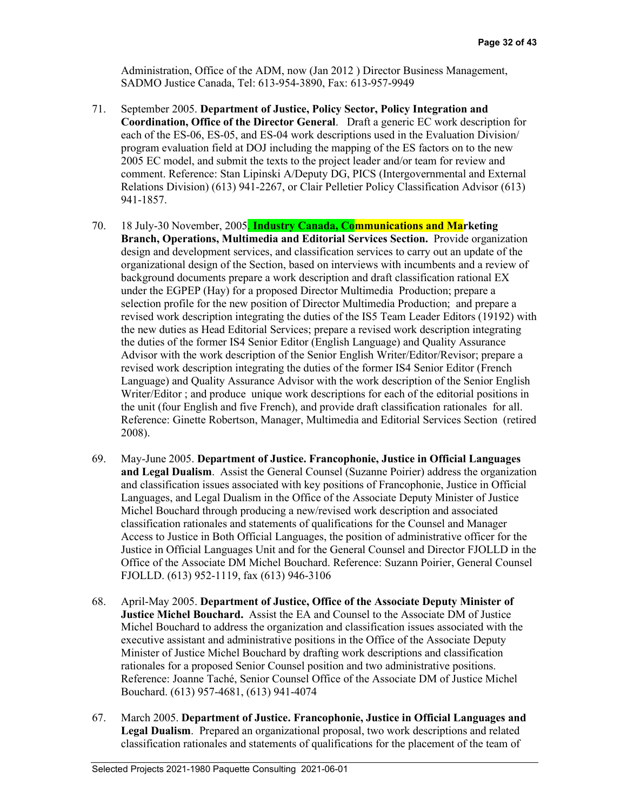Administration, Office of the ADM, now (Jan 2012 ) Director Business Management, SADMO Justice Canada, Tel: 613-954-3890, Fax: 613-957-9949

- 71. September 2005. **Department of Justice, Policy Sector, Policy Integration and Coordination, Office of the Director General**. Draft a generic EC work description for each of the ES-06, ES-05, and ES-04 work descriptions used in the Evaluation Division/ program evaluation field at DOJ including the mapping of the ES factors on to the new 2005 EC model, and submit the texts to the project leader and/or team for review and comment. Reference: Stan Lipinski A/Deputy DG, PICS (Intergovernmental and External Relations Division) (613) 941-2267, or Clair Pelletier Policy Classification Advisor (613) 941-1857.
- 70. 18 July-30 November, 2005. **Industry Canada, Communications and Marketing Branch, Operations, Multimedia and Editorial Services Section.** Provide organization design and development services, and classification services to carry out an update of the organizational design of the Section, based on interviews with incumbents and a review of background documents prepare a work description and draft classification rational EX under the EGPEP (Hay) for a proposed Director Multimedia Production; prepare a selection profile for the new position of Director Multimedia Production; and prepare a revised work description integrating the duties of the IS5 Team Leader Editors (19192) with the new duties as Head Editorial Services; prepare a revised work description integrating the duties of the former IS4 Senior Editor (English Language) and Quality Assurance Advisor with the work description of the Senior English Writer/Editor/Revisor; prepare a revised work description integrating the duties of the former IS4 Senior Editor (French Language) and Quality Assurance Advisor with the work description of the Senior English Writer/Editor ; and produce unique work descriptions for each of the editorial positions in the unit (four English and five French), and provide draft classification rationales for all. Reference: Ginette Robertson, Manager, Multimedia and Editorial Services Section (retired 2008).
- 69. May-June 2005. **Department of Justice. Francophonie, Justice in Official Languages and Legal Dualism**. Assist the General Counsel (Suzanne Poirier) address the organization and classification issues associated with key positions of Francophonie, Justice in Official Languages, and Legal Dualism in the Office of the Associate Deputy Minister of Justice Michel Bouchard through producing a new/revised work description and associated classification rationales and statements of qualifications for the Counsel and Manager Access to Justice in Both Official Languages, the position of administrative officer for the Justice in Official Languages Unit and for the General Counsel and Director FJOLLD in the Office of the Associate DM Michel Bouchard. Reference: Suzann Poirier, General Counsel FJOLLD. (613) 952-1119, fax (613) 946-3106
- 68. April-May 2005. **Department of Justice, Office of the Associate Deputy Minister of Justice Michel Bouchard.** Assist the EA and Counsel to the Associate DM of Justice Michel Bouchard to address the organization and classification issues associated with the executive assistant and administrative positions in the Office of the Associate Deputy Minister of Justice Michel Bouchard by drafting work descriptions and classification rationales for a proposed Senior Counsel position and two administrative positions. Reference: Joanne Taché, Senior Counsel Office of the Associate DM of Justice Michel Bouchard. (613) 957-4681, (613) 941-4074
- 67. March 2005. **Department of Justice. Francophonie, Justice in Official Languages and Legal Dualism**. Prepared an organizational proposal, two work descriptions and related classification rationales and statements of qualifications for the placement of the team of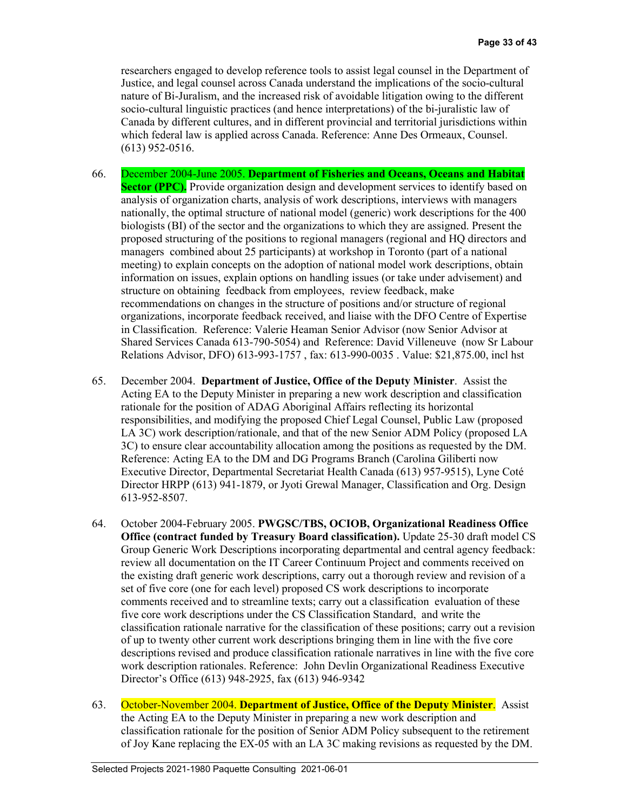researchers engaged to develop reference tools to assist legal counsel in the Department of Justice, and legal counsel across Canada understand the implications of the socio-cultural nature of Bi-Juralism, and the increased risk of avoidable litigation owing to the different socio-cultural linguistic practices (and hence interpretations) of the bi-juralistic law of Canada by different cultures, and in different provincial and territorial jurisdictions within which federal law is applied across Canada. Reference: Anne Des Ormeaux, Counsel. (613) 952-0516.

- 66. December 2004-June 2005. **Department of Fisheries and Oceans, Oceans and Habitat Sector (PPC).** Provide organization design and development services to identify based on analysis of organization charts, analysis of work descriptions, interviews with managers nationally, the optimal structure of national model (generic) work descriptions for the 400 biologists (BI) of the sector and the organizations to which they are assigned. Present the proposed structuring of the positions to regional managers (regional and HQ directors and managers combined about 25 participants) at workshop in Toronto (part of a national meeting) to explain concepts on the adoption of national model work descriptions, obtain information on issues, explain options on handling issues (or take under advisement) and structure on obtaining feedback from employees, review feedback, make recommendations on changes in the structure of positions and/or structure of regional organizations, incorporate feedback received, and liaise with the DFO Centre of Expertise in Classification. Reference: Valerie Heaman Senior Advisor (now Senior Advisor at Shared Services Canada 613-790-5054) and Reference: David Villeneuve (now Sr Labour Relations Advisor, DFO) 613-993-1757 , fax: 613-990-0035 . Value: \$21,875.00, incl hst
- 65. December 2004. **Department of Justice, Office of the Deputy Minister**. Assist the Acting EA to the Deputy Minister in preparing a new work description and classification rationale for the position of ADAG Aboriginal Affairs reflecting its horizontal responsibilities, and modifying the proposed Chief Legal Counsel, Public Law (proposed LA 3C) work description/rationale, and that of the new Senior ADM Policy (proposed LA 3C) to ensure clear accountability allocation among the positions as requested by the DM. Reference: Acting EA to the DM and DG Programs Branch (Carolina Giliberti now Executive Director, Departmental Secretariat Health Canada (613) 957-9515), Lyne Coté Director HRPP (613) 941-1879, or Jyoti Grewal Manager, Classification and Org. Design 613-952-8507.
- 64. October 2004-February 2005. **PWGSC/TBS, OCIOB, Organizational Readiness Office Office (contract funded by Treasury Board classification).** Update 25-30 draft model CS Group Generic Work Descriptions incorporating departmental and central agency feedback: review all documentation on the IT Career Continuum Project and comments received on the existing draft generic work descriptions, carry out a thorough review and revision of a set of five core (one for each level) proposed CS work descriptions to incorporate comments received and to streamline texts; carry out a classification evaluation of these five core work descriptions under the CS Classification Standard, and write the classification rationale narrative for the classification of these positions; carry out a revision of up to twenty other current work descriptions bringing them in line with the five core descriptions revised and produce classification rationale narratives in line with the five core work description rationales. Reference: John Devlin Organizational Readiness Executive Director's Office (613) 948-2925, fax (613) 946-9342
- 63. October-November 2004. **Department of Justice, Office of the Deputy Minister**. Assist the Acting EA to the Deputy Minister in preparing a new work description and classification rationale for the position of Senior ADM Policy subsequent to the retirement of Joy Kane replacing the EX-05 with an LA 3C making revisions as requested by the DM.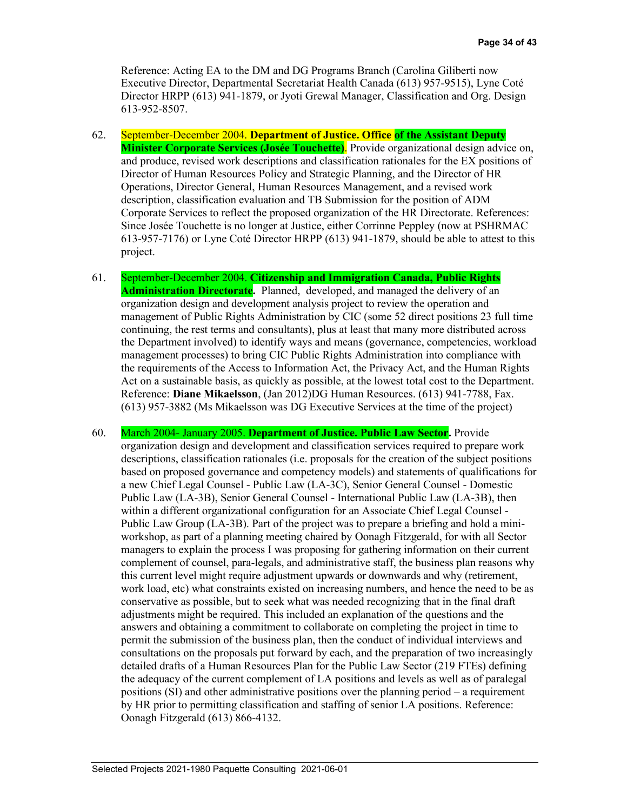Reference: Acting EA to the DM and DG Programs Branch (Carolina Giliberti now Executive Director, Departmental Secretariat Health Canada (613) 957-9515), Lyne Coté Director HRPP (613) 941-1879, or Jyoti Grewal Manager, Classification and Org. Design 613-952-8507.

- 62. September-December 2004. **Department of Justice. Office of the Assistant Deputy Minister Corporate Services (Josée Touchette)**. Provide organizational design advice on, and produce, revised work descriptions and classification rationales for the EX positions of Director of Human Resources Policy and Strategic Planning, and the Director of HR Operations, Director General, Human Resources Management, and a revised work description, classification evaluation and TB Submission for the position of ADM Corporate Services to reflect the proposed organization of the HR Directorate. References: Since Josée Touchette is no longer at Justice, either Corrinne Peppley (now at PSHRMAC 613-957-7176) or Lyne Coté Director HRPP (613) 941-1879, should be able to attest to this project.
- 61. September-December 2004. **Citizenship and Immigration Canada, Public Rights Administration Directorate.** Planned, developed, and managed the delivery of an organization design and development analysis project to review the operation and management of Public Rights Administration by CIC (some 52 direct positions 23 full time continuing, the rest terms and consultants), plus at least that many more distributed across the Department involved) to identify ways and means (governance, competencies, workload management processes) to bring CIC Public Rights Administration into compliance with the requirements of the Access to Information Act, the Privacy Act, and the Human Rights Act on a sustainable basis, as quickly as possible, at the lowest total cost to the Department. Reference: **Diane Mikaelsson**, (Jan 2012)DG Human Resources. (613) 941-7788, Fax. (613) 957-3882 (Ms Mikaelsson was DG Executive Services at the time of the project)
- 60. March 2004- January 2005. **Department of Justice. Public Law Sector.** Provide organization design and development and classification services required to prepare work descriptions, classification rationales (i.e. proposals for the creation of the subject positions based on proposed governance and competency models) and statements of qualifications for a new Chief Legal Counsel - Public Law (LA-3C), Senior General Counsel - Domestic Public Law (LA-3B), Senior General Counsel - International Public Law (LA-3B), then within a different organizational configuration for an Associate Chief Legal Counsel - Public Law Group (LA-3B). Part of the project was to prepare a briefing and hold a miniworkshop, as part of a planning meeting chaired by Oonagh Fitzgerald, for with all Sector managers to explain the process I was proposing for gathering information on their current complement of counsel, para-legals, and administrative staff, the business plan reasons why this current level might require adjustment upwards or downwards and why (retirement, work load, etc) what constraints existed on increasing numbers, and hence the need to be as conservative as possible, but to seek what was needed recognizing that in the final draft adjustments might be required. This included an explanation of the questions and the answers and obtaining a commitment to collaborate on completing the project in time to permit the submission of the business plan, then the conduct of individual interviews and consultations on the proposals put forward by each, and the preparation of two increasingly detailed drafts of a Human Resources Plan for the Public Law Sector (219 FTEs) defining the adequacy of the current complement of LA positions and levels as well as of paralegal positions (SI) and other administrative positions over the planning period – a requirement by HR prior to permitting classification and staffing of senior LA positions. Reference: Oonagh Fitzgerald (613) 866-4132.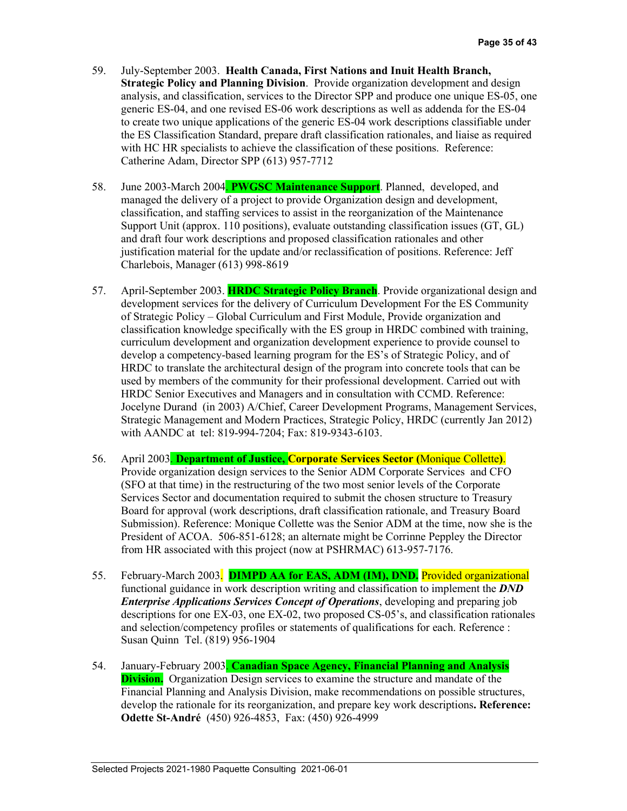- 59. July-September 2003. **Health Canada, First Nations and Inuit Health Branch, Strategic Policy and Planning Division**. Provide organization development and design analysis, and classification, services to the Director SPP and produce one unique ES-05, one generic ES-04, and one revised ES-06 work descriptions as well as addenda for the ES-04 to create two unique applications of the generic ES-04 work descriptions classifiable under the ES Classification Standard, prepare draft classification rationales, and liaise as required with HC HR specialists to achieve the classification of these positions. Reference: Catherine Adam, Director SPP (613) 957-7712
- 58. June 2003-March 2004. **PWGSC Maintenance Support**. Planned, developed, and managed the delivery of a project to provide Organization design and development, classification, and staffing services to assist in the reorganization of the Maintenance Support Unit (approx. 110 positions), evaluate outstanding classification issues (GT, GL) and draft four work descriptions and proposed classification rationales and other justification material for the update and/or reclassification of positions. Reference: Jeff Charlebois, Manager (613) 998-8619
- 57. April-September 2003. **HRDC Strategic Policy Branch**. Provide organizational design and development services for the delivery of Curriculum Development For the ES Community of Strategic Policy – Global Curriculum and First Module, Provide organization and classification knowledge specifically with the ES group in HRDC combined with training, curriculum development and organization development experience to provide counsel to develop a competency-based learning program for the ES's of Strategic Policy, and of HRDC to translate the architectural design of the program into concrete tools that can be used by members of the community for their professional development. Carried out with HRDC Senior Executives and Managers and in consultation with CCMD. Reference: Jocelyne Durand (in 2003) A/Chief, Career Development Programs, Management Services, Strategic Management and Modern Practices, Strategic Policy, HRDC (currently Jan 2012) with AANDC at tel: 819-994-7204; Fax: 819-9343-6103.
- 56. April 2003. **Department of Justice, Corporate Services Sector (**Monique Collette**)**. Provide organization design services to the Senior ADM Corporate Services and CFO (SFO at that time) in the restructuring of the two most senior levels of the Corporate Services Sector and documentation required to submit the chosen structure to Treasury Board for approval (work descriptions, draft classification rationale, and Treasury Board Submission). Reference: Monique Collette was the Senior ADM at the time, now she is the President of ACOA. 506-851-6128; an alternate might be Corrinne Peppley the Director from HR associated with this project (now at PSHRMAC) 613-957-7176.
- 55. February-March 2003. **DIMPD AA for EAS, ADM (IM), DND.** Provided organizational functional guidance in work description writing and classification to implement the *DND Enterprise Applications Services Concept of Operations*, developing and preparing job descriptions for one EX-03, one EX-02, two proposed CS-05's, and classification rationales and selection/competency profiles or statements of qualifications for each. Reference : Susan Quinn Tel. (819) 956-1904
- 54. January-February 2003. **Canadian Space Agency, Financial Planning and Analysis Division.** Organization Design services to examine the structure and mandate of the Financial Planning and Analysis Division, make recommendations on possible structures, develop the rationale for its reorganization, and prepare key work descriptions**. Reference: Odette St-André** (450) 926-4853, Fax: (450) 926-4999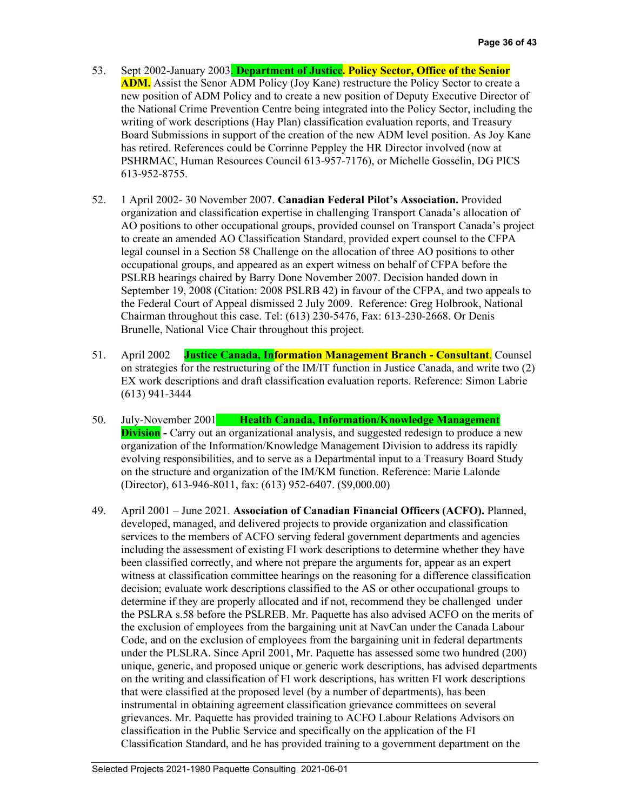- 53. Sept 2002-January 2003. **Department of Justice. Policy Sector, Office of the Senior ADM.** Assist the Senor ADM Policy (Joy Kane) restructure the Policy Sector to create a new position of ADM Policy and to create a new position of Deputy Executive Director of the National Crime Prevention Centre being integrated into the Policy Sector, including the writing of work descriptions (Hay Plan) classification evaluation reports, and Treasury Board Submissions in support of the creation of the new ADM level position. As Joy Kane has retired. References could be Corrinne Peppley the HR Director involved (now at PSHRMAC, Human Resources Council 613-957-7176), or Michelle Gosselin, DG PICS 613-952-8755.
- 52. 1 April 2002- 30 November 2007. **Canadian Federal Pilot's Association.** Provided organization and classification expertise in challenging Transport Canada's allocation of AO positions to other occupational groups, provided counsel on Transport Canada's project to create an amended AO Classification Standard, provided expert counsel to the CFPA legal counsel in a Section 58 Challenge on the allocation of three AO positions to other occupational groups, and appeared as an expert witness on behalf of CFPA before the PSLRB hearings chaired by Barry Done November 2007. Decision handed down in September 19, 2008 (Citation: 2008 PSLRB 42) in favour of the CFPA, and two appeals to the Federal Court of Appeal dismissed 2 July 2009. Reference: Greg Holbrook, National Chairman throughout this case. Tel: (613) 230-5476, Fax: 613-230-2668. Or Denis Brunelle, National Vice Chair throughout this project.
- 51. April 2002 **Justice Canada, Information Management Branch - Consultant**. Counsel on strategies for the restructuring of the IM/IT function in Justice Canada, and write two (2) EX work descriptions and draft classification evaluation reports. Reference: Simon Labrie (613) 941-3444
- 50. July-November 2001 **Health Canada, Information/Knowledge Management Division** - Carry out an organizational analysis, and suggested redesign to produce a new organization of the Information/Knowledge Management Division to address its rapidly evolving responsibilities, and to serve as a Departmental input to a Treasury Board Study on the structure and organization of the IM/KM function. Reference: Marie Lalonde (Director), 613-946-8011, fax: (613) 952-6407. (\$9,000.00)
- 49. April 2001 June 2021. **Association of Canadian Financial Officers (ACFO).** Planned, developed, managed, and delivered projects to provide organization and classification services to the members of ACFO serving federal government departments and agencies including the assessment of existing FI work descriptions to determine whether they have been classified correctly, and where not prepare the arguments for, appear as an expert witness at classification committee hearings on the reasoning for a difference classification decision; evaluate work descriptions classified to the AS or other occupational groups to determine if they are properly allocated and if not, recommend they be challenged under the PSLRA s.58 before the PSLREB. Mr. Paquette has also advised ACFO on the merits of the exclusion of employees from the bargaining unit at NavCan under the Canada Labour Code, and on the exclusion of employees from the bargaining unit in federal departments under the PLSLRA. Since April 2001, Mr. Paquette has assessed some two hundred (200) unique, generic, and proposed unique or generic work descriptions, has advised departments on the writing and classification of FI work descriptions, has written FI work descriptions that were classified at the proposed level (by a number of departments), has been instrumental in obtaining agreement classification grievance committees on several grievances. Mr. Paquette has provided training to ACFO Labour Relations Advisors on classification in the Public Service and specifically on the application of the FI Classification Standard, and he has provided training to a government department on the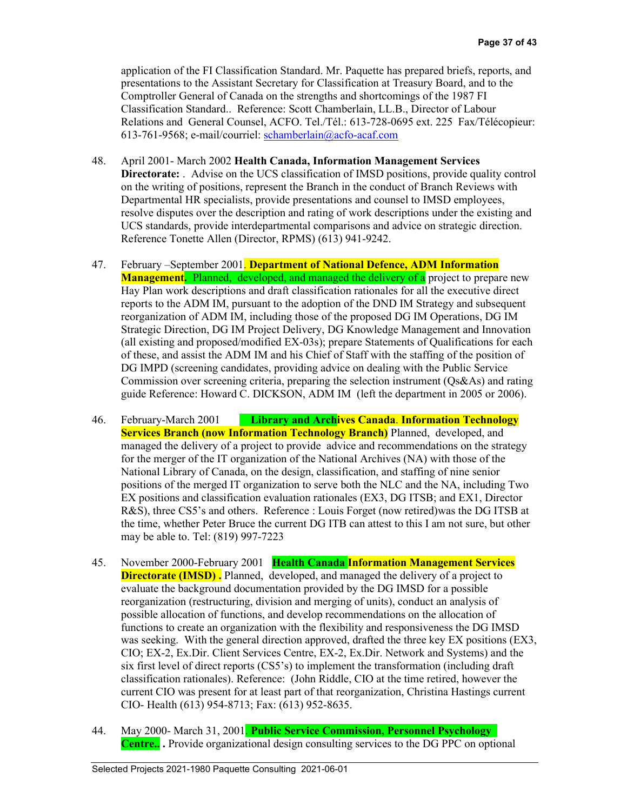application of the FI Classification Standard. Mr. Paquette has prepared briefs, reports, and presentations to the Assistant Secretary for Classification at Treasury Board, and to the Comptroller General of Canada on the strengths and shortcomings of the 1987 FI Classification Standard.. Reference: Scott Chamberlain, LL.B., Director of Labour Relations and General Counsel, ACFO. Tel./Tél.: 613-728-0695 ext. 225 Fax/Télécopieur: 613-761-9568; e-mail/courriel: [schamberlain@acfo-acaf.com](mailto:schamberlain@acfo-acaf.com)

- 48. April 2001- March 2002 **Health Canada, Information Management Services Directorate:** . Advise on the UCS classification of IMSD positions, provide quality control on the writing of positions, represent the Branch in the conduct of Branch Reviews with Departmental HR specialists, provide presentations and counsel to IMSD employees, resolve disputes over the description and rating of work descriptions under the existing and UCS standards, provide interdepartmental comparisons and advice on strategic direction. Reference Tonette Allen (Director, RPMS) (613) 941-9242.
- 47. February –September 2001. **Department of National Defence, ADM Information Management.** Planned, developed, and managed the delivery of a project to prepare new Hay Plan work descriptions and draft classification rationales for all the executive direct reports to the ADM IM, pursuant to the adoption of the DND IM Strategy and subsequent reorganization of ADM IM, including those of the proposed DG IM Operations, DG IM Strategic Direction, DG IM Project Delivery, DG Knowledge Management and Innovation (all existing and proposed/modified EX-03s); prepare Statements of Qualifications for each of these, and assist the ADM IM and his Chief of Staff with the staffing of the position of DG IMPD (screening candidates, providing advice on dealing with the Public Service Commission over screening criteria, preparing the selection instrument (Qs&As) and rating guide Reference: Howard C. DICKSON, ADM IM (left the department in 2005 or 2006).
- 46. February-March 2001 **Library and Archives Canada**. **Information Technology Services Branch (now Information Technology Branch)** Planned, developed, and managed the delivery of a project to provide advice and recommendations on the strategy for the merger of the IT organization of the National Archives (NA) with those of the National Library of Canada, on the design, classification, and staffing of nine senior positions of the merged IT organization to serve both the NLC and the NA, including Two EX positions and classification evaluation rationales (EX3, DG ITSB; and EX1, Director R&S), three CS5's and others. Reference : Louis Forget (now retired)was the DG ITSB at the time, whether Peter Bruce the current DG ITB can attest to this I am not sure, but other may be able to. Tel: (819) 997-7223
- 45. November 2000-February 2001 **Health Canada Information Management Services Directorate (IMSD).** Planned, developed, and managed the delivery of a project to evaluate the background documentation provided by the DG IMSD for a possible reorganization (restructuring, division and merging of units), conduct an analysis of possible allocation of functions, and develop recommendations on the allocation of functions to create an organization with the flexibility and responsiveness the DG IMSD was seeking. With the general direction approved, drafted the three key EX positions (EX3, CIO; EX-2, Ex.Dir. Client Services Centre, EX-2, Ex.Dir. Network and Systems) and the six first level of direct reports (CS5's) to implement the transformation (including draft classification rationales). Reference: (John Riddle, CIO at the time retired, however the current CIO was present for at least part of that reorganization, Christina Hastings current CIO- Health (613) 954-8713; Fax: (613) 952-8635.
- 44. May 2000- March 31, 2001. **Public Service Commission, Personnel Psychology Centre.. .** Provide organizational design consulting services to the DG PPC on optional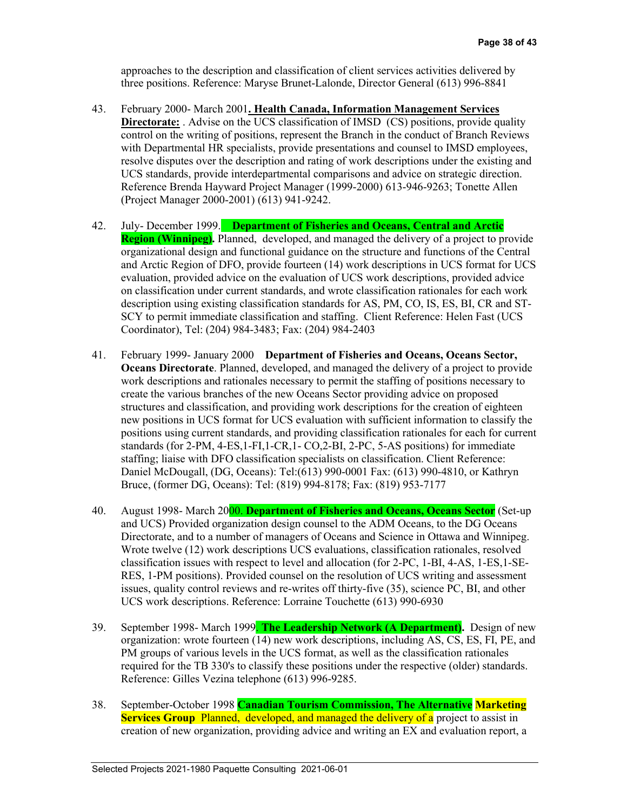approaches to the description and classification of client services activities delivered by three positions. Reference: Maryse Brunet-Lalonde, Director General (613) 996-8841

- 43. February 2000- March 2001**. Health Canada, Information Management Services Directorate:** . Advise on the UCS classification of IMSD (CS) positions, provide quality control on the writing of positions, represent the Branch in the conduct of Branch Reviews with Departmental HR specialists, provide presentations and counsel to IMSD employees, resolve disputes over the description and rating of work descriptions under the existing and UCS standards, provide interdepartmental comparisons and advice on strategic direction. Reference Brenda Hayward Project Manager (1999-2000) 613-946-9263; Tonette Allen (Project Manager 2000-2001) (613) 941-9242.
- 42. July- December 1999. **Department of Fisheries and Oceans, Central and Arctic Region (Winnipeg).** Planned, developed, and managed the delivery of a project to provide organizational design and functional guidance on the structure and functions of the Central and Arctic Region of DFO, provide fourteen (14) work descriptions in UCS format for UCS evaluation, provided advice on the evaluation of UCS work descriptions, provided advice on classification under current standards, and wrote classification rationales for each work description using existing classification standards for AS, PM, CO, IS, ES, BI, CR and ST-SCY to permit immediate classification and staffing. Client Reference: Helen Fast (UCS Coordinator), Tel: (204) 984-3483; Fax: (204) 984-2403
- 41. February 1999- January 2000 **Department of Fisheries and Oceans, Oceans Sector, Oceans Directorate**. Planned, developed, and managed the delivery of a project to provide work descriptions and rationales necessary to permit the staffing of positions necessary to create the various branches of the new Oceans Sector providing advice on proposed structures and classification, and providing work descriptions for the creation of eighteen new positions in UCS format for UCS evaluation with sufficient information to classify the positions using current standards, and providing classification rationales for each for current standards (for 2-PM, 4-ES,1-FI,1-CR,1- CO,2-BI, 2-PC, 5-AS positions) for immediate staffing; liaise with DFO classification specialists on classification. Client Reference: Daniel McDougall, (DG, Oceans): Tel:(613) 990-0001 Fax: (613) 990-4810, or Kathryn Bruce, (former DG, Oceans): Tel: (819) 994-8178; Fax: (819) 953-7177
- 40. August 1998- March 2000. **Department of Fisheries and Oceans, Oceans Sector** (Set-up and UCS) Provided organization design counsel to the ADM Oceans, to the DG Oceans Directorate, and to a number of managers of Oceans and Science in Ottawa and Winnipeg. Wrote twelve (12) work descriptions UCS evaluations, classification rationales, resolved classification issues with respect to level and allocation (for 2-PC, 1-BI, 4-AS, 1-ES,1-SE-RES, 1-PM positions). Provided counsel on the resolution of UCS writing and assessment issues, quality control reviews and re-writes off thirty-five (35), science PC, BI, and other UCS work descriptions. Reference: Lorraine Touchette (613) 990-6930
- 39. September 1998- March 1999. **The Leadership Network (A Department).** Design of new organization: wrote fourteen (14) new work descriptions, including AS, CS, ES, FI, PE, and PM groups of various levels in the UCS format, as well as the classification rationales required for the TB 330's to classify these positions under the respective (older) standards. Reference: Gilles Vezina telephone (613) 996-9285.
- 38. September-October 1998 **Canadian Tourism Commission, The Alternative Marketing Services Group** Planned, developed, and managed the delivery of a project to assist in creation of new organization, providing advice and writing an EX and evaluation report, a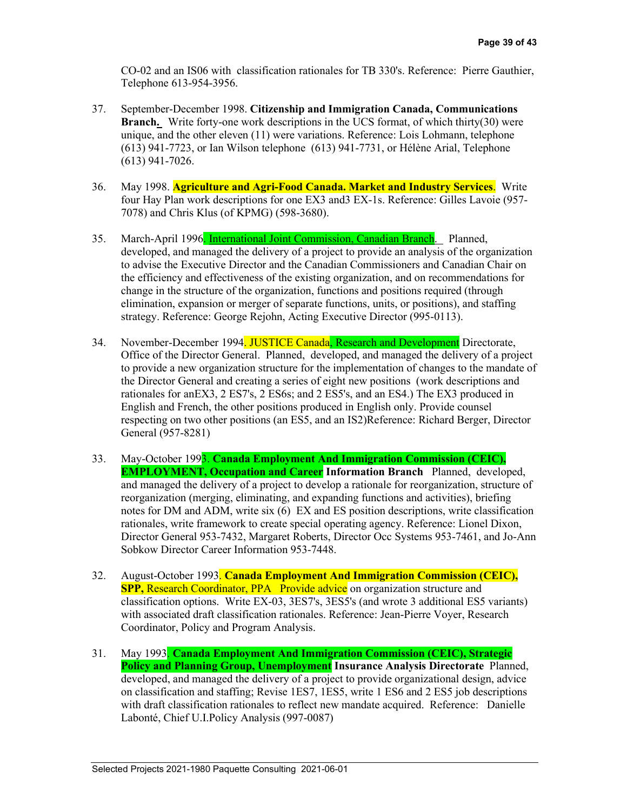CO-02 and an IS06 with classification rationales for TB 330's. Reference: Pierre Gauthier, Telephone 613-954-3956.

- 37. September-December 1998. **Citizenship and Immigration Canada, Communications Branch.** Write forty-one work descriptions in the UCS format, of which thirty(30) were unique, and the other eleven (11) were variations. Reference: Lois Lohmann, telephone (613) 941-7723, or Ian Wilson telephone (613) 941-7731, or Hélène Arial, Telephone (613) 941-7026.
- 36. May 1998. **Agriculture and Agri-Food Canada. Market and Industry Services**. Write four Hay Plan work descriptions for one EX3 and3 EX-1s. Reference: Gilles Lavoie (957- 7078) and Chris Klus (of KPMG) (598-3680).
- 35. March-April 1996. International Joint Commission, Canadian Branch. Planned, developed, and managed the delivery of a project to provide an analysis of the organization to advise the Executive Director and the Canadian Commissioners and Canadian Chair on the efficiency and effectiveness of the existing organization, and on recommendations for change in the structure of the organization, functions and positions required (through elimination, expansion or merger of separate functions, units, or positions), and staffing strategy. Reference: George Rejohn, Acting Executive Director (995-0113).
- 34. November-December 1994. JUSTICE Canada, Research and Development Directorate, Office of the Director General. Planned, developed, and managed the delivery of a project to provide a new organization structure for the implementation of changes to the mandate of the Director General and creating a series of eight new positions (work descriptions and rationales for anEX3, 2 ES7's, 2 ES6s; and 2 ES5's, and an ES4.) The EX3 produced in English and French, the other positions produced in English only. Provide counsel respecting on two other positions (an ES5, and an IS2)Reference: Richard Berger, Director General (957-8281)
- 33. May-October 1993. **Canada Employment And Immigration Commission (CEIC), EMPLOYMENT, Occupation and Career Information Branch** Planned, developed, and managed the delivery of a project to develop a rationale for reorganization, structure of reorganization (merging, eliminating, and expanding functions and activities), briefing notes for DM and ADM, write six (6) EX and ES position descriptions, write classification rationales, write framework to create special operating agency. Reference: Lionel Dixon, Director General 953-7432, Margaret Roberts, Director Occ Systems 953-7461, and Jo-Ann Sobkow Director Career Information 953-7448.
- 32. August-October 1993. **Canada Employment And Immigration Commission (CEIC), SPP,** Research Coordinator, PPA Provide advice on organization structure and classification options. Write EX-03, 3ES7's, 3ES5's (and wrote 3 additional ES5 variants) with associated draft classification rationales. Reference: Jean-Pierre Voyer, Research Coordinator, Policy and Program Analysis.
- 31. May 1993. **Canada Employment And Immigration Commission (CEIC), Strategic Policy and Planning Group, Unemployment Insurance Analysis Directorate** Planned, developed, and managed the delivery of a project to provide organizational design, advice on classification and staffing; Revise 1ES7, 1ES5, write 1 ES6 and 2 ES5 job descriptions with draft classification rationales to reflect new mandate acquired. Reference: Danielle Labonté, Chief U.I.Policy Analysis (997-0087)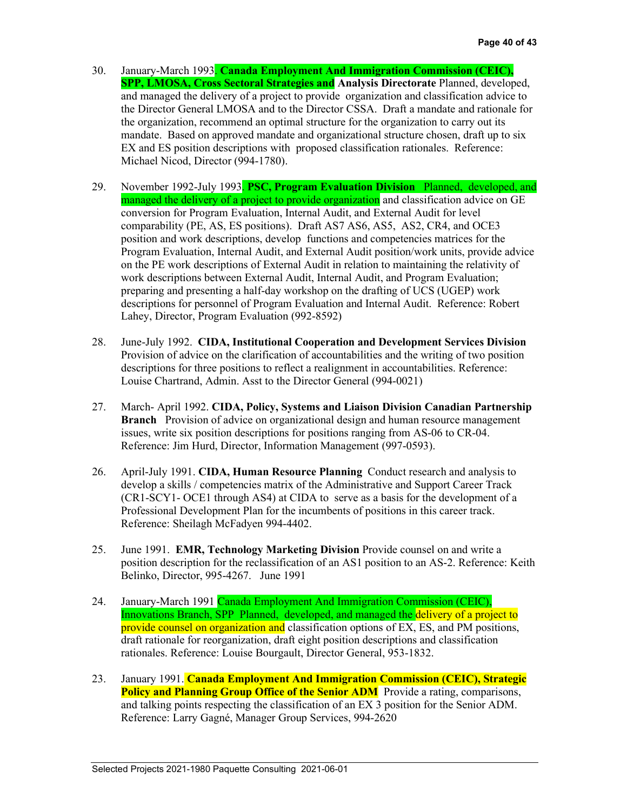- 30. January-March 1993. **Canada Employment And Immigration Commission (CEIC), SPP, LMOSA, Cross Sectoral Strategies and Analysis Directorate** Planned, developed, and managed the delivery of a project to provide organization and classification advice to the Director General LMOSA and to the Director CSSA. Draft a mandate and rationale for the organization, recommend an optimal structure for the organization to carry out its mandate. Based on approved mandate and organizational structure chosen, draft up to six EX and ES position descriptions with proposed classification rationales. Reference: Michael Nicod, Director (994-1780).
- 29. November 1992-July 1993. **PSC, Program Evaluation Division** Planned, developed, and managed the delivery of a project to provide organization and classification advice on GE conversion for Program Evaluation, Internal Audit, and External Audit for level comparability (PE, AS, ES positions). Draft AS7 AS6, AS5, AS2, CR4, and OCE3 position and work descriptions, develop functions and competencies matrices for the Program Evaluation, Internal Audit, and External Audit position/work units, provide advice on the PE work descriptions of External Audit in relation to maintaining the relativity of work descriptions between External Audit, Internal Audit, and Program Evaluation; preparing and presenting a half-day workshop on the drafting of UCS (UGEP) work descriptions for personnel of Program Evaluation and Internal Audit. Reference: Robert Lahey, Director, Program Evaluation (992-8592)
- 28. June-July 1992. **CIDA, Institutional Cooperation and Development Services Division**  Provision of advice on the clarification of accountabilities and the writing of two position descriptions for three positions to reflect a realignment in accountabilities. Reference: Louise Chartrand, Admin. Asst to the Director General (994-0021)
- 27. March- April 1992. **CIDA, Policy, Systems and Liaison Division Canadian Partnership Branch** Provision of advice on organizational design and human resource management issues, write six position descriptions for positions ranging from AS-06 to CR-04. Reference: Jim Hurd, Director, Information Management (997-0593).
- 26. April-July 1991. **CIDA, Human Resource Planning** Conduct research and analysis to develop a skills / competencies matrix of the Administrative and Support Career Track (CR1-SCY1- OCE1 through AS4) at CIDA to serve as a basis for the development of a Professional Development Plan for the incumbents of positions in this career track. Reference: Sheilagh McFadyen 994-4402.
- 25. June 1991. **EMR, Technology Marketing Division** Provide counsel on and write a position description for the reclassification of an AS1 position to an AS-2. Reference: Keith Belinko, Director, 995-4267. June 1991
- 24. January-March 1991 Canada Employment And Immigration Commission (CEIC), Innovations Branch, SPP Planned, developed, and managed the delivery of a project to provide counsel on organization and classification options of EX, ES, and PM positions, draft rationale for reorganization, draft eight position descriptions and classification rationales. Reference: Louise Bourgault, Director General, 953-1832.
- 23. January 1991. **Canada Employment And Immigration Commission (CEIC), Strategic Policy and Planning Group Office of the Senior ADM** Provide a rating, comparisons, and talking points respecting the classification of an EX 3 position for the Senior ADM. Reference: Larry Gagné, Manager Group Services, 994-2620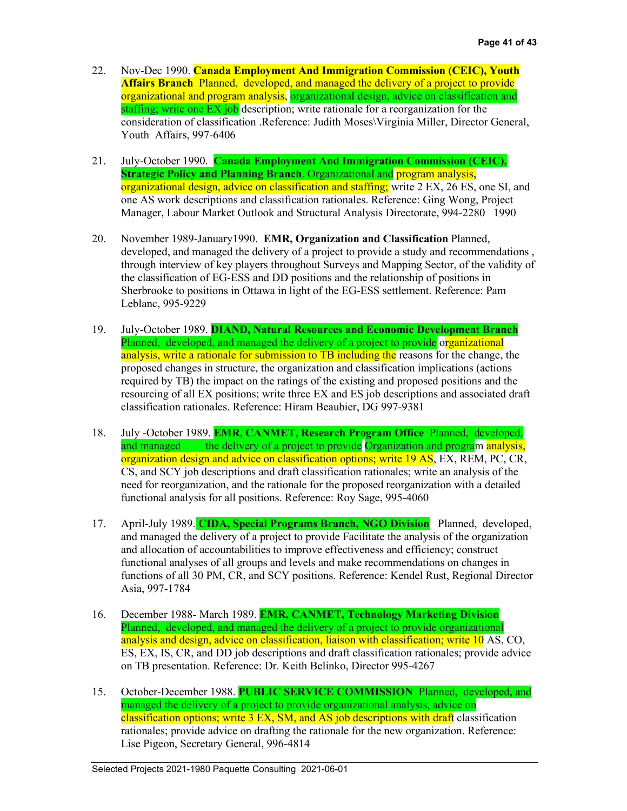- 22. Nov-Dec 1990. **Canada Employment And Immigration Commission (CEIC), Youth Affairs Branch** Planned, developed, and managed the delivery of a project to provide organizational and program analysis, organizational design, advice on classification and staffing; write one EX job description; write rationale for a reorganization for the consideration of classification .Reference: Judith Moses\Virginia Miller, Director General, Youth Affairs, 997-6406
- 21. July-October 1990. **Canada Employment And Immigration Commission (CEIC), Strategic Policy and Planning Branch**. Organizational and program analysis, organizational design, advice on classification and staffing; write 2 EX, 26 ES, one SI, and one AS work descriptions and classification rationales. Reference: Ging Wong, Project Manager, Labour Market Outlook and Structural Analysis Directorate, 994-2280 1990
- 20. November 1989-January1990. **EMR, Organization and Classification** Planned, developed, and managed the delivery of a project to provide a study and recommendations , through interview of key players throughout Surveys and Mapping Sector, of the validity of the classification of EG-ESS and DD positions and the relationship of positions in Sherbrooke to positions in Ottawa in light of the EG-ESS settlement. Reference: Pam Leblanc, 995-9229
- 19. July-October 1989. **DIAND, Natural Resources and Economic Development Branch** Planned, developed, and managed the delivery of a project to provide organizational analysis, write a rationale for submission to TB including the reasons for the change, the proposed changes in structure, the organization and classification implications (actions required by TB) the impact on the ratings of the existing and proposed positions and the resourcing of all EX positions; write three EX and ES job descriptions and associated draft classification rationales. Reference: Hiram Beaubier, DG 997-9381
- 18. July -October 1989. **EMR, CANMET, Research Program Office** Planned, developed, and managed the delivery of a project to provide Organization and program analysis, organization design and advice on classification options; write 19 AS, EX, REM, PC, CR, CS, and SCY job descriptions and draft classification rationales; write an analysis of the need for reorganization, and the rationale for the proposed reorganization with a detailed functional analysis for all positions. Reference: Roy Sage, 995-4060
- 17. April-July 1989. **CIDA, Special Programs Branch, NGO Division** Planned, developed, and managed the delivery of a project to provide Facilitate the analysis of the organization and allocation of accountabilities to improve effectiveness and efficiency; construct functional analyses of all groups and levels and make recommendations on changes in functions of all 30 PM, CR, and SCY positions. Reference: Kendel Rust, Regional Director Asia, 997-1784
- 16. December 1988- March 1989. **EMR, CANMET, Technology Marketing Division** Planned, developed, and managed the delivery of a project to provide organizational analysis and design, advice on classification, liaison with classification; write 10 AS, CO, ES, EX, IS, CR, and DD job descriptions and draft classification rationales; provide advice on TB presentation. Reference: Dr. Keith Belinko, Director 995-4267
- 15. October-December 1988. **PUBLIC SERVICE COMMISSION** Planned, developed, and managed the delivery of a project to provide organizational analysis, advice on classification options; write 3 EX, SM, and AS job descriptions with draft classification rationales; provide advice on drafting the rationale for the new organization. Reference: Lise Pigeon, Secretary General, 996-4814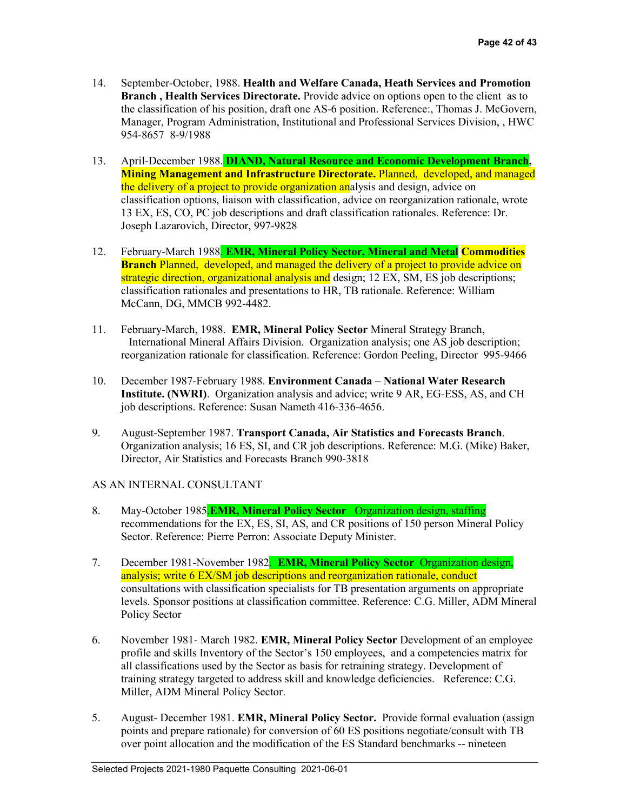- 14. September-October, 1988. **Health and Welfare Canada, Heath Services and Promotion Branch , Health Services Directorate.** Provide advice on options open to the client as to the classification of his position, draft one AS-6 position. Reference:, Thomas J. McGovern, Manager, Program Administration, Institutional and Professional Services Division, , HWC 954-8657 8-9/1988
- 13. April-December 1988. **DIAND, Natural Resource and Economic Development Branch, Mining Management and Infrastructure Directorate.** Planned, developed, and managed the delivery of a project to provide organization analysis and design, advice on classification options, liaison with classification, advice on reorganization rationale, wrote 13 EX, ES, CO, PC job descriptions and draft classification rationales. Reference: Dr. Joseph Lazarovich, Director, 997-9828
- 12. February-March 1988. **EMR, Mineral Policy Sector, Mineral and Metal Commodities Branch** Planned, developed, and managed the delivery of a project to provide advice on strategic direction, organizational analysis and design; 12 EX, SM, ES job descriptions; classification rationales and presentations to HR, TB rationale. Reference: William McCann, DG, MMCB 992-4482.
- 11. February-March, 1988. **EMR, Mineral Policy Sector** Mineral Strategy Branch, International Mineral Affairs Division. Organization analysis; one AS job description; reorganization rationale for classification. Reference: Gordon Peeling, Director 995-9466
- 10. December 1987-February 1988. **Environment Canada – National Water Research Institute. (NWRI)**. Organization analysis and advice; write 9 AR, EG-ESS, AS, and CH job descriptions. Reference: Susan Nameth 416-336-4656.
- 9. August-September 1987. **Transport Canada, Air Statistics and Forecasts Branch**. Organization analysis; 16 ES, SI, and CR job descriptions. Reference: M.G. (Mike) Baker, Director, Air Statistics and Forecasts Branch 990-3818

## AS AN INTERNAL CONSULTANT

- 8. May-October 1985.**EMR, Mineral Policy Sector** Organization design, staffing recommendations for the EX, ES, SI, AS, and CR positions of 150 person Mineral Policy Sector. Reference: Pierre Perron: Associate Deputy Minister.
- 7. December 1981-November 1982. **EMR, Mineral Policy Sector** Organization design, analysis; write 6 EX/SM job descriptions and reorganization rationale, conduct consultations with classification specialists for TB presentation arguments on appropriate levels. Sponsor positions at classification committee. Reference: C.G. Miller, ADM Mineral Policy Sector
- 6. November 1981- March 1982. **EMR, Mineral Policy Sector** Development of an employee profile and skills Inventory of the Sector's 150 employees, and a competencies matrix for all classifications used by the Sector as basis for retraining strategy. Development of training strategy targeted to address skill and knowledge deficiencies. Reference: C.G. Miller, ADM Mineral Policy Sector.
- 5. August- December 1981. **EMR, Mineral Policy Sector.** Provide formal evaluation (assign points and prepare rationale) for conversion of 60 ES positions negotiate/consult with TB over point allocation and the modification of the ES Standard benchmarks -- nineteen